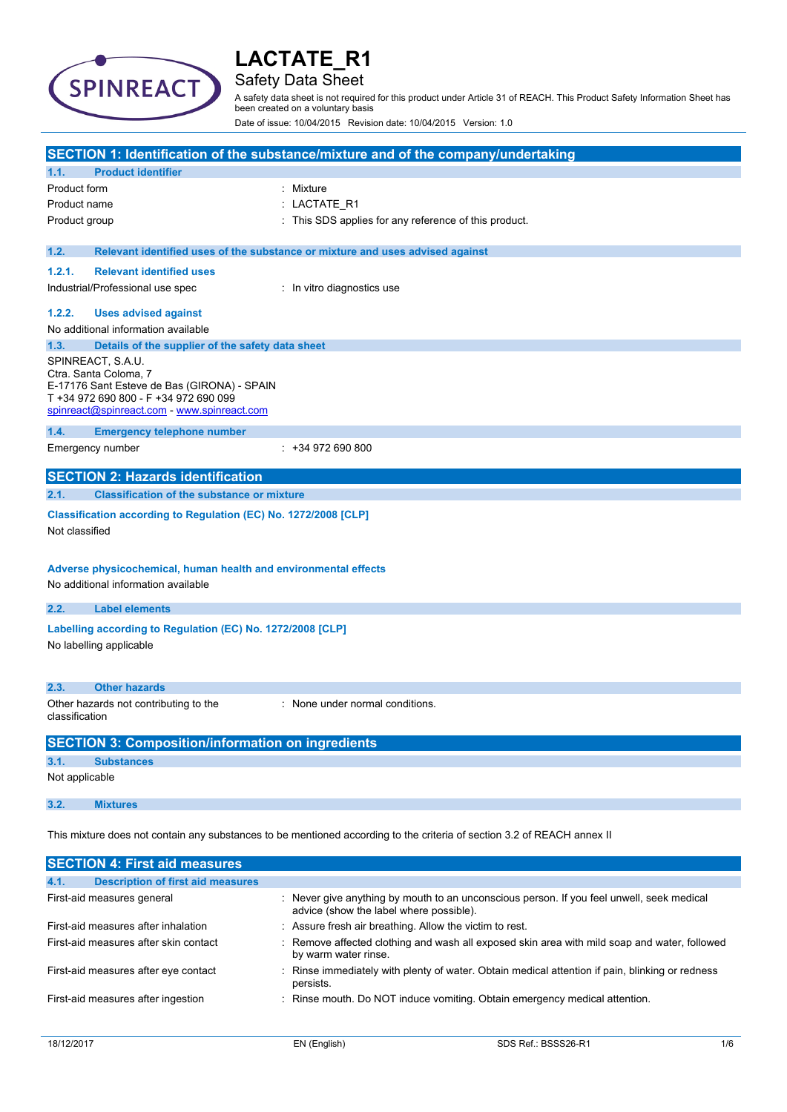

## Safety Data Sheet

A safety data sheet is not required for this product under Article 31 of REACH. This Product Safety Information Sheet has been created on a voluntary basis

Date of issue: 10/04/2015 Revision date: 10/04/2015 Version: 1.0

|                |                                                                      | SECTION 1: Identification of the substance/mixture and of the company/undertaking                                       |
|----------------|----------------------------------------------------------------------|-------------------------------------------------------------------------------------------------------------------------|
| 1.1.           | <b>Product identifier</b>                                            |                                                                                                                         |
| Product form   |                                                                      | : Mixture                                                                                                               |
| Product name   |                                                                      | : LACTATE_R1                                                                                                            |
| Product group  |                                                                      | : This SDS applies for any reference of this product.                                                                   |
|                |                                                                      |                                                                                                                         |
| 1.2.           |                                                                      | Relevant identified uses of the substance or mixture and uses advised against                                           |
| 1.2.1.         | <b>Relevant identified uses</b>                                      |                                                                                                                         |
|                | Industrial/Professional use spec                                     | : In vitro diagnostics use                                                                                              |
| 1.2.2.         | <b>Uses advised against</b>                                          |                                                                                                                         |
|                | No additional information available                                  |                                                                                                                         |
| 1.3.           | Details of the supplier of the safety data sheet                     |                                                                                                                         |
|                | SPINREACT, S.A.U.                                                    |                                                                                                                         |
|                | Ctra. Santa Coloma, 7<br>E-17176 Sant Esteve de Bas (GIRONA) - SPAIN |                                                                                                                         |
|                | T +34 972 690 800 - F +34 972 690 099                                |                                                                                                                         |
|                | spinreact@spinreact.com - www.spinreact.com                          |                                                                                                                         |
| 1.4.           | <b>Emergency telephone number</b>                                    |                                                                                                                         |
|                | Emergency number                                                     | $: +34972690800$                                                                                                        |
|                |                                                                      |                                                                                                                         |
|                | <b>SECTION 2: Hazards identification</b>                             |                                                                                                                         |
| 2.1.           | <b>Classification of the substance or mixture</b>                    |                                                                                                                         |
|                | Classification according to Regulation (EC) No. 1272/2008 [CLP]      |                                                                                                                         |
| Not classified |                                                                      |                                                                                                                         |
|                |                                                                      |                                                                                                                         |
|                | Adverse physicochemical, human health and environmental effects      |                                                                                                                         |
|                | No additional information available                                  |                                                                                                                         |
| 2.2.           | <b>Label elements</b>                                                |                                                                                                                         |
|                |                                                                      |                                                                                                                         |
|                | Labelling according to Regulation (EC) No. 1272/2008 [CLP]           |                                                                                                                         |
|                | No labelling applicable                                              |                                                                                                                         |
|                |                                                                      |                                                                                                                         |
| 2.3.           | <b>Other hazards</b>                                                 |                                                                                                                         |
|                | Other hazards not contributing to the                                | : None under normal conditions.                                                                                         |
| classification |                                                                      |                                                                                                                         |
|                | <b>SECTION 3: Composition/information on ingredients</b>             |                                                                                                                         |
| 3.1.           | <b>Substances</b>                                                    |                                                                                                                         |
| Not applicable |                                                                      |                                                                                                                         |
| 3.2.           | <b>Mixtures</b>                                                      |                                                                                                                         |
|                |                                                                      |                                                                                                                         |
|                |                                                                      | This mixture does not contain any substances to be mentioned according to the criteria of section 3.2 of REACH annex II |
|                |                                                                      |                                                                                                                         |
|                | <b>SECTION 4: First aid measures</b>                                 |                                                                                                                         |

| 4.1. | <b>Description of first aid measures</b> |                                                                                                                                      |
|------|------------------------------------------|--------------------------------------------------------------------------------------------------------------------------------------|
|      | First-aid measures general               | : Never give anything by mouth to an unconscious person. If you feel unwell, seek medical<br>advice (show the label where possible). |
|      | First-aid measures after inhalation      | : Assure fresh air breathing. Allow the victim to rest.                                                                              |
|      | First-aid measures after skin contact    | : Remove affected clothing and wash all exposed skin area with mild soap and water, followed<br>by warm water rinse.                 |
|      | First-aid measures after eye contact     | : Rinse immediately with plenty of water. Obtain medical attention if pain, blinking or redness<br>persists.                         |
|      | First-aid measures after ingestion       | : Rinse mouth. Do NOT induce vomiting. Obtain emergency medical attention.                                                           |
|      |                                          |                                                                                                                                      |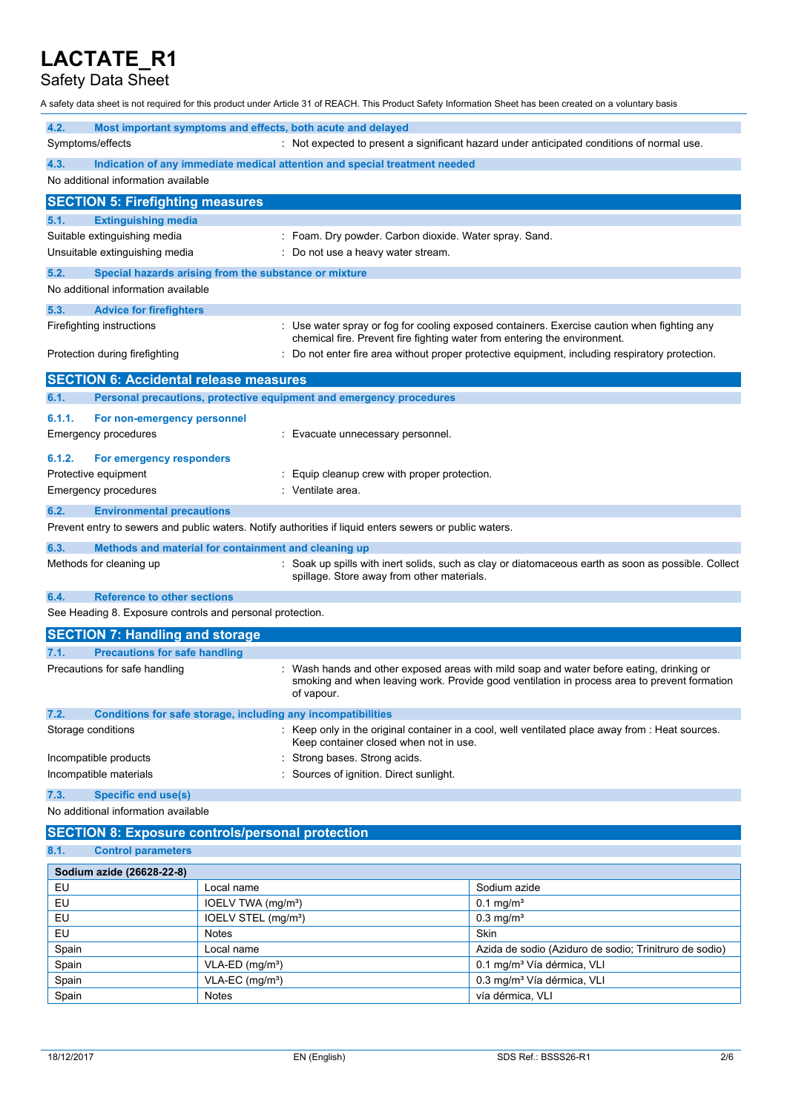## Safety Data Sheet

A safety data sheet is not required for this product under Article 31 of REACH. This Product Safety Information Sheet has been created on a voluntary basis

| 4.2.                  |                                                           |                                                                   | Most important symptoms and effects, both acute and delayed                                             |                                                                                                                                                                                        |
|-----------------------|-----------------------------------------------------------|-------------------------------------------------------------------|---------------------------------------------------------------------------------------------------------|----------------------------------------------------------------------------------------------------------------------------------------------------------------------------------------|
| Symptoms/effects      |                                                           |                                                                   |                                                                                                         | : Not expected to present a significant hazard under anticipated conditions of normal use.                                                                                             |
| 4.3.                  |                                                           |                                                                   | Indication of any immediate medical attention and special treatment needed                              |                                                                                                                                                                                        |
|                       | No additional information available                       |                                                                   |                                                                                                         |                                                                                                                                                                                        |
|                       | <b>SECTION 5: Firefighting measures</b>                   |                                                                   |                                                                                                         |                                                                                                                                                                                        |
| 5.1.                  | <b>Extinguishing media</b>                                |                                                                   |                                                                                                         |                                                                                                                                                                                        |
|                       | Suitable extinguishing media                              |                                                                   | : Foam. Dry powder. Carbon dioxide. Water spray. Sand.                                                  |                                                                                                                                                                                        |
|                       | Unsuitable extinguishing media                            |                                                                   | Do not use a heavy water stream.                                                                        |                                                                                                                                                                                        |
| 5.2.                  | Special hazards arising from the substance or mixture     |                                                                   |                                                                                                         |                                                                                                                                                                                        |
|                       | No additional information available                       |                                                                   |                                                                                                         |                                                                                                                                                                                        |
| 5.3.                  | <b>Advice for firefighters</b>                            |                                                                   |                                                                                                         |                                                                                                                                                                                        |
|                       | Firefighting instructions                                 |                                                                   | chemical fire. Prevent fire fighting water from entering the environment.                               | : Use water spray or fog for cooling exposed containers. Exercise caution when fighting any                                                                                            |
|                       | Protection during firefighting                            |                                                                   |                                                                                                         | Do not enter fire area without proper protective equipment, including respiratory protection.                                                                                          |
|                       | <b>SECTION 6: Accidental release measures</b>             |                                                                   |                                                                                                         |                                                                                                                                                                                        |
| 6.1.                  |                                                           |                                                                   | Personal precautions, protective equipment and emergency procedures                                     |                                                                                                                                                                                        |
| 6.1.1.                | For non-emergency personnel                               |                                                                   |                                                                                                         |                                                                                                                                                                                        |
|                       | Emergency procedures                                      |                                                                   | Evacuate unnecessary personnel.                                                                         |                                                                                                                                                                                        |
| 6.1.2.                | For emergency responders                                  |                                                                   |                                                                                                         |                                                                                                                                                                                        |
| Protective equipment  |                                                           |                                                                   | Equip cleanup crew with proper protection.                                                              |                                                                                                                                                                                        |
|                       | Emergency procedures                                      |                                                                   | Ventilate area.                                                                                         |                                                                                                                                                                                        |
| 6.2.                  | <b>Environmental precautions</b>                          |                                                                   |                                                                                                         |                                                                                                                                                                                        |
|                       |                                                           |                                                                   | Prevent entry to sewers and public waters. Notify authorities if liquid enters sewers or public waters. |                                                                                                                                                                                        |
| 6.3.                  | Methods and material for containment and cleaning up      |                                                                   |                                                                                                         |                                                                                                                                                                                        |
|                       | Methods for cleaning up                                   |                                                                   | spillage. Store away from other materials.                                                              | : Soak up spills with inert solids, such as clay or diatomaceous earth as soon as possible. Collect                                                                                    |
| 6.4.                  | <b>Reference to other sections</b>                        |                                                                   |                                                                                                         |                                                                                                                                                                                        |
|                       | See Heading 8. Exposure controls and personal protection. |                                                                   |                                                                                                         |                                                                                                                                                                                        |
|                       | <b>SECTION 7: Handling and storage</b>                    |                                                                   |                                                                                                         |                                                                                                                                                                                        |
| 7.1.                  | <b>Precautions for safe handling</b>                      |                                                                   |                                                                                                         |                                                                                                                                                                                        |
|                       | Precautions for safe handling                             |                                                                   | of vapour.                                                                                              | Wash hands and other exposed areas with mild soap and water before eating, drinking or<br>smoking and when leaving work. Provide good ventilation in process area to prevent formation |
| 7.2.                  |                                                           |                                                                   | Conditions for safe storage, including any incompatibilities                                            |                                                                                                                                                                                        |
| Storage conditions    |                                                           |                                                                   | Keep container closed when not in use.                                                                  | : Keep only in the original container in a cool, well ventilated place away from : Heat sources.                                                                                       |
| Incompatible products |                                                           |                                                                   | Strong bases. Strong acids.                                                                             |                                                                                                                                                                                        |
|                       | Incompatible materials                                    |                                                                   | Sources of ignition. Direct sunlight.                                                                   |                                                                                                                                                                                        |
| 7.3.                  | <b>Specific end use(s)</b>                                |                                                                   |                                                                                                         |                                                                                                                                                                                        |
|                       | No additional information available                       |                                                                   |                                                                                                         |                                                                                                                                                                                        |
|                       | <b>SECTION 8: Exposure controls/personal protection</b>   |                                                                   |                                                                                                         |                                                                                                                                                                                        |
| 8.1.                  | <b>Control parameters</b>                                 |                                                                   |                                                                                                         |                                                                                                                                                                                        |
|                       | Sodium azide (26628-22-8)                                 |                                                                   |                                                                                                         |                                                                                                                                                                                        |
| EU                    |                                                           | Local name                                                        |                                                                                                         | Sodium azide                                                                                                                                                                           |
| EU<br>FU.             |                                                           | IOELV TWA (mg/m <sup>3</sup> )<br>IOFIV STFI (ma/m <sup>3</sup> ) |                                                                                                         | $0.1 \,\mathrm{mg/m^3}$<br>$0.3$ mg/m <sup>3</sup>                                                                                                                                     |
|                       |                                                           |                                                                   |                                                                                                         |                                                                                                                                                                                        |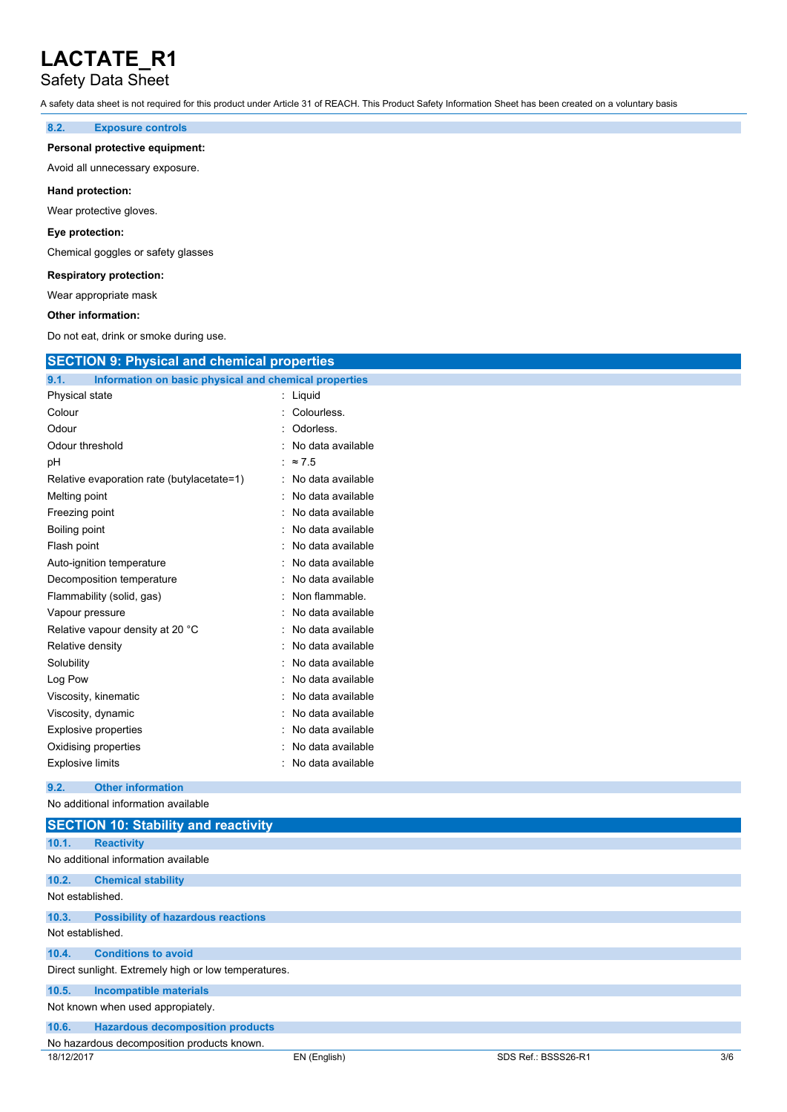## Safety Data Sheet

A safety data sheet is not required for this product under Article 31 of REACH. This Product Safety Information Sheet has been created on a voluntary basis

### **8.2. Exposure controls**

#### **Personal protective equipment:**

Avoid all unnecessary exposure.

#### **Hand protection:**

Wear protective gloves.

#### **Eye protection:**

Chemical goggles or safety glasses

### **Respiratory protection:**

Wear appropriate mask

#### **Other information:**

Do not eat, drink or smoke during use.

| <b>SECTION 9: Physical and chemical properties</b>            |                   |
|---------------------------------------------------------------|-------------------|
| Information on basic physical and chemical properties<br>9.1. |                   |
| Physical state                                                | : Liquid          |
| Colour                                                        | Colourless.       |
| Odour                                                         | Odorless.         |
| Odour threshold                                               | No data available |
| рH                                                            | $\approx 7.5$     |
| Relative evaporation rate (butylacetate=1)                    | No data available |
| Melting point                                                 | No data available |
| Freezing point                                                | No data available |
| Boiling point                                                 | No data available |
| Flash point                                                   | No data available |
| Auto-ignition temperature                                     | No data available |
| Decomposition temperature                                     | No data available |
| Flammability (solid, gas)                                     | Non flammable.    |
| Vapour pressure                                               | No data available |
| Relative vapour density at 20 °C                              | No data available |
| Relative density                                              | No data available |
| Solubility                                                    | No data available |
| Log Pow                                                       | No data available |
| Viscosity, kinematic                                          | No data available |
| Viscosity, dynamic                                            | No data available |
| <b>Explosive properties</b>                                   | No data available |
| Oxidising properties                                          | No data available |
| <b>Explosive limits</b>                                       | No data available |
| <b>Other information</b><br>9.2.                              |                   |
| No additional information available                           |                   |
| <b>SECTION 10: Stability and reactivity</b>                   |                   |
| 10.1.<br><b>Reactivity</b>                                    |                   |
| No additional information available                           |                   |
| 10.2.<br><b>Chemical stability</b>                            |                   |
| Not established.                                              |                   |

### **10.3. Possibility of hazardous reactions** Not established.

**10.4. Conditions to avoid**

### Direct sunlight. Extremely high or low temperatures.

**10.5. Incompatible materials**

Not known when used appropiately.

| 10.6. |  | <b>Hazardous decomposition products</b> |  |
|-------|--|-----------------------------------------|--|
|-------|--|-----------------------------------------|--|

## No hazardous decomposition products known.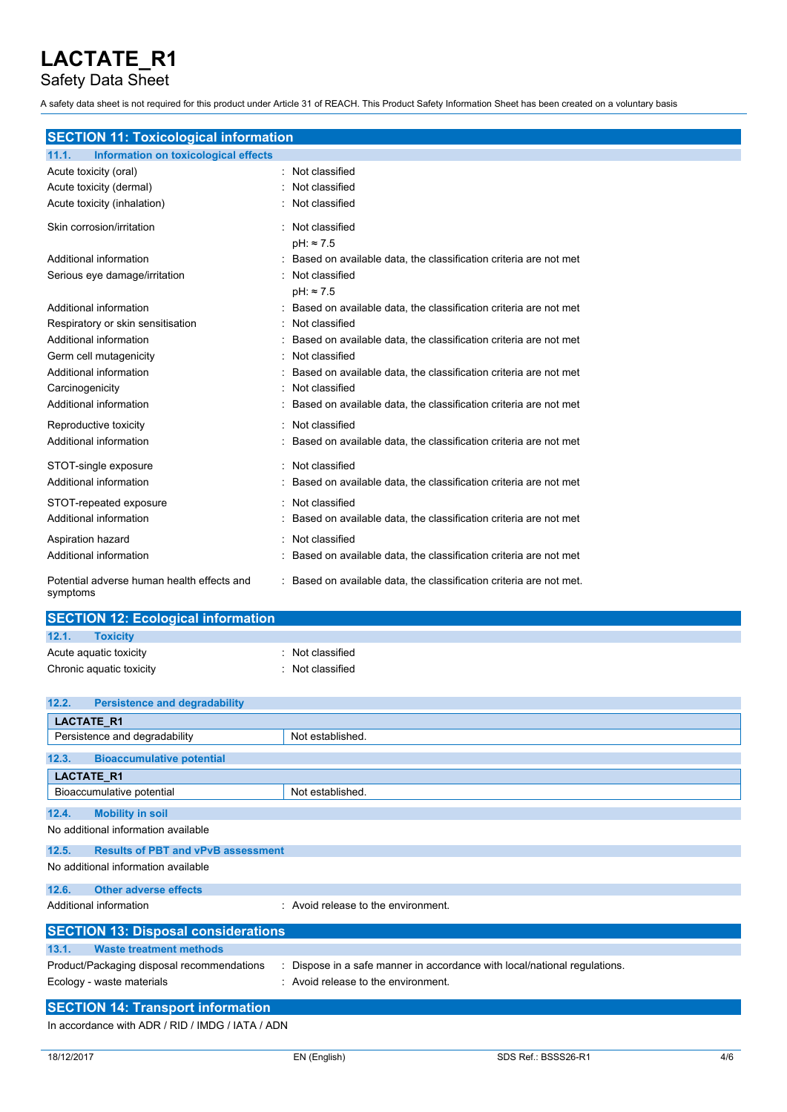Safety Data Sheet

A safety data sheet is not required for this product under Article 31 of REACH. This Product Safety Information Sheet has been created on a voluntary basis

| <b>SECTION 11: Toxicological information</b>  |                                                                   |
|-----------------------------------------------|-------------------------------------------------------------------|
| Information on toxicological effects<br>11.1. |                                                                   |
| Acute toxicity (oral)                         | : Not classified                                                  |
| Acute toxicity (dermal)                       | Not classified                                                    |
| Acute toxicity (inhalation)                   | Not classified                                                    |
| Skin corrosion/irritation                     | : Not classified                                                  |
|                                               | $pH: \approx 7.5$                                                 |
| Additional information                        | Based on available data, the classification criteria are not met  |
| Serious eye damage/irritation                 | Not classified                                                    |
|                                               | $pH: \approx 7.5$                                                 |
| Additional information                        | Based on available data, the classification criteria are not met  |
| Respiratory or skin sensitisation             | Not classified                                                    |
| Additional information                        | Based on available data, the classification criteria are not met  |
| Germ cell mutagenicity                        | Not classified                                                    |
| Additional information                        | Based on available data, the classification criteria are not met  |
| Carcinogenicity                               | Not classified                                                    |
| Additional information                        | Based on available data, the classification criteria are not met  |
| Reproductive toxicity                         | Not classified                                                    |
| Additional information                        | Based on available data, the classification criteria are not met  |
| STOT-single exposure                          | : Not classified                                                  |
| Additional information                        | Based on available data, the classification criteria are not met  |
| STOT-repeated exposure                        | : Not classified                                                  |
| Additional information                        | Based on available data, the classification criteria are not met  |
| Aspiration hazard                             | Not classified                                                    |
| Additional information                        | Based on available data, the classification criteria are not met  |
| Potential adverse human health effects and    | Based on available data, the classification criteria are not met. |

| <b>SECTION 12: Ecological information</b> |                |  |
|-------------------------------------------|----------------|--|
| 12.1.<br><b>Toxicity</b>                  |                |  |
| Acute aguatic toxicity                    | Not classified |  |
| Chronic aquatic toxicity                  | Not classified |  |

| 12.2. | <b>Persistence and degradability</b>       |                                                                         |
|-------|--------------------------------------------|-------------------------------------------------------------------------|
|       | <b>LACTATE R1</b>                          |                                                                         |
|       | Persistence and degradability              | Not established.                                                        |
| 12.3. | <b>Bioaccumulative potential</b>           |                                                                         |
|       | LACTATE_R1                                 |                                                                         |
|       | Bioaccumulative potential                  | Not established.                                                        |
| 12.4. | <b>Mobility in soil</b>                    |                                                                         |
|       | No additional information available        |                                                                         |
| 12.5. | <b>Results of PBT and vPvB assessment</b>  |                                                                         |
|       | No additional information available        |                                                                         |
| 12.6. | <b>Other adverse effects</b>               |                                                                         |
|       | Additional information                     | : Avoid release to the environment.                                     |
|       | <b>SECTION 13: Disposal considerations</b> |                                                                         |
| 13.1. | <b>Waste treatment methods</b>             |                                                                         |
|       | Product/Packaging disposal recommendations | Dispose in a safe manner in accordance with local/national regulations. |
|       | Ecology - waste materials                  | : Avoid release to the environment.                                     |
|       | <b>SECTION 14: Transport information</b>   |                                                                         |

In accordance with ADR / RID / IMDG / IATA / ADN

symptoms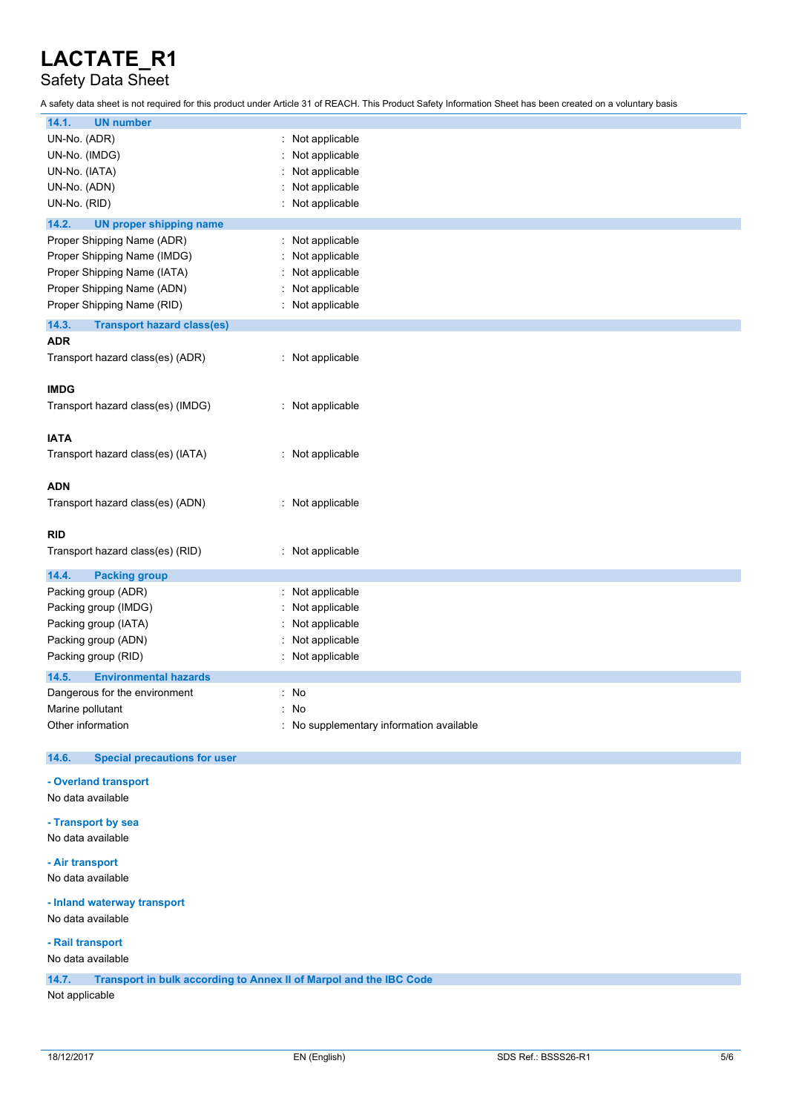## Safety Data Sheet

A safety data sheet is not required for this product under Article 31 of REACH. This Product Safety Information Sheet has been created on a voluntary basis

| <b>UN number</b><br>14.1.                    |                                          |
|----------------------------------------------|------------------------------------------|
| UN-No. (ADR)                                 | : Not applicable                         |
|                                              |                                          |
| UN-No. (IMDG)                                | Not applicable                           |
| UN-No. (IATA)                                | Not applicable                           |
| UN-No. (ADN)                                 | Not applicable                           |
| UN-No. (RID)                                 | Not applicable                           |
| 14.2.<br><b>UN proper shipping name</b>      |                                          |
| Proper Shipping Name (ADR)                   | Not applicable                           |
| Proper Shipping Name (IMDG)                  | Not applicable                           |
| Proper Shipping Name (IATA)                  | Not applicable                           |
| Proper Shipping Name (ADN)                   | Not applicable                           |
| Proper Shipping Name (RID)                   | : Not applicable                         |
| 14.3.<br><b>Transport hazard class(es)</b>   |                                          |
| <b>ADR</b>                                   |                                          |
| Transport hazard class(es) (ADR)             | : Not applicable                         |
|                                              |                                          |
| <b>IMDG</b>                                  |                                          |
| Transport hazard class(es) (IMDG)            | : Not applicable                         |
|                                              |                                          |
| <b>IATA</b>                                  |                                          |
| Transport hazard class(es) (IATA)            | : Not applicable                         |
|                                              |                                          |
| <b>ADN</b>                                   |                                          |
| Transport hazard class(es) (ADN)             | : Not applicable                         |
|                                              |                                          |
| <b>RID</b>                                   |                                          |
|                                              |                                          |
| Transport hazard class(es) (RID)             | : Not applicable                         |
| 14.4.<br><b>Packing group</b>                |                                          |
| Packing group (ADR)                          | Not applicable                           |
| Packing group (IMDG)                         | Not applicable                           |
| Packing group (IATA)                         | Not applicable                           |
| Packing group (ADN)                          | Not applicable                           |
| Packing group (RID)                          | Not applicable                           |
|                                              |                                          |
| 14.5.<br><b>Environmental hazards</b>        |                                          |
| Dangerous for the environment                | $:$ No                                   |
| Marine pollutant                             | : No                                     |
| Other information                            | : No supplementary information available |
| 14.6.<br><b>Special precautions for user</b> |                                          |
|                                              |                                          |
| - Overland transport                         |                                          |
| No data available                            |                                          |
| - Transport by sea                           |                                          |
| No data available                            |                                          |
|                                              |                                          |
| - Air transport                              |                                          |
| No data available                            |                                          |
|                                              |                                          |

**- Inland waterway transport** No data available

**- Rail transport**

No data available

**14.7. Transport in bulk according to Annex II of Marpol and the IBC Code**

Not applicable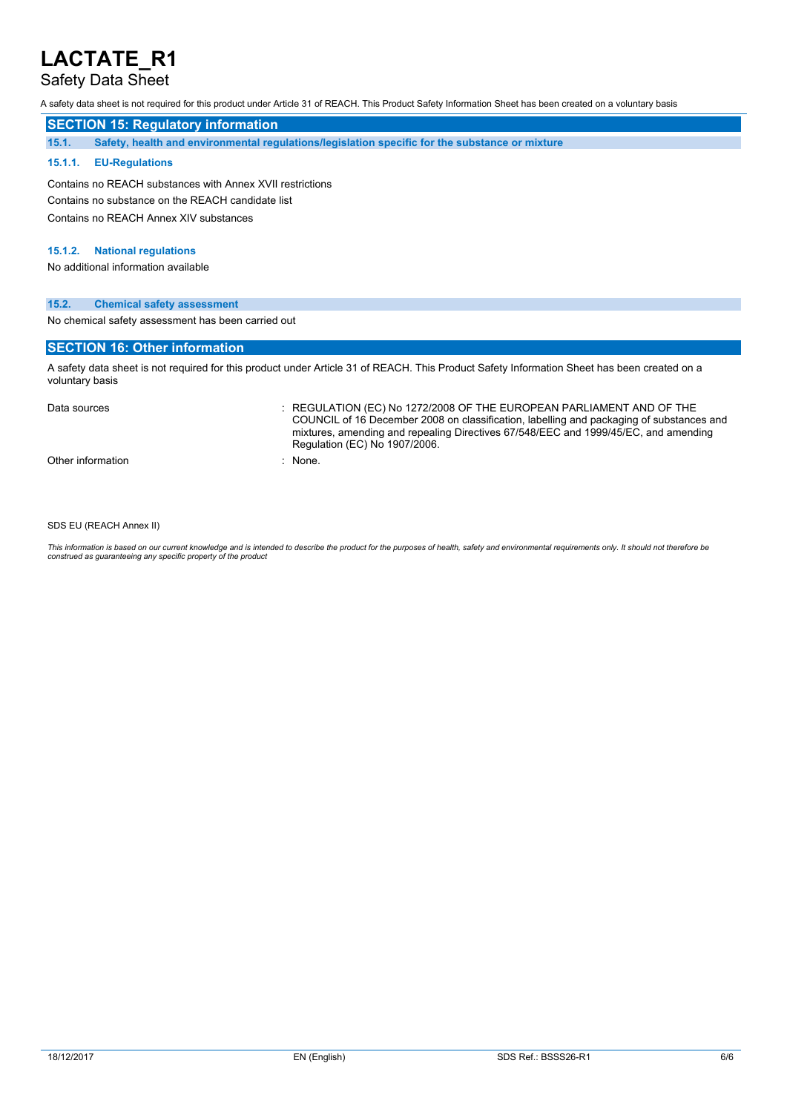## Safety Data Sheet

A safety data sheet is not required for this product under Article 31 of REACH. This Product Safety Information Sheet has been created on a voluntary basis

## **SECTION 15: Regulatory information**

**15.1. Safety, health and environmental regulations/legislation specific for the substance or mixture**

### **15.1.1. EU-Regulations**

Contains no REACH substances with Annex XVII restrictions Contains no substance on the REACH candidate list Contains no REACH Annex XIV substances

### **15.1.2. National regulations**

No additional information available

### **15.2. Chemical safety assessment**

No chemical safety assessment has been carried out

### **SECTION 16: Other information**

A safety data sheet is not required for this product under Article 31 of REACH. This Product Safety Information Sheet has been created on a voluntary basis

Data sources **Superint Studies : REGULATION (EC) No 1272/2008 OF THE EUROPEAN PARLIAMENT AND OF THE** COUNCIL of 16 December 2008 on classification, labelling and packaging of substances and mixtures, amending and repealing Directives 67/548/EEC and 1999/45/EC, and amending Regulation (EC) No 1907/2006.

Other information in the set of the set of the set of the set of the set of the set of the set of the set of the set of the set of the set of the set of the set of the set of the set of the set of the set of the set of the

SDS EU (REACH Annex II)

This information is based on our current knowledge and is intended to describe the product for the purposes of health, safety and environmental requirements only. It should not therefore be<br>construed as guaranteeing any sp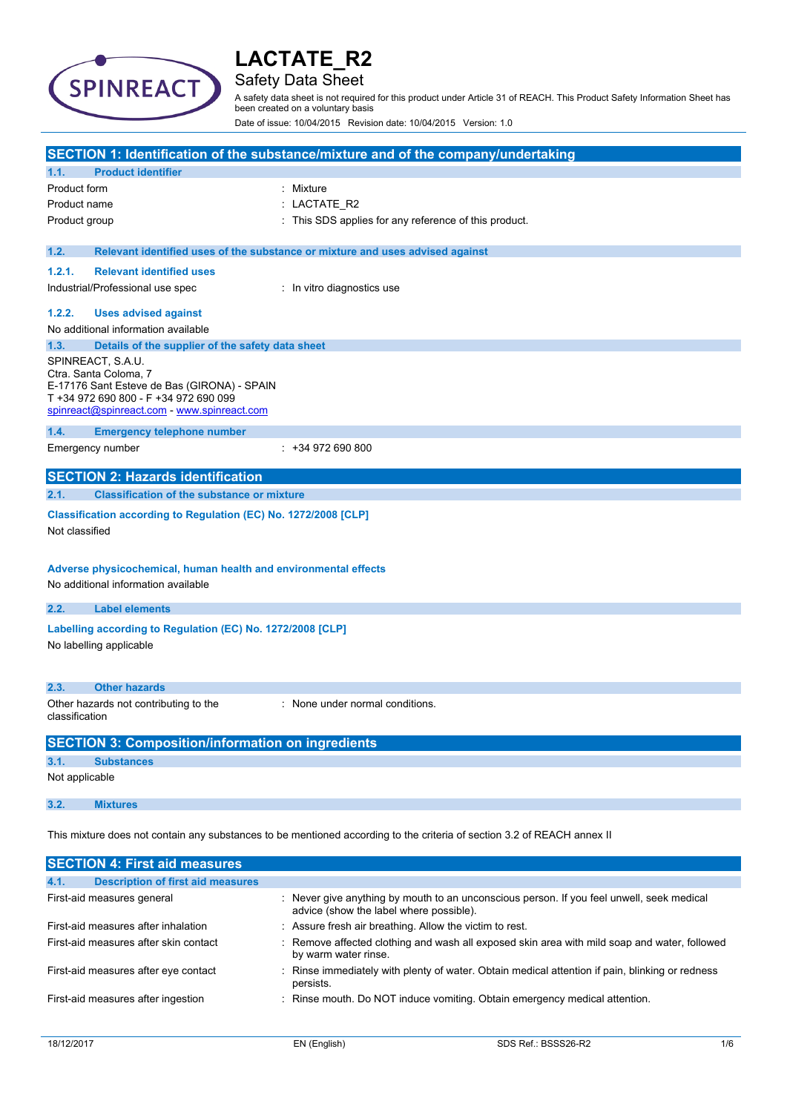

## Safety Data Sheet

A safety data sheet is not required for this product under Article 31 of REACH. This Product Safety Information Sheet has been created on a voluntary basis

Date of issue: 10/04/2015 Revision date: 10/04/2015 Version: 1.0

|                |                                                                                                                                    | SECTION 1: Identification of the substance/mixture and of the company/undertaking                                       |
|----------------|------------------------------------------------------------------------------------------------------------------------------------|-------------------------------------------------------------------------------------------------------------------------|
| 1.1.           | <b>Product identifier</b>                                                                                                          |                                                                                                                         |
| Product form   |                                                                                                                                    | : Mixture                                                                                                               |
| Product name   |                                                                                                                                    | LACTATE_R2                                                                                                              |
| Product group  |                                                                                                                                    | : This SDS applies for any reference of this product.                                                                   |
|                |                                                                                                                                    |                                                                                                                         |
| 1.2.           |                                                                                                                                    | Relevant identified uses of the substance or mixture and uses advised against                                           |
| 1.2.1.         | <b>Relevant identified uses</b>                                                                                                    |                                                                                                                         |
|                | Industrial/Professional use spec                                                                                                   | : In vitro diagnostics use                                                                                              |
| 1.2.2.         | <b>Uses advised against</b>                                                                                                        |                                                                                                                         |
|                | No additional information available                                                                                                |                                                                                                                         |
| 1.3.           | Details of the supplier of the safety data sheet                                                                                   |                                                                                                                         |
|                | SPINREACT, S.A.U.<br>Ctra. Santa Coloma, 7<br>E-17176 Sant Esteve de Bas (GIRONA) - SPAIN<br>T +34 972 690 800 - F +34 972 690 099 |                                                                                                                         |
|                | spinreact@spinreact.com - www.spinreact.com                                                                                        |                                                                                                                         |
| 1.4.           | <b>Emergency telephone number</b>                                                                                                  |                                                                                                                         |
|                | Emergency number                                                                                                                   | $: +34972690800$                                                                                                        |
|                | <b>SECTION 2: Hazards identification</b>                                                                                           |                                                                                                                         |
| 2.1.           | <b>Classification of the substance or mixture</b>                                                                                  |                                                                                                                         |
| Not classified | Classification according to Regulation (EC) No. 1272/2008 [CLP]                                                                    |                                                                                                                         |
|                | Adverse physicochemical, human health and environmental effects<br>No additional information available                             |                                                                                                                         |
| 2.2.           | <b>Label elements</b>                                                                                                              |                                                                                                                         |
|                | Labelling according to Regulation (EC) No. 1272/2008 [CLP]<br>No labelling applicable                                              |                                                                                                                         |
| 2.3.           | <b>Other hazards</b>                                                                                                               |                                                                                                                         |
| classification | Other hazards not contributing to the                                                                                              | : None under normal conditions.                                                                                         |
|                | <b>SECTION 3: Composition/information on ingredients</b>                                                                           |                                                                                                                         |
| 3.1.           | <b>Substances</b>                                                                                                                  |                                                                                                                         |
| Not applicable |                                                                                                                                    |                                                                                                                         |
| 3.2.           | <b>Mixtures</b>                                                                                                                    |                                                                                                                         |
|                |                                                                                                                                    | This mixture does not contain any substances to be mentioned according to the criteria of section 3.2 of REACH annex II |
|                | <b>SECTION 4: First aid measures</b>                                                                                               |                                                                                                                         |
|                |                                                                                                                                    |                                                                                                                         |

| <b>Description of first aid measures</b><br>4.1. |                                                                                                                                      |
|--------------------------------------------------|--------------------------------------------------------------------------------------------------------------------------------------|
| First-aid measures general                       | : Never give anything by mouth to an unconscious person. If you feel unwell, seek medical<br>advice (show the label where possible). |
| First-aid measures after inhalation              | : Assure fresh air breathing. Allow the victim to rest.                                                                              |
| First-aid measures after skin contact            | : Remove affected clothing and wash all exposed skin area with mild soap and water, followed<br>by warm water rinse.                 |
| First-aid measures after eye contact             | : Rinse immediately with plenty of water. Obtain medical attention if pain, blinking or redness<br>persists.                         |
| First-aid measures after ingestion               | : Rinse mouth. Do NOT induce vomiting. Obtain emergency medical attention.                                                           |
|                                                  |                                                                                                                                      |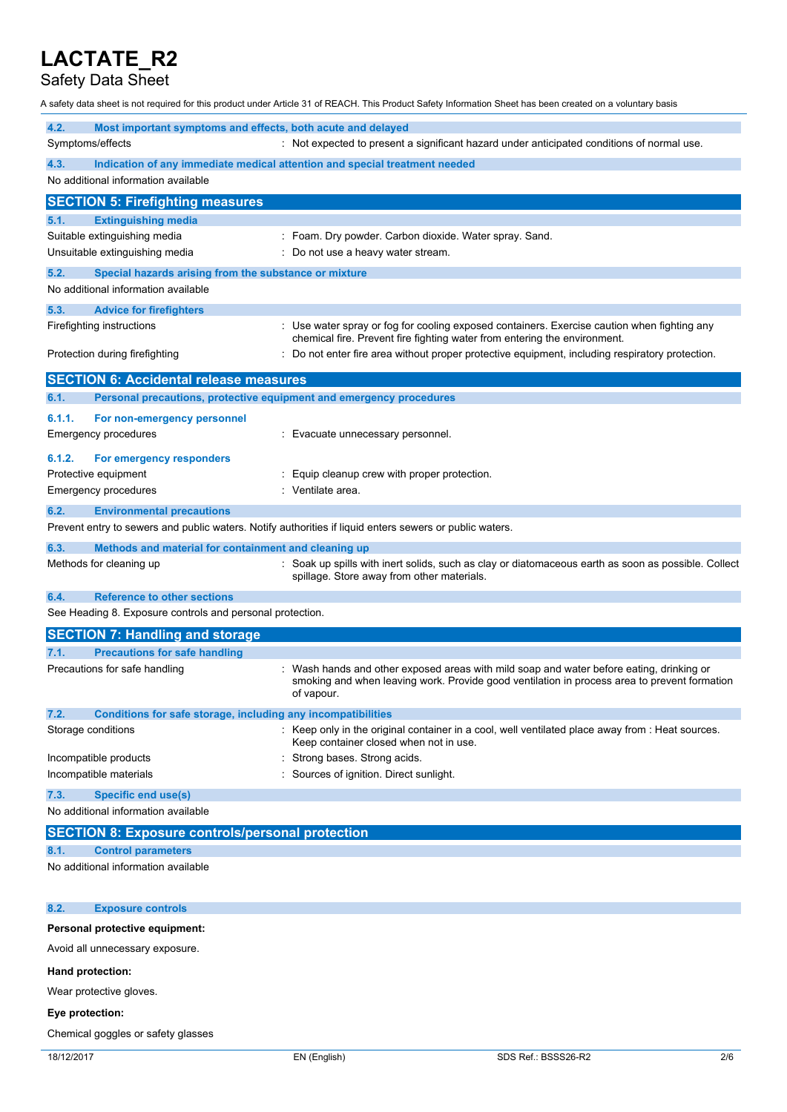## Safety Data Sheet

A safety data sheet is not required for this product under Article 31 of REACH. This Product Safety Information Sheet has been created on a voluntary basis

| 4.2.   | Most important symptoms and effects, both acute and delayed         |                                                                                                                                                                                                      |
|--------|---------------------------------------------------------------------|------------------------------------------------------------------------------------------------------------------------------------------------------------------------------------------------------|
|        | Symptoms/effects                                                    | : Not expected to present a significant hazard under anticipated conditions of normal use.                                                                                                           |
| 4.3.   |                                                                     | Indication of any immediate medical attention and special treatment needed                                                                                                                           |
|        | No additional information available                                 |                                                                                                                                                                                                      |
|        | <b>SECTION 5: Firefighting measures</b>                             |                                                                                                                                                                                                      |
| 5.1.   | <b>Extinguishing media</b>                                          |                                                                                                                                                                                                      |
|        | Suitable extinguishing media                                        | : Foam. Dry powder. Carbon dioxide. Water spray. Sand.                                                                                                                                               |
|        | Unsuitable extinguishing media                                      | Do not use a heavy water stream.                                                                                                                                                                     |
| 5.2.   | Special hazards arising from the substance or mixture               |                                                                                                                                                                                                      |
|        | No additional information available                                 |                                                                                                                                                                                                      |
| 5.3.   | <b>Advice for firefighters</b>                                      |                                                                                                                                                                                                      |
|        | Firefighting instructions                                           | : Use water spray or fog for cooling exposed containers. Exercise caution when fighting any<br>chemical fire. Prevent fire fighting water from entering the environment.                             |
|        | Protection during firefighting                                      | Do not enter fire area without proper protective equipment, including respiratory protection.                                                                                                        |
|        | <b>SECTION 6: Accidental release measures</b>                       |                                                                                                                                                                                                      |
| 6.1.   | Personal precautions, protective equipment and emergency procedures |                                                                                                                                                                                                      |
| 6.1.1. | For non-emergency personnel                                         |                                                                                                                                                                                                      |
|        | Emergency procedures                                                | Evacuate unnecessary personnel.                                                                                                                                                                      |
| 6.1.2. | For emergency responders                                            |                                                                                                                                                                                                      |
|        | Protective equipment                                                | Equip cleanup crew with proper protection.                                                                                                                                                           |
|        | Emergency procedures                                                | Ventilate area.                                                                                                                                                                                      |
| 6.2.   | <b>Environmental precautions</b>                                    |                                                                                                                                                                                                      |
|        |                                                                     | Prevent entry to sewers and public waters. Notify authorities if liquid enters sewers or public waters.                                                                                              |
| 6.3.   | Methods and material for containment and cleaning up                |                                                                                                                                                                                                      |
|        | Methods for cleaning up                                             | Soak up spills with inert solids, such as clay or diatomaceous earth as soon as possible. Collect<br>spillage. Store away from other materials.                                                      |
| 6.4.   | <b>Reference to other sections</b>                                  |                                                                                                                                                                                                      |
|        | See Heading 8. Exposure controls and personal protection.           |                                                                                                                                                                                                      |
|        | <b>SECTION 7: Handling and storage</b>                              |                                                                                                                                                                                                      |
| 7.1.   | <b>Precautions for safe handling</b>                                |                                                                                                                                                                                                      |
|        | Precautions for safe handling                                       | Wash hands and other exposed areas with mild soap and water before eating, drinking or<br>smoking and when leaving work. Provide good ventilation in process area to prevent formation<br>of vapour. |
| 7.2.   | Conditions for safe storage, including any incompatibilities        |                                                                                                                                                                                                      |
|        | Storage conditions                                                  | : Keep only in the original container in a cool, well ventilated place away from : Heat sources.<br>Keep container closed when not in use.                                                           |
|        | Incompatible products                                               | Strong bases. Strong acids.                                                                                                                                                                          |
|        | Incompatible materials                                              | Sources of ignition. Direct sunlight.                                                                                                                                                                |
| 7.3.   | <b>Specific end use(s)</b>                                          |                                                                                                                                                                                                      |
|        | No additional information available                                 |                                                                                                                                                                                                      |
|        | <b>SECTION 8: Exposure controls/personal protection</b>             |                                                                                                                                                                                                      |
| 8.1.   | <b>Control parameters</b>                                           |                                                                                                                                                                                                      |
|        | No additional information available                                 |                                                                                                                                                                                                      |
| 8.2.   | <b>Exposure controls</b>                                            |                                                                                                                                                                                                      |
|        |                                                                     |                                                                                                                                                                                                      |

### **Personal protective equipment:**

Avoid all unnecessary exposure.

#### **Hand protection:**

Wear protective gloves.

## **Eye protection:**

Chemical goggles or safety glasses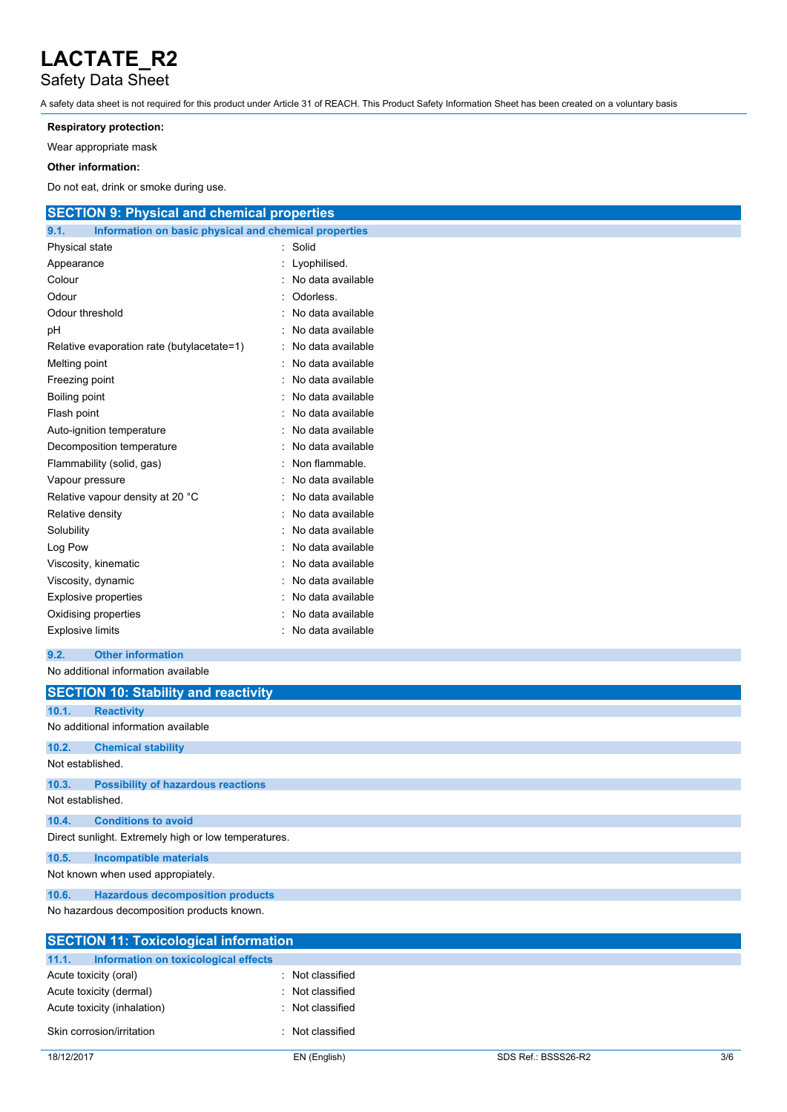# Safety Data Sheet

A safety data sheet is not required for this product under Article 31 of REACH. This Product Safety Information Sheet has been created on a voluntary basis

### **Respiratory protection:**

Wear appropriate mask

### **Other information:**

Do not eat, drink or smoke during use.

| <b>SECTION 9: Physical and chemical properties</b>            |                   |  |  |
|---------------------------------------------------------------|-------------------|--|--|
| Information on basic physical and chemical properties<br>9.1. |                   |  |  |
| Physical state                                                | Solid             |  |  |
| Appearance                                                    | Lyophilised.      |  |  |
| Colour                                                        | No data available |  |  |
| Odour                                                         | Odorless.         |  |  |
| Odour threshold                                               | No data available |  |  |
| pН                                                            | No data available |  |  |
| Relative evaporation rate (butylacetate=1)                    | No data available |  |  |
| Melting point                                                 | No data available |  |  |
| Freezing point                                                | No data available |  |  |
| <b>Boiling point</b>                                          | No data available |  |  |
| Flash point                                                   | No data available |  |  |
| Auto-ignition temperature                                     | No data available |  |  |
| Decomposition temperature                                     | No data available |  |  |
| Flammability (solid, gas)                                     | Non flammable.    |  |  |
| Vapour pressure                                               | No data available |  |  |
| Relative vapour density at 20 °C                              | No data available |  |  |
| Relative density                                              | No data available |  |  |
| Solubility                                                    | No data available |  |  |
| Log Pow                                                       | No data available |  |  |
| Viscosity, kinematic                                          | No data available |  |  |
| Viscosity, dynamic                                            | No data available |  |  |
| <b>Explosive properties</b>                                   | No data available |  |  |
| Oxidising properties                                          | No data available |  |  |
| No data available<br><b>Explosive limits</b>                  |                   |  |  |
| <b>Other information</b><br>9.2.                              |                   |  |  |
| No additional information available                           |                   |  |  |
| <b>SECTION 10: Stability and reactivity</b>                   |                   |  |  |
| 10.1.<br><b>Reactivity</b>                                    |                   |  |  |
| No additional information available                           |                   |  |  |
| <b>Chemical stability</b><br>10.2.                            |                   |  |  |
| Not established.                                              |                   |  |  |
| 10.3.<br><b>Possibility of hazardous reactions</b>            |                   |  |  |
| Not established.                                              |                   |  |  |
| <b>Conditions to avoid</b><br>10.4.                           |                   |  |  |
| Direct sunlight. Extremely high or low temperatures.          |                   |  |  |
| 10.5.<br><b>Incompatible materials</b>                        |                   |  |  |
| Not known when used appropiately.                             |                   |  |  |
| <b>Hazardous decomposition products</b><br>10.6.              |                   |  |  |
| No hazardous decomposition products known.                    |                   |  |  |
| <b>SECTION 11: Tovicological information</b>                  |                   |  |  |

| <b>SECTION 11: Toxicological information</b>  |                  |  |
|-----------------------------------------------|------------------|--|
| 11.1.<br>Information on toxicological effects |                  |  |
| Acute toxicity (oral)                         | : Not classified |  |
| Acute toxicity (dermal)                       | : Not classified |  |
| Acute toxicity (inhalation)                   | : Not classified |  |
| Skin corrosion/irritation                     | Not classified   |  |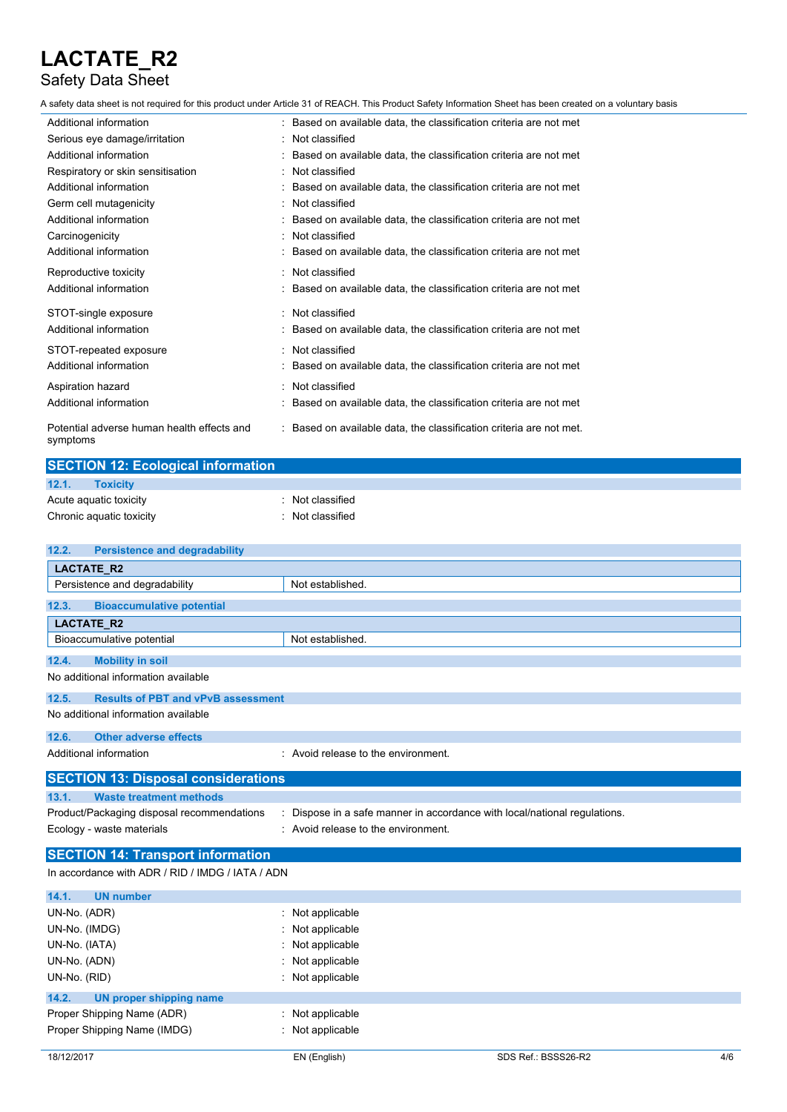## Safety Data Sheet

A safety data sheet is not required for this product under Article 31 of REACH. This Product Safety Information Sheet has been created on a voluntary basis

| Additional information                                 | : Based on available data, the classification criteria are not met  |
|--------------------------------------------------------|---------------------------------------------------------------------|
| Serious eye damage/irritation                          | : Not classified                                                    |
| Additional information                                 | Based on available data, the classification criteria are not met    |
| Respiratory or skin sensitisation                      | : Not classified                                                    |
| Additional information                                 | Based on available data, the classification criteria are not met    |
| Germ cell mutagenicity                                 | : Not classified                                                    |
| Additional information                                 | : Based on available data, the classification criteria are not met  |
| Carcinogenicity                                        | Not classified                                                      |
| Additional information                                 | : Based on available data, the classification criteria are not met  |
| Reproductive toxicity                                  | Not classified                                                      |
| Additional information                                 | Based on available data, the classification criteria are not met    |
| STOT-single exposure                                   | : Not classified                                                    |
| Additional information                                 | Based on available data, the classification criteria are not met    |
| STOT-repeated exposure                                 | : Not classified                                                    |
| Additional information                                 | : Based on available data, the classification criteria are not met  |
| Aspiration hazard                                      | : Not classified                                                    |
| Additional information                                 | Based on available data, the classification criteria are not met    |
| Potential adverse human health effects and<br>symptoms | : Based on available data, the classification criteria are not met. |

| <b>SECTION 12: Ecological information</b> |                  |  |
|-------------------------------------------|------------------|--|
| 12.1.<br><b>Toxicity</b>                  |                  |  |
| Acute aquatic toxicity                    | Not classified   |  |
| Chronic aquatic toxicity                  | : Not classified |  |

| <b>Persistence and degradability</b><br>12.2.      |                                                                           |  |  |  |
|----------------------------------------------------|---------------------------------------------------------------------------|--|--|--|
| <b>LACTATE R2</b>                                  |                                                                           |  |  |  |
| Persistence and degradability                      | Not established.                                                          |  |  |  |
| <b>Bioaccumulative potential</b><br>12.3.          |                                                                           |  |  |  |
| <b>LACTATE R2</b>                                  |                                                                           |  |  |  |
| Bioaccumulative potential                          | Not established.                                                          |  |  |  |
| 12.4.<br><b>Mobility in soil</b>                   |                                                                           |  |  |  |
| No additional information available                |                                                                           |  |  |  |
| 12.5.<br><b>Results of PBT and vPvB assessment</b> |                                                                           |  |  |  |
| No additional information available                |                                                                           |  |  |  |
| <b>Other adverse effects</b><br>12.6.              |                                                                           |  |  |  |
| Additional information                             | : Avoid release to the environment.                                       |  |  |  |
| <b>SECTION 13: Disposal considerations</b>         |                                                                           |  |  |  |
| <b>Waste treatment methods</b><br>13.1.            |                                                                           |  |  |  |
| Product/Packaging disposal recommendations         | : Dispose in a safe manner in accordance with local/national regulations. |  |  |  |
| Ecology - waste materials                          | : Avoid release to the environment.                                       |  |  |  |
| <b>SECTION 14: Transport information</b>           |                                                                           |  |  |  |
| In accordance with ADR / RID / IMDG / IATA / ADN   |                                                                           |  |  |  |
| 14.1.<br><b>UN number</b>                          |                                                                           |  |  |  |
| UN-No. (ADR)                                       | : Not applicable                                                          |  |  |  |
| UN-No. (IMDG)                                      | Not applicable                                                            |  |  |  |
| UN-No. (IATA)                                      | : Not applicable                                                          |  |  |  |

| UN-No. (ADN)                     | $\therefore$ Not applicable |
|----------------------------------|-----------------------------|
| UN-No. (RID)                     | : Not applicable            |
| UN proper shipping name<br>14.2. |                             |
| Proper Shipping Name (ADR)       | : Not applicable            |
| Proper Shipping Name (IMDG)      | : Not applicable            |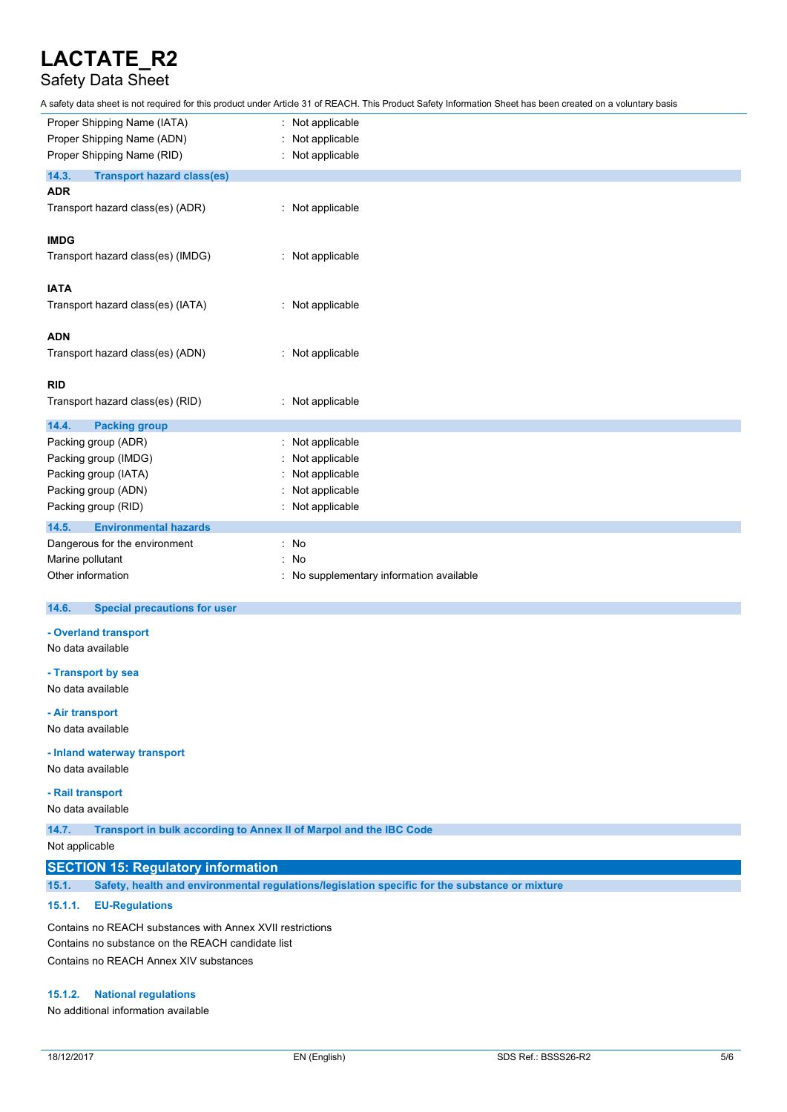## Safety Data Sheet

A safety data sheet is not required for this product under Article 31 of REACH. This Product Safety Information Sheet has been created on a voluntary basis

| Proper Shipping Name (IATA)                | Not applicable                         |  |  |
|--------------------------------------------|----------------------------------------|--|--|
| Proper Shipping Name (ADN)                 | Not applicable                         |  |  |
| Proper Shipping Name (RID)                 | Not applicable                         |  |  |
| 14.3.<br><b>Transport hazard class(es)</b> |                                        |  |  |
| <b>ADR</b>                                 |                                        |  |  |
| Transport hazard class(es) (ADR)           | : Not applicable                       |  |  |
| <b>IMDG</b>                                |                                        |  |  |
| Transport hazard class(es) (IMDG)          | : Not applicable                       |  |  |
| <b>IATA</b>                                |                                        |  |  |
| Transport hazard class(es) (IATA)          | : Not applicable                       |  |  |
| <b>ADN</b>                                 |                                        |  |  |
| Transport hazard class(es) (ADN)           | : Not applicable                       |  |  |
| <b>RID</b>                                 |                                        |  |  |
| Transport hazard class(es) (RID)           | : Not applicable                       |  |  |
| 14.4.<br><b>Packing group</b>              |                                        |  |  |
| Packing group (ADR)                        | Not applicable                         |  |  |
| Packing group (IMDG)                       | Not applicable                         |  |  |
| Packing group (IATA)                       | Not applicable                         |  |  |
| Packing group (ADN)                        | Not applicable                         |  |  |
| Packing group (RID)                        | Not applicable                         |  |  |
| 14.5.<br><b>Environmental hazards</b>      |                                        |  |  |
| Dangerous for the environment              | No<br>÷                                |  |  |
| Marine pollutant                           | <b>No</b>                              |  |  |
| Other information                          | No supplementary information available |  |  |

#### $14.6.$ **14.6. Special precautions for user**

#### **- Overland transport**

No data available

**- Transport by sea** No data available

#### **- Air transport**

No data available

#### **- Inland waterway transport**

No data available

### **- Rail transport**

No data available

**14.7. Transport in bulk according to Annex II of Marpol and the IBC Code**

Not applicable

### **SECTION 15: Regulatory information**

**15.1. Safety, health and environmental regulations/legislation specific for the substance or mixture**

#### **15.1.1. EU-Regulations**

Contains no REACH substances with Annex XVII restrictions Contains no substance on the REACH candidate list Contains no REACH Annex XIV substances

#### **15.1.2. National regulations**

No additional information available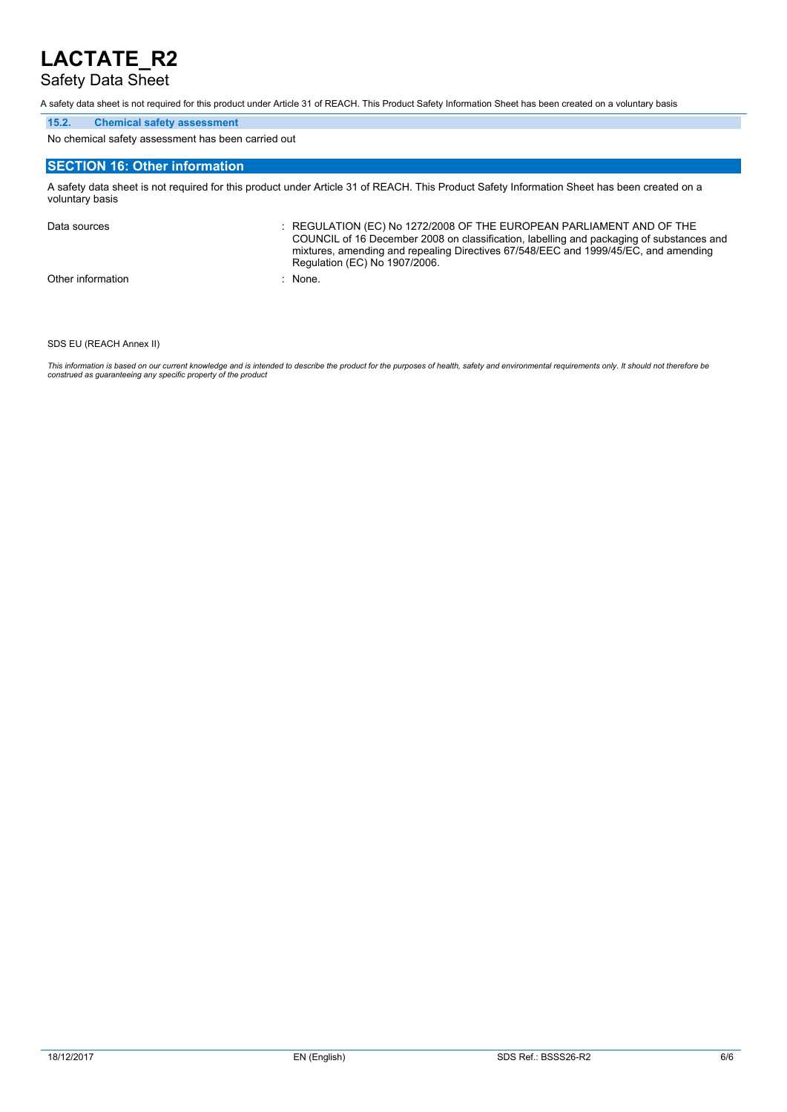## Safety Data Sheet

A safety data sheet is not required for this product under Article 31 of REACH. This Product Safety Information Sheet has been created on a voluntary basis

### **15.2. Chemical safety assessment**

No chemical safety assessment has been carried out

### **SECTION 16: Other information**

A safety data sheet is not required for this product under Article 31 of REACH. This Product Safety Information Sheet has been created on a voluntary basis

Data sources **Superint Studies : REGULATION (EC) No 1272/2008 OF THE EUROPEAN PARLIAMENT AND OF THE** COUNCIL of 16 December 2008 on classification, labelling and packaging of substances and mixtures, amending and repealing Directives 67/548/EEC and 1999/45/EC, and amending Regulation (EC) No 1907/2006. Other information : None.

#### SDS EU (REACH Annex II)

This information is based on our current knowledge and is intended to describe the product for the purposes of health, safety and environmental requirements only. It should not therefore be<br>construed as guaranteeing any sp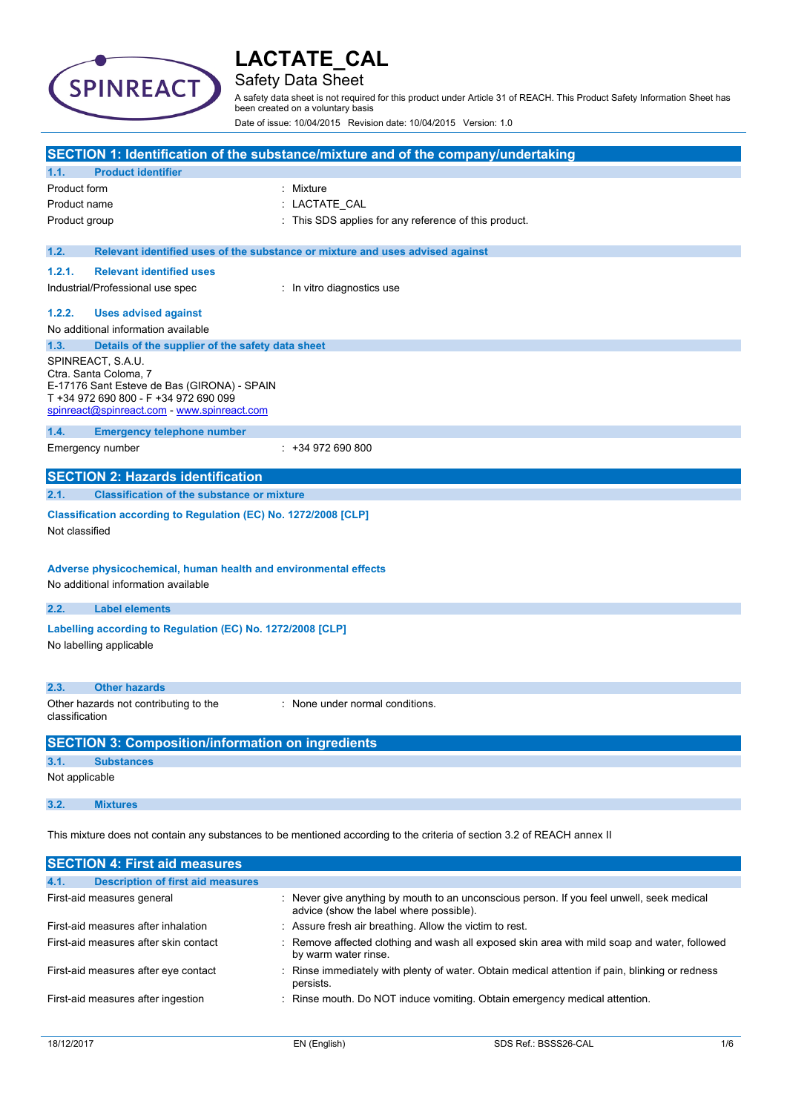

## Safety Data Sheet

A safety data sheet is not required for this product under Article 31 of REACH. This Product Safety Information Sheet has been created on a voluntary basis

Date of issue: 10/04/2015 Revision date: 10/04/2015 Version: 1.0

|                                                                                                                                                      | SECTION 1: Identification of the substance/mixture and of the company/undertaking                                                   |  |
|------------------------------------------------------------------------------------------------------------------------------------------------------|-------------------------------------------------------------------------------------------------------------------------------------|--|
| 1.1.                                                                                                                                                 | <b>Product identifier</b>                                                                                                           |  |
| Product form                                                                                                                                         | : Mixture                                                                                                                           |  |
| Product name                                                                                                                                         | : LACTATE_CAL                                                                                                                       |  |
| Product group                                                                                                                                        | : This SDS applies for any reference of this product.                                                                               |  |
|                                                                                                                                                      |                                                                                                                                     |  |
| 1.2.                                                                                                                                                 | Relevant identified uses of the substance or mixture and uses advised against                                                       |  |
| 1.2.1.                                                                                                                                               | <b>Relevant identified uses</b>                                                                                                     |  |
| Industrial/Professional use spec                                                                                                                     | : In vitro diagnostics use                                                                                                          |  |
| 1.2.2.                                                                                                                                               | <b>Uses advised against</b>                                                                                                         |  |
| No additional information available                                                                                                                  |                                                                                                                                     |  |
| 1.3.                                                                                                                                                 | Details of the supplier of the safety data sheet                                                                                    |  |
| SPINREACT, S.A.U.<br>Ctra. Santa Coloma, 7                                                                                                           | E-17176 Sant Esteve de Bas (GIRONA) - SPAIN<br>T +34 972 690 800 - F +34 972 690 099<br>spinreact@spinreact.com - www.spinreact.com |  |
| 1.4.                                                                                                                                                 | <b>Emergency telephone number</b>                                                                                                   |  |
| Emergency number                                                                                                                                     | $: +34972690800$                                                                                                                    |  |
|                                                                                                                                                      |                                                                                                                                     |  |
|                                                                                                                                                      | <b>SECTION 2: Hazards identification</b>                                                                                            |  |
| 2.1.                                                                                                                                                 | <b>Classification of the substance or mixture</b>                                                                                   |  |
| Classification according to Regulation (EC) No. 1272/2008 [CLP]<br>Not classified<br>Adverse physicochemical, human health and environmental effects |                                                                                                                                     |  |
| No additional information available                                                                                                                  |                                                                                                                                     |  |
| 2.2.<br><b>Label elements</b>                                                                                                                        |                                                                                                                                     |  |
| No labelling applicable                                                                                                                              | Labelling according to Regulation (EC) No. 1272/2008 [CLP]                                                                          |  |
| <b>Other hazards</b><br>2.3.                                                                                                                         |                                                                                                                                     |  |
| Other hazards not contributing to the<br>classification                                                                                              | : None under normal conditions.                                                                                                     |  |
|                                                                                                                                                      | <b>SECTION 3: Composition/information on ingredients</b>                                                                            |  |
| 3.1.<br><b>Substances</b>                                                                                                                            |                                                                                                                                     |  |
| Not applicable                                                                                                                                       |                                                                                                                                     |  |
| 3.2.<br><b>Mixtures</b>                                                                                                                              |                                                                                                                                     |  |
|                                                                                                                                                      | This mixture does not contain any substances to be mentioned according to the criteria of section 3.2 of REACH annex II             |  |
|                                                                                                                                                      | <b>SECTION 4: First aid measures</b>                                                                                                |  |

| 4.1. | <b>Description of first aid measures</b> |                                                                                                                                      |
|------|------------------------------------------|--------------------------------------------------------------------------------------------------------------------------------------|
|      | First-aid measures general               | : Never give anything by mouth to an unconscious person. If you feel unwell, seek medical<br>advice (show the label where possible). |
|      | First-aid measures after inhalation      | : Assure fresh air breathing. Allow the victim to rest.                                                                              |
|      | First-aid measures after skin contact    | : Remove affected clothing and wash all exposed skin area with mild soap and water, followed<br>by warm water rinse.                 |
|      | First-aid measures after eye contact     | : Rinse immediately with plenty of water. Obtain medical attention if pain, blinking or redness<br>persists.                         |
|      | First-aid measures after ingestion       | : Rinse mouth. Do NOT induce vomiting. Obtain emergency medical attention.                                                           |
|      |                                          |                                                                                                                                      |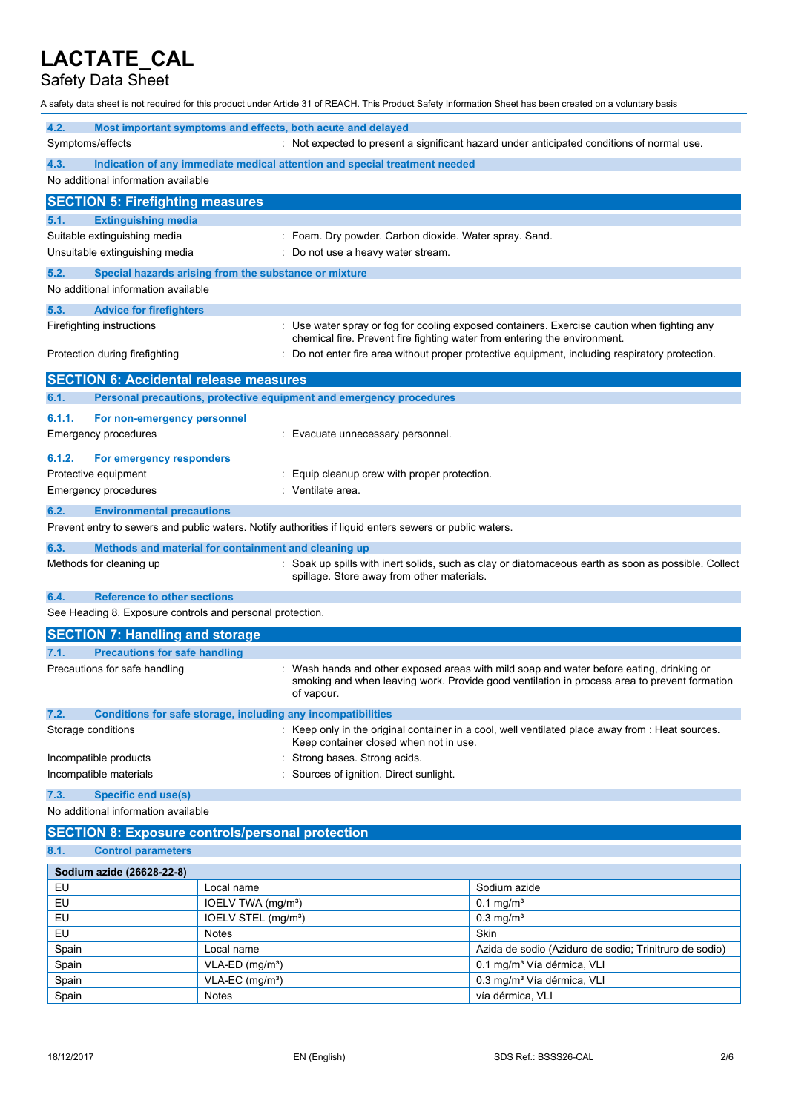## Safety Data Sheet

A safety data sheet is not required for this product under Article 31 of REACH. This Product Safety Information Sheet has been created on a voluntary basis

| 4.2.                                                      | Most important symptoms and effects, both acute and delayed                                             |                                                                                                   |  |  |
|-----------------------------------------------------------|---------------------------------------------------------------------------------------------------------|---------------------------------------------------------------------------------------------------|--|--|
| Symptoms/effects                                          |                                                                                                         | : Not expected to present a significant hazard under anticipated conditions of normal use.        |  |  |
| 4.3.                                                      | Indication of any immediate medical attention and special treatment needed                              |                                                                                                   |  |  |
| No additional information available                       |                                                                                                         |                                                                                                   |  |  |
| <b>SECTION 5: Firefighting measures</b>                   |                                                                                                         |                                                                                                   |  |  |
| <b>Extinguishing media</b><br>5.1.                        |                                                                                                         |                                                                                                   |  |  |
| Suitable extinguishing media                              |                                                                                                         | Foam. Dry powder. Carbon dioxide. Water spray. Sand.                                              |  |  |
| Unsuitable extinguishing media                            |                                                                                                         | Do not use a heavy water stream.                                                                  |  |  |
| 5.2.                                                      | Special hazards arising from the substance or mixture                                                   |                                                                                                   |  |  |
| No additional information available                       |                                                                                                         |                                                                                                   |  |  |
| 5.3.<br><b>Advice for firefighters</b>                    |                                                                                                         |                                                                                                   |  |  |
| Firefighting instructions                                 |                                                                                                         | : Use water spray or fog for cooling exposed containers. Exercise caution when fighting any       |  |  |
|                                                           |                                                                                                         | chemical fire. Prevent fire fighting water from entering the environment.                         |  |  |
| Protection during firefighting                            |                                                                                                         | : Do not enter fire area without proper protective equipment, including respiratory protection.   |  |  |
| <b>SECTION 6: Accidental release measures</b>             |                                                                                                         |                                                                                                   |  |  |
| 6.1.                                                      | Personal precautions, protective equipment and emergency procedures                                     |                                                                                                   |  |  |
| 6.1.1.<br>For non-emergency personnel                     |                                                                                                         |                                                                                                   |  |  |
| <b>Emergency procedures</b>                               | Evacuate unnecessary personnel.                                                                         |                                                                                                   |  |  |
| 6.1.2.<br>For emergency responders                        |                                                                                                         |                                                                                                   |  |  |
| Protective equipment                                      | Equip cleanup crew with proper protection.                                                              |                                                                                                   |  |  |
| <b>Emergency procedures</b>                               | Ventilate area.                                                                                         |                                                                                                   |  |  |
| 6.2.<br><b>Environmental precautions</b>                  |                                                                                                         |                                                                                                   |  |  |
|                                                           | Prevent entry to sewers and public waters. Notify authorities if liquid enters sewers or public waters. |                                                                                                   |  |  |
| 6.3.                                                      | Methods and material for containment and cleaning up                                                    |                                                                                                   |  |  |
| Methods for cleaning up                                   |                                                                                                         | Soak up spills with inert solids, such as clay or diatomaceous earth as soon as possible. Collect |  |  |
|                                                           | spillage. Store away from other materials.                                                              |                                                                                                   |  |  |
| <b>Reference to other sections</b><br>6.4.                |                                                                                                         |                                                                                                   |  |  |
| See Heading 8. Exposure controls and personal protection. |                                                                                                         |                                                                                                   |  |  |
| <b>SECTION 7: Handling and storage</b>                    |                                                                                                         |                                                                                                   |  |  |
| <b>Precautions for safe handling</b><br>7.1.              |                                                                                                         |                                                                                                   |  |  |
| Precautions for safe handling                             |                                                                                                         | Wash hands and other exposed areas with mild soap and water before eating, drinking or            |  |  |
|                                                           | of vapour.                                                                                              | smoking and when leaving work. Provide good ventilation in process area to prevent formation      |  |  |
| 7.2.                                                      | Conditions for safe storage, including any incompatibilities                                            |                                                                                                   |  |  |
| Storage conditions                                        | Keep container closed when not in use.                                                                  | Keep only in the original container in a cool, well ventilated place away from : Heat sources.    |  |  |
| Incompatible products                                     | Strong bases. Strong acids.                                                                             |                                                                                                   |  |  |
| Incompatible materials                                    | Sources of ignition. Direct sunlight.                                                                   |                                                                                                   |  |  |
| 7.3.<br><b>Specific end use(s)</b>                        |                                                                                                         |                                                                                                   |  |  |
| No additional information available                       |                                                                                                         |                                                                                                   |  |  |
|                                                           | <b>SECTION 8: Exposure controls/personal protection</b>                                                 |                                                                                                   |  |  |
| 8.1.<br><b>Control parameters</b>                         |                                                                                                         |                                                                                                   |  |  |
| Sodium azide (26628-22-8)                                 |                                                                                                         |                                                                                                   |  |  |
| EU                                                        | Local name                                                                                              | Sodium azide                                                                                      |  |  |
| EU                                                        | IOELV TWA (mg/m <sup>3</sup> )                                                                          | $0.1$ mg/m <sup>3</sup>                                                                           |  |  |
| EU                                                        | IOELV STEL (mg/m <sup>3</sup> )                                                                         | $0.3$ mg/m <sup>3</sup>                                                                           |  |  |
| EU                                                        | <b>Notes</b>                                                                                            | Skin                                                                                              |  |  |
| Spain                                                     | Local name                                                                                              | Azida de sodio (Aziduro de sodio; Trinitruro de sodio)                                            |  |  |
| Spain                                                     | $VLA-ED$ (mg/m <sup>3</sup> )                                                                           | 0.1 mg/m <sup>3</sup> Vía dérmica, VLI                                                            |  |  |

Spain VLA-EC (mg/m<sup>3</sup>) VLA-EC (mg/m<sup>3</sup>) 0.3 mg/m<sup>3</sup> Vía dérmica, VLI

Spain Notes Notes vía dérmica, VLI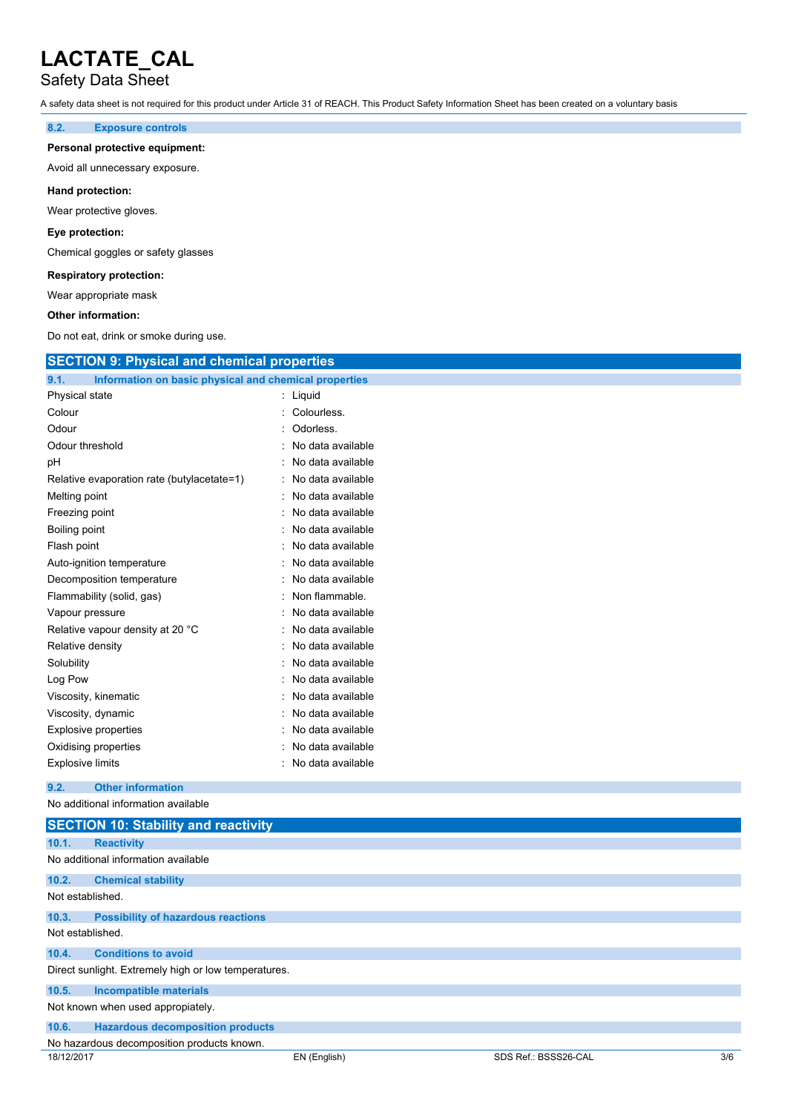## Safety Data Sheet

A safety data sheet is not required for this product under Article 31 of REACH. This Product Safety Information Sheet has been created on a voluntary basis

### **8.2. Exposure controls**

#### **Personal protective equipment:**

Avoid all unnecessary exposure.

### **Hand protection:**

Wear protective gloves.

### **Eye protection:**

Chemical goggles or safety glasses

### **Respiratory protection:**

Wear appropriate mask

#### **Other information:**

Do not eat, drink or smoke during use.

| <b>SECTION 9: Physical and chemical properties</b>            |                   |  |
|---------------------------------------------------------------|-------------------|--|
| 9.1.<br>Information on basic physical and chemical properties |                   |  |
| Physical state                                                | : Liquid          |  |
| Colour                                                        | : Colourless.     |  |
| Odour                                                         | Odorless.         |  |
| Odour threshold                                               | No data available |  |
| рH                                                            | No data available |  |
| Relative evaporation rate (butylacetate=1)                    | No data available |  |
| Melting point                                                 | No data available |  |
| Freezing point                                                | No data available |  |
| Boiling point                                                 | No data available |  |
| Flash point                                                   | No data available |  |
| Auto-ignition temperature                                     | No data available |  |
| Decomposition temperature                                     | No data available |  |
| Flammability (solid, gas)                                     | Non flammable.    |  |
| Vapour pressure                                               | No data available |  |
| Relative vapour density at 20 °C                              | No data available |  |
| Relative density                                              | No data available |  |
| Solubility                                                    | No data available |  |
| Log Pow                                                       | No data available |  |
| Viscosity, kinematic                                          | No data available |  |
| Viscosity, dynamic                                            | No data available |  |
| <b>Explosive properties</b>                                   | No data available |  |
| Oxidising properties                                          | No data available |  |
| <b>Explosive limits</b>                                       | No data available |  |
| 9.2.<br><b>Other information</b>                              |                   |  |
| No additional information available                           |                   |  |
| <b>SECTION 10: Stability and reactivity</b>                   |                   |  |

| 10.1.                                                | <b>Reactivity</b>                          |  |  |  |
|------------------------------------------------------|--------------------------------------------|--|--|--|
|                                                      | No additional information available        |  |  |  |
| 10.2.                                                | <b>Chemical stability</b>                  |  |  |  |
| Not established.                                     |                                            |  |  |  |
| 10.3.                                                | <b>Possibility of hazardous reactions</b>  |  |  |  |
| Not established.                                     |                                            |  |  |  |
| 10.4.                                                | <b>Conditions to avoid</b>                 |  |  |  |
| Direct sunlight. Extremely high or low temperatures. |                                            |  |  |  |
| 10.5.                                                | <b>Incompatible materials</b>              |  |  |  |
| Not known when used appropiately.                    |                                            |  |  |  |
| 10.6.                                                | <b>Hazardous decomposition products</b>    |  |  |  |
|                                                      | No hazardous decomposition products known. |  |  |  |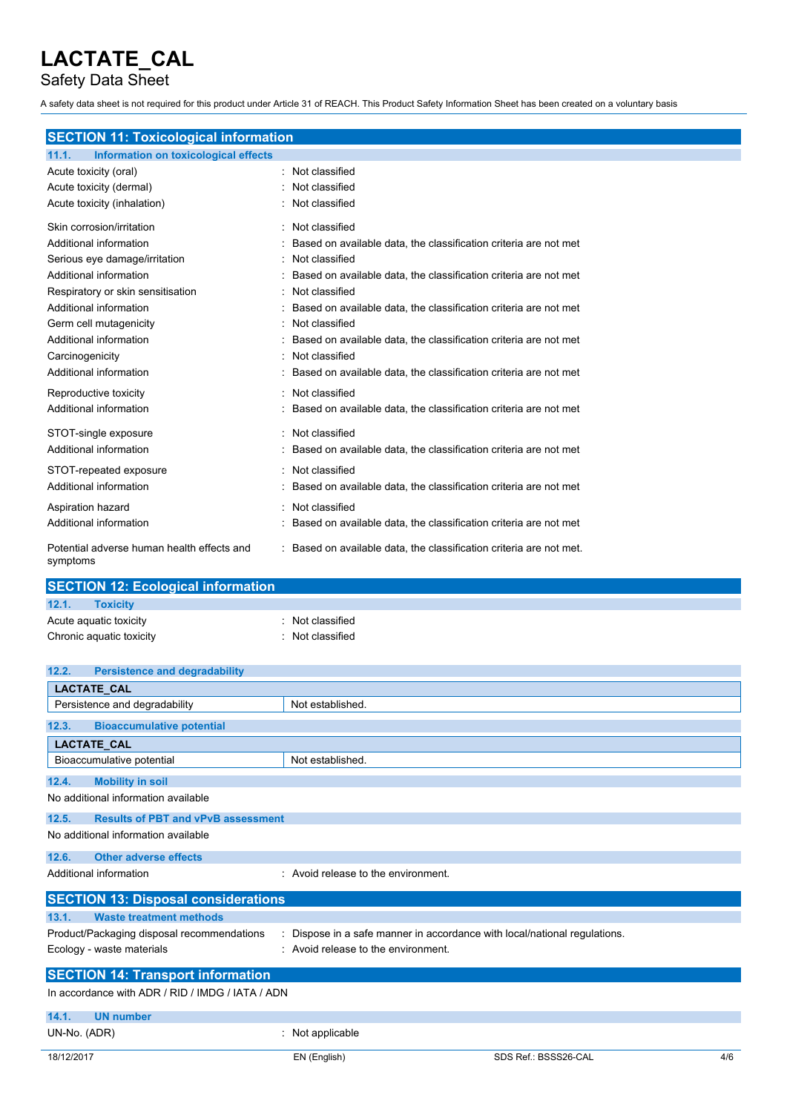Safety Data Sheet

A safety data sheet is not required for this product under Article 31 of REACH. This Product Safety Information Sheet has been created on a voluntary basis

# **SECTION 11: Toxicological information**

| Information on toxicological effects<br>11.1.          |                                                                   |
|--------------------------------------------------------|-------------------------------------------------------------------|
| Acute toxicity (oral)                                  | Not classified                                                    |
| Acute toxicity (dermal)                                | Not classified                                                    |
| Acute toxicity (inhalation)                            | Not classified                                                    |
| Skin corrosion/irritation                              | Not classified                                                    |
| Additional information                                 | Based on available data, the classification criteria are not met  |
| Serious eye damage/irritation                          | Not classified                                                    |
| Additional information                                 | Based on available data, the classification criteria are not met  |
| Respiratory or skin sensitisation                      | Not classified                                                    |
| Additional information                                 | Based on available data, the classification criteria are not met  |
| Germ cell mutagenicity                                 | Not classified                                                    |
| Additional information                                 | Based on available data, the classification criteria are not met  |
| Carcinogenicity                                        | Not classified                                                    |
| Additional information                                 | Based on available data, the classification criteria are not met  |
| Reproductive toxicity                                  | Not classified                                                    |
| Additional information                                 | Based on available data, the classification criteria are not met  |
| STOT-single exposure                                   | Not classified                                                    |
| Additional information                                 | Based on available data, the classification criteria are not met  |
| STOT-repeated exposure                                 | Not classified                                                    |
| Additional information                                 | Based on available data, the classification criteria are not met  |
| Aspiration hazard                                      | Not classified                                                    |
| Additional information                                 | Based on available data, the classification criteria are not met  |
| Potential adverse human health effects and<br>symptoms | Based on available data, the classification criteria are not met. |

| <b>SECTION 12: Ecological information</b> |                  |
|-------------------------------------------|------------------|
| 12.1.<br><b>Toxicity</b>                  |                  |
| Acute aquatic toxicity                    | : Not classified |
| Chronic aquatic toxicity                  | : Not classified |

| 12.2.        | <b>Persistence and degradability</b>             |                                                                         |                      |     |
|--------------|--------------------------------------------------|-------------------------------------------------------------------------|----------------------|-----|
|              | LACTATE_CAL                                      |                                                                         |                      |     |
|              | Persistence and degradability                    | Not established.                                                        |                      |     |
| 12.3.        | <b>Bioaccumulative potential</b>                 |                                                                         |                      |     |
|              | <b>LACTATE CAL</b>                               |                                                                         |                      |     |
|              | Bioaccumulative potential                        | Not established.                                                        |                      |     |
| 12.4.        | <b>Mobility in soil</b>                          |                                                                         |                      |     |
|              | No additional information available              |                                                                         |                      |     |
| 12.5.        | <b>Results of PBT and vPvB assessment</b>        |                                                                         |                      |     |
|              | No additional information available              |                                                                         |                      |     |
| 12.6.        | <b>Other adverse effects</b>                     |                                                                         |                      |     |
|              | Additional information                           | : Avoid release to the environment.                                     |                      |     |
|              | <b>SECTION 13: Disposal considerations</b>       |                                                                         |                      |     |
| 13.1.        | <b>Waste treatment methods</b>                   |                                                                         |                      |     |
|              | Product/Packaging disposal recommendations       | Dispose in a safe manner in accordance with local/national regulations. |                      |     |
|              | Ecology - waste materials                        | : Avoid release to the environment.                                     |                      |     |
|              | <b>SECTION 14: Transport information</b>         |                                                                         |                      |     |
|              | In accordance with ADR / RID / IMDG / IATA / ADN |                                                                         |                      |     |
| 14.1.        | <b>UN number</b>                                 |                                                                         |                      |     |
| UN-No. (ADR) |                                                  | Not applicable                                                          |                      |     |
| 18/12/2017   |                                                  | EN (English)                                                            | SDS Ref.: BSSS26-CAL | 4/6 |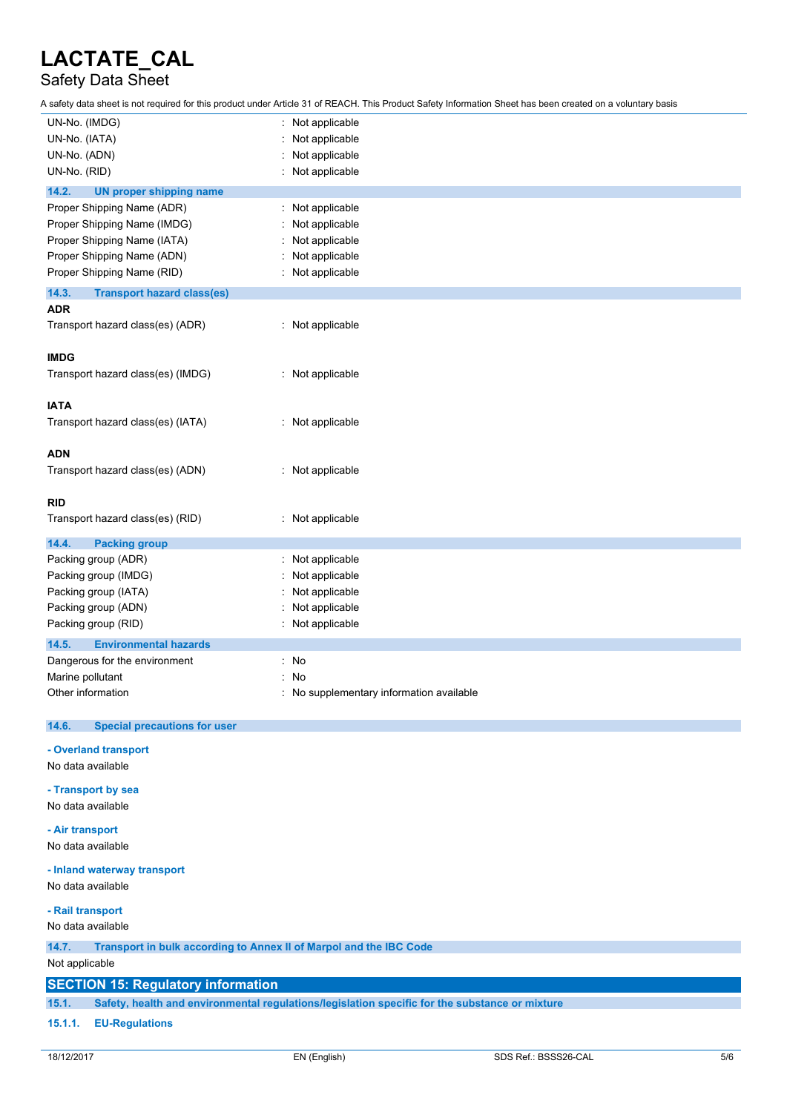# Safety Data Sheet

A safety data sheet is not required for this product under Article 31 of REACH. This Product Safety Information Sheet has been created on a voluntary basis

| UN-No. (IMDG)                                                               | Not applicable                                                                                 |
|-----------------------------------------------------------------------------|------------------------------------------------------------------------------------------------|
| UN-No. (IATA)                                                               | Not applicable                                                                                 |
| UN-No. (ADN)                                                                | Not applicable                                                                                 |
| UN-No. (RID)                                                                | Not applicable                                                                                 |
| 14.2.<br><b>UN proper shipping name</b>                                     |                                                                                                |
| Proper Shipping Name (ADR)                                                  |                                                                                                |
|                                                                             | Not applicable<br>t.                                                                           |
| Proper Shipping Name (IMDG)                                                 | Not applicable                                                                                 |
| Proper Shipping Name (IATA)                                                 | Not applicable                                                                                 |
| Proper Shipping Name (ADN)                                                  | Not applicable                                                                                 |
| Proper Shipping Name (RID)                                                  | Not applicable                                                                                 |
| 14.3.<br><b>Transport hazard class(es)</b>                                  |                                                                                                |
| <b>ADR</b>                                                                  |                                                                                                |
| Transport hazard class(es) (ADR)                                            | : Not applicable                                                                               |
|                                                                             |                                                                                                |
| <b>IMDG</b>                                                                 |                                                                                                |
| Transport hazard class(es) (IMDG)                                           | : Not applicable                                                                               |
|                                                                             |                                                                                                |
| <b>IATA</b>                                                                 |                                                                                                |
| Transport hazard class(es) (IATA)                                           | : Not applicable                                                                               |
|                                                                             |                                                                                                |
| <b>ADN</b>                                                                  |                                                                                                |
|                                                                             |                                                                                                |
| Transport hazard class(es) (ADN)                                            | : Not applicable                                                                               |
|                                                                             |                                                                                                |
| <b>RID</b>                                                                  |                                                                                                |
| Transport hazard class(es) (RID)                                            | Not applicable                                                                                 |
| 14.4.<br><b>Packing group</b>                                               |                                                                                                |
| Packing group (ADR)                                                         | Not applicable                                                                                 |
| Packing group (IMDG)                                                        | Not applicable                                                                                 |
| Packing group (IATA)                                                        | Not applicable                                                                                 |
| Packing group (ADN)                                                         | Not applicable                                                                                 |
| Packing group (RID)                                                         | Not applicable                                                                                 |
|                                                                             |                                                                                                |
| 14.5.<br><b>Environmental hazards</b>                                       |                                                                                                |
| Dangerous for the environment                                               | No<br>۰                                                                                        |
| Marine pollutant                                                            | No                                                                                             |
| Other information                                                           | No supplementary information available                                                         |
|                                                                             |                                                                                                |
| <b>Special precautions for user</b><br>14.6.                                |                                                                                                |
| - Overland transport                                                        |                                                                                                |
| No data available                                                           |                                                                                                |
|                                                                             |                                                                                                |
| - Transport by sea                                                          |                                                                                                |
| No data available                                                           |                                                                                                |
|                                                                             |                                                                                                |
| - Air transport                                                             |                                                                                                |
| No data available                                                           |                                                                                                |
| - Inland waterway transport                                                 |                                                                                                |
| No data available                                                           |                                                                                                |
|                                                                             |                                                                                                |
| - Rail transport                                                            |                                                                                                |
| No data available                                                           |                                                                                                |
| Transport in bulk according to Annex II of Marpol and the IBC Code<br>14.7. |                                                                                                |
| Not applicable                                                              |                                                                                                |
|                                                                             |                                                                                                |
| <b>SECTION 15: Regulatory information</b>                                   |                                                                                                |
| 15.1.                                                                       | Safety, health and environmental regulations/legislation specific for the substance or mixture |

### **15.1.1. EU-Regulations**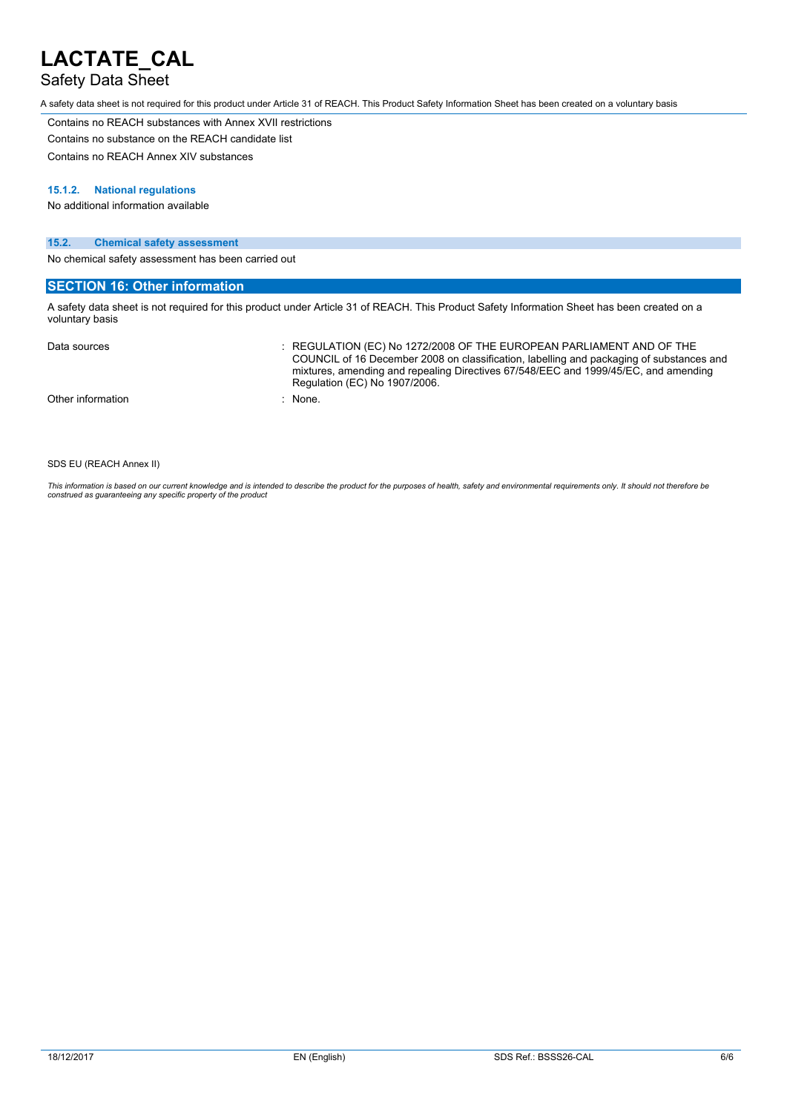## Safety Data Sheet

A safety data sheet is not required for this product under Article 31 of REACH. This Product Safety Information Sheet has been created on a voluntary basis

Contains no REACH substances with Annex XVII restrictions Contains no substance on the REACH candidate list

Contains no REACH Annex XIV substances

#### **15.1.2. National regulations**

No additional information available

#### **15.2. Chemical safety assessment**

No chemical safety assessment has been carried out

### **SECTION 16: Other information**

A safety data sheet is not required for this product under Article 31 of REACH. This Product Safety Information Sheet has been created on a voluntary basis

| Data sources      | $\therefore$ REGULATION (EC) No 1272/2008 OF THE EUROPEAN PARLIAMENT AND OF THE<br>COUNCIL of 16 December 2008 on classification, labelling and packaging of substances and<br>mixtures, amending and repealing Directives 67/548/EEC and 1999/45/EC, and amending<br>Regulation (EC) No 1907/2006. |
|-------------------|-----------------------------------------------------------------------------------------------------------------------------------------------------------------------------------------------------------------------------------------------------------------------------------------------------|
| Other information | : None.                                                                                                                                                                                                                                                                                             |

#### SDS EU (REACH Annex II)

This information is based on our current knowledge and is intended to describe the product for the purposes of health, safety and environmental requirements only. It should not therefore be<br>construed as guaranteeing any sp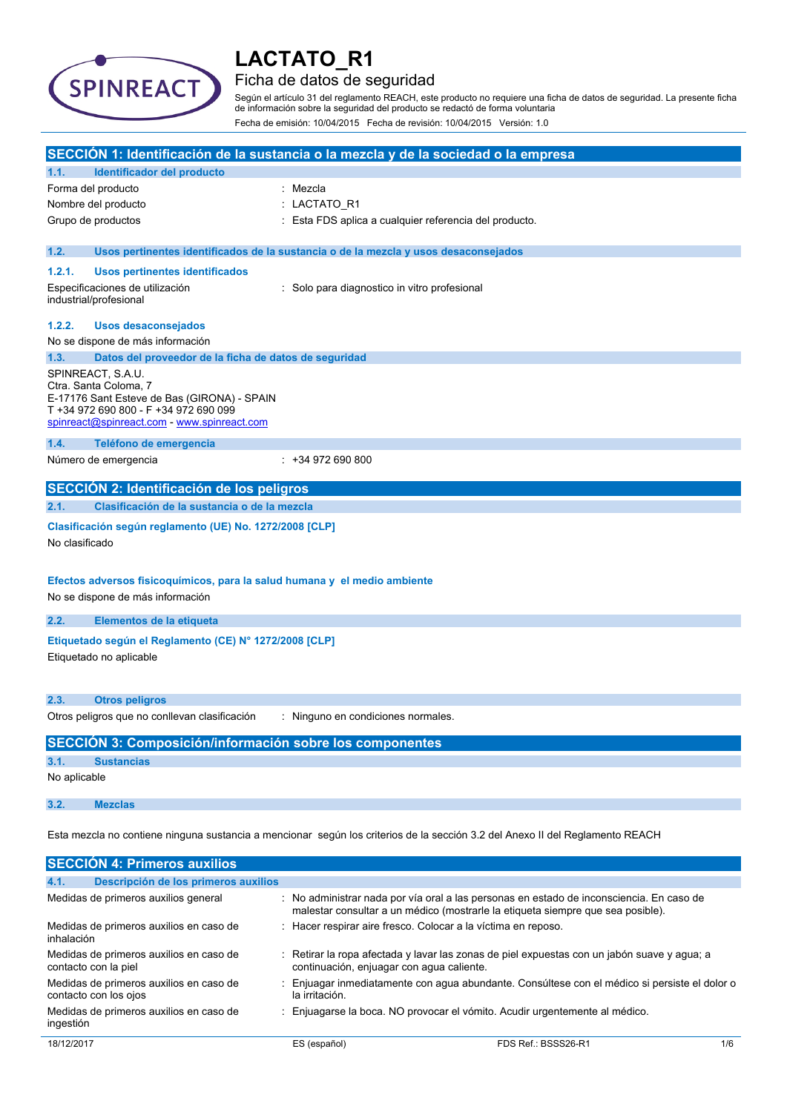

## Ficha de datos de seguridad

Según el artículo 31 del reglamento REACH, este producto no requiere una ficha de datos de seguridad. La presente ficha de información sobre la seguridad del producto se redactó de forma voluntaria Fecha de emisión: 10/04/2015 Fecha de revisión: 10/04/2015 Versión: 1.0

|                |                                                                                                                                                                                   | SECCIÓN 1: Identificación de la sustancia o la mezcla y de la sociedad o la empresa                                                                                         |
|----------------|-----------------------------------------------------------------------------------------------------------------------------------------------------------------------------------|-----------------------------------------------------------------------------------------------------------------------------------------------------------------------------|
| 1.1.           | Identificador del producto                                                                                                                                                        |                                                                                                                                                                             |
|                | Forma del producto                                                                                                                                                                | : Mezcla                                                                                                                                                                    |
|                | Nombre del producto                                                                                                                                                               | LACTATO R1                                                                                                                                                                  |
|                | Grupo de productos                                                                                                                                                                | : Esta FDS aplica a cualquier referencia del producto.                                                                                                                      |
| 1.2.           |                                                                                                                                                                                   | Usos pertinentes identificados de la sustancia o de la mezcla y usos desaconsejados                                                                                         |
| 1.2.1.         | Usos pertinentes identificados                                                                                                                                                    |                                                                                                                                                                             |
|                | Especificaciones de utilización<br>industrial/profesional                                                                                                                         | : Solo para diagnostico in vitro profesional                                                                                                                                |
| 1.2.2.         | Usos desaconsejados                                                                                                                                                               |                                                                                                                                                                             |
|                | No se dispone de más información                                                                                                                                                  |                                                                                                                                                                             |
| 1.3.           | Datos del proveedor de la ficha de datos de seguridad                                                                                                                             |                                                                                                                                                                             |
|                | SPINREACT, S.A.U.<br>Ctra. Santa Coloma, 7<br>E-17176 Sant Esteve de Bas (GIRONA) - SPAIN<br>T +34 972 690 800 - F +34 972 690 099<br>spinreact@spinreact.com - www.spinreact.com |                                                                                                                                                                             |
| 1.4.           | Teléfono de emergencia                                                                                                                                                            |                                                                                                                                                                             |
|                | Número de emergencia                                                                                                                                                              | $: +34972690800$                                                                                                                                                            |
|                | SECCIÓN 2: Identificación de los peligros                                                                                                                                         |                                                                                                                                                                             |
| 2.1.           | Clasificación de la sustancia o de la mezcla                                                                                                                                      |                                                                                                                                                                             |
| No clasificado | Clasificación según reglamento (UE) No. 1272/2008 [CLP]                                                                                                                           |                                                                                                                                                                             |
|                | Efectos adversos fisicoquímicos, para la salud humana y el medio ambiente<br>No se dispone de más información                                                                     |                                                                                                                                                                             |
| 2.2.           | Elementos de la etiqueta                                                                                                                                                          |                                                                                                                                                                             |
|                | Etiquetado según el Reglamento (CE) Nº 1272/2008 [CLP]<br>Etiquetado no aplicable                                                                                                 |                                                                                                                                                                             |
| 2.3.           | <b>Otros peligros</b>                                                                                                                                                             |                                                                                                                                                                             |
|                | Otros peligros que no conllevan clasificación                                                                                                                                     | : Ninguno en condiciones normales.                                                                                                                                          |
|                | SECCIÓN 3: Composición/información sobre los componentes                                                                                                                          |                                                                                                                                                                             |
| 3.1.           | <b>Sustancias</b>                                                                                                                                                                 |                                                                                                                                                                             |
| No aplicable   |                                                                                                                                                                                   |                                                                                                                                                                             |
| 3.2.           | <b>Mezclas</b>                                                                                                                                                                    |                                                                                                                                                                             |
|                |                                                                                                                                                                                   | Esta mezcla no contiene ninguna sustancia a mencionar según los criterios de la sección 3.2 del Anexo II del Reglamento REACH                                               |
|                | <b>SECCIÓN 4: Primeros auxilios</b>                                                                                                                                               |                                                                                                                                                                             |
| 4.1.           | Descripción de los primeros auxilios                                                                                                                                              |                                                                                                                                                                             |
|                | Medidas de primeros auxilios general                                                                                                                                              | : No administrar nada por vía oral a las personas en estado de inconsciencia. En caso de<br>malestar consultar a un médico (mostrarle la etiqueta siempre que sea posible). |
| inhalación     | Medidas de primeros auxilios en caso de                                                                                                                                           | Hacer respirar aire fresco. Colocar a la víctima en reposo.                                                                                                                 |
|                | Medidas de primeros auxilios en caso de<br>contacto con la piel                                                                                                                   | Retirar la ropa afectada y lavar las zonas de piel expuestas con un jabón suave y agua; a<br>continuación, enjuagar con agua caliente.                                      |

| $50$ $50$ $50$ $50$                     |                                                                                             |
|-----------------------------------------|---------------------------------------------------------------------------------------------|
| Medidas de primeros auxilios en caso de | Enjuagar inmediatamente con agua abundante. Consúltese con el médico si persiste el dolor o |
| contacto con los ojos                   | la irritación.                                                                              |
| .                                       |                                                                                             |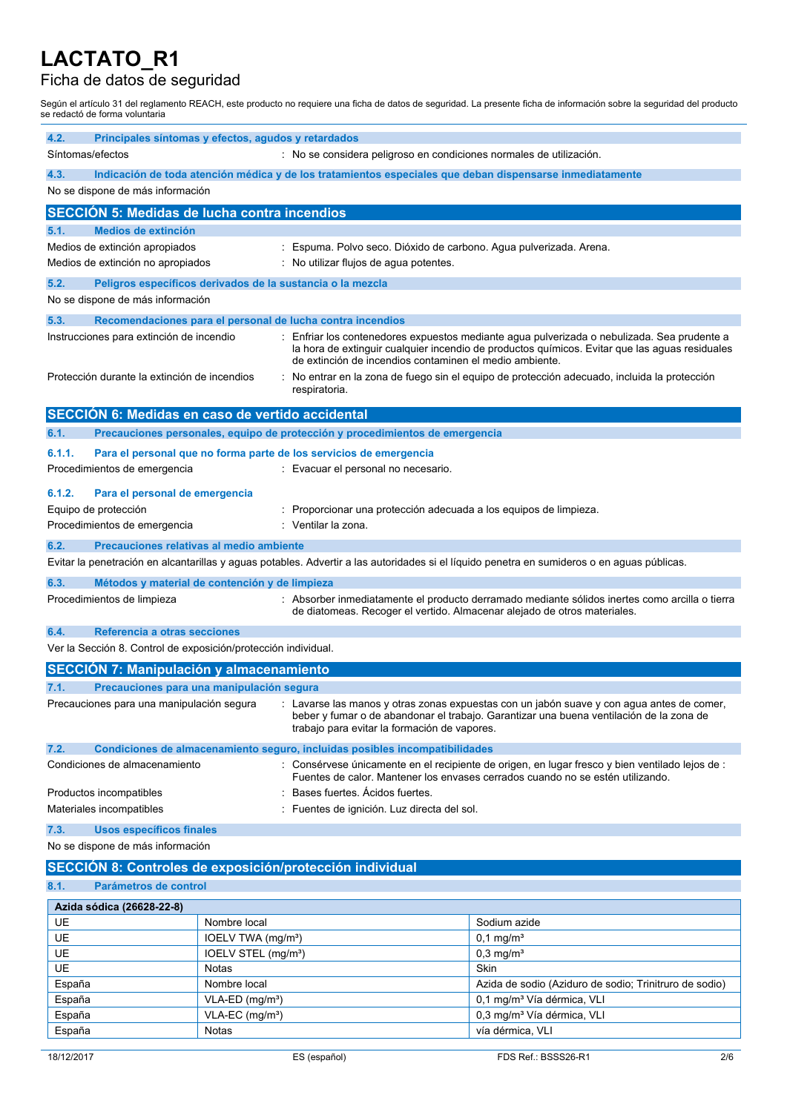## Ficha de datos de seguridad

Según el artículo 31 del reglamento REACH, este producto no requiere una ficha de datos de seguridad. La presente ficha de información sobre la seguridad del producto se redactó de forma voluntaria

| 4.2.             | Principales síntomas y efectos, agudos y retardados                                            |                                             |                                                                                                          |                                                                                                                                                                                                                                                                                           |
|------------------|------------------------------------------------------------------------------------------------|---------------------------------------------|----------------------------------------------------------------------------------------------------------|-------------------------------------------------------------------------------------------------------------------------------------------------------------------------------------------------------------------------------------------------------------------------------------------|
|                  | Síntomas/efectos<br>: No se considera peligroso en condiciones normales de utilización.        |                                             |                                                                                                          |                                                                                                                                                                                                                                                                                           |
| 4.3.             | No se dispone de más información                                                               |                                             | Indicación de toda atención médica y de los tratamientos especiales que deban dispensarse inmediatamente |                                                                                                                                                                                                                                                                                           |
|                  | <b>SECCION 5: Medidas de lucha contra incendios</b>                                            |                                             |                                                                                                          |                                                                                                                                                                                                                                                                                           |
| 5.1.             | <b>Medios de extinción</b>                                                                     |                                             |                                                                                                          |                                                                                                                                                                                                                                                                                           |
|                  | Medios de extinción apropiados                                                                 | ÷                                           | Espuma. Polvo seco. Dióxido de carbono. Agua pulverizada. Arena.                                         |                                                                                                                                                                                                                                                                                           |
|                  | Medios de extinción no apropiados                                                              |                                             | : No utilizar flujos de agua potentes.                                                                   |                                                                                                                                                                                                                                                                                           |
| 5.2.             | Peligros específicos derivados de la sustancia o la mezcla                                     |                                             |                                                                                                          |                                                                                                                                                                                                                                                                                           |
|                  | No se dispone de más información                                                               |                                             |                                                                                                          |                                                                                                                                                                                                                                                                                           |
| 5.3.             |                                                                                                |                                             | Recomendaciones para el personal de lucha contra incendios                                               |                                                                                                                                                                                                                                                                                           |
|                  | Instrucciones para extinción de incendio<br>Protección durante la extinción de incendios       |                                             | de extinción de incendios contaminen el medio ambiente.                                                  | Enfriar los contenedores expuestos mediante agua pulverizada o nebulizada. Sea prudente a<br>la hora de extinguir cualquier incendio de productos químicos. Evitar que las aguas residuales<br>No entrar en la zona de fuego sin el equipo de protección adecuado, incluida la protección |
|                  |                                                                                                |                                             | respiratoria.                                                                                            |                                                                                                                                                                                                                                                                                           |
|                  | SECCIÓN 6: Medidas en caso de vertido accidental                                               |                                             |                                                                                                          |                                                                                                                                                                                                                                                                                           |
| 6.1.             |                                                                                                |                                             | Precauciones personales, equipo de protección y procedimientos de emergencia                             |                                                                                                                                                                                                                                                                                           |
| 6.1.1.           |                                                                                                |                                             | Para el personal que no forma parte de los servicios de emergencia                                       |                                                                                                                                                                                                                                                                                           |
|                  | Procedimientos de emergencia                                                                   |                                             | : Evacuar el personal no necesario.                                                                      |                                                                                                                                                                                                                                                                                           |
| 6.1.2.           | Para el personal de emergencia                                                                 |                                             |                                                                                                          |                                                                                                                                                                                                                                                                                           |
|                  | Equipo de protección                                                                           |                                             | Proporcionar una protección adecuada a los equipos de limpieza.                                          |                                                                                                                                                                                                                                                                                           |
|                  | Procedimientos de emergencia                                                                   |                                             | Ventilar la zona.                                                                                        |                                                                                                                                                                                                                                                                                           |
| 6.2.             | Precauciones relativas al medio ambiente                                                       |                                             |                                                                                                          |                                                                                                                                                                                                                                                                                           |
|                  |                                                                                                |                                             |                                                                                                          | Evitar la penetración en alcantarillas y aguas potables. Advertir a las autoridades si el líquido penetra en sumideros o en aguas públicas.                                                                                                                                               |
| 6.3.             | Métodos y material de contención y de limpieza                                                 |                                             |                                                                                                          |                                                                                                                                                                                                                                                                                           |
|                  | Procedimientos de limpieza                                                                     |                                             | de diatomeas. Recoger el vertido. Almacenar alejado de otros materiales.                                 | : Absorber inmediatamente el producto derramado mediante sólidos inertes como arcilla o tierra                                                                                                                                                                                            |
| 6.4.             | Referencia a otras secciones<br>Ver la Sección 8. Control de exposición/protección individual. |                                             |                                                                                                          |                                                                                                                                                                                                                                                                                           |
|                  | <b>SECCIÓN 7: Manipulación y almacenamiento</b>                                                |                                             |                                                                                                          |                                                                                                                                                                                                                                                                                           |
| 7.1.             | Precauciones para una manipulación segura                                                      |                                             |                                                                                                          |                                                                                                                                                                                                                                                                                           |
|                  | Precauciones para una manipulación segura                                                      |                                             | trabajo para evitar la formación de vapores.                                                             | : Lavarse las manos y otras zonas expuestas con un jabón suave y con agua antes de comer,<br>beber y fumar o de abandonar el trabajo. Garantizar una buena ventilación de la zona de                                                                                                      |
| 7.2.             |                                                                                                |                                             | Condiciones de almacenamiento seguro, incluidas posibles incompatibilidades                              |                                                                                                                                                                                                                                                                                           |
|                  | Condiciones de almacenamiento                                                                  |                                             |                                                                                                          | : Consérvese únicamente en el recipiente de origen, en lugar fresco y bien ventilado lejos de :<br>Fuentes de calor. Mantener los envases cerrados cuando no se estén utilizando.                                                                                                         |
|                  | Productos incompatibles                                                                        |                                             | : Bases fuertes. Ácidos fuertes.                                                                         |                                                                                                                                                                                                                                                                                           |
|                  | Materiales incompatibles<br>: Fuentes de ignición. Luz directa del sol.                        |                                             |                                                                                                          |                                                                                                                                                                                                                                                                                           |
| 7.3.             | <b>Usos específicos finales</b>                                                                |                                             |                                                                                                          |                                                                                                                                                                                                                                                                                           |
|                  | No se dispone de más información                                                               |                                             |                                                                                                          |                                                                                                                                                                                                                                                                                           |
|                  |                                                                                                |                                             | SECCIÓN 8: Controles de exposición/protección individual                                                 |                                                                                                                                                                                                                                                                                           |
| 8.1.             | Parámetros de control                                                                          |                                             |                                                                                                          |                                                                                                                                                                                                                                                                                           |
|                  | Azida sódica (26628-22-8)                                                                      |                                             |                                                                                                          |                                                                                                                                                                                                                                                                                           |
| UE               |                                                                                                | Nombre local                                |                                                                                                          | Sodium azide                                                                                                                                                                                                                                                                              |
| <b>UE</b>        |                                                                                                | IOELV TWA (mg/m <sup>3</sup> )              |                                                                                                          | $0,1 \text{ mg/m}^3$                                                                                                                                                                                                                                                                      |
| UE               |                                                                                                | IOELV STEL (mg/m <sup>3</sup> )             |                                                                                                          | $0,3$ mg/m <sup>3</sup>                                                                                                                                                                                                                                                                   |
| <b>UE</b>        |                                                                                                | Notas                                       |                                                                                                          | Skin                                                                                                                                                                                                                                                                                      |
| España<br>España |                                                                                                | Nombre local<br>VLA-ED (mg/m <sup>3</sup> ) |                                                                                                          | Azida de sodio (Aziduro de sodio; Trinitruro de sodio)<br>0,1 mg/m <sup>3</sup> Vía dérmica, VLI                                                                                                                                                                                          |
| España           |                                                                                                | $VLA-EC$ (mg/m <sup>3</sup> )               |                                                                                                          | 0,3 mg/m <sup>3</sup> Vía dérmica, VLI                                                                                                                                                                                                                                                    |
| España           |                                                                                                | Notas                                       |                                                                                                          | vía dérmica, VLI                                                                                                                                                                                                                                                                          |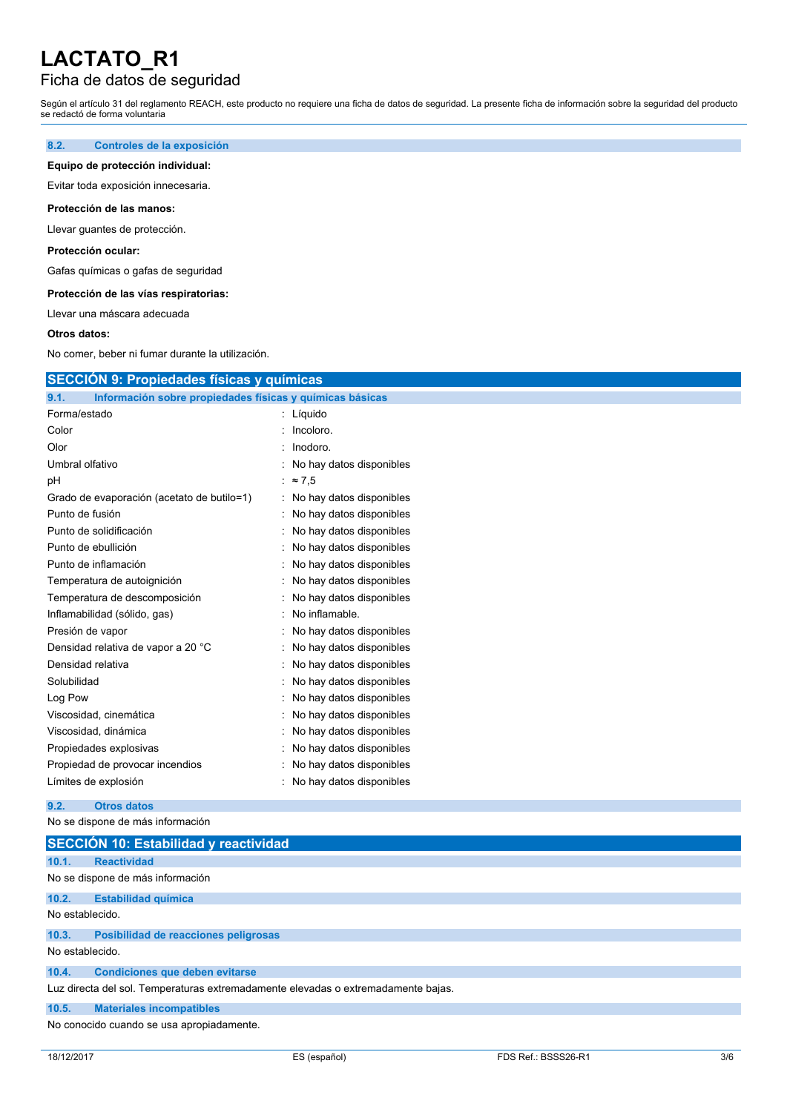## Ficha de datos de seguridad

Según el artículo 31 del reglamento REACH, este producto no requiere una ficha de datos de seguridad. La presente ficha de información sobre la seguridad del producto se redactó de forma voluntaria

### **8.2. Controles de la exposición**

### **Equipo de protección individual:**

Evitar toda exposición innecesaria.

### **Protección de las manos:**

Llevar guantes de protección.

### **Protección ocular:**

Gafas químicas o gafas de seguridad

#### **Protección de las vías respiratorias:**

Llevar una máscara adecuada

#### **Otros datos:**

No comer, beber ni fumar durante la utilización.

| Información sobre propiedades físicas y químicas básicas<br>9.1. |                            |  |
|------------------------------------------------------------------|----------------------------|--|
| Forma/estado                                                     | : Líquido                  |  |
| Color                                                            | Incoloro.                  |  |
| Olor                                                             | Inodoro.<br>٠              |  |
| Umbral olfativo                                                  | : No hay datos disponibles |  |
| pH                                                               | $\approx 7.5$              |  |
| Grado de evaporación (acetato de butilo=1)                       | : No hay datos disponibles |  |
| Punto de fusión                                                  | No hay datos disponibles   |  |
| Punto de solidificación                                          | No hay datos disponibles   |  |
| Punto de ebullición                                              | No hay datos disponibles   |  |
| Punto de inflamación                                             | No hay datos disponibles   |  |
| Temperatura de autoignición                                      | No hay datos disponibles   |  |
| Temperatura de descomposición                                    | No hay datos disponibles   |  |
| Inflamabilidad (sólido, gas)                                     | No inflamable.             |  |
| Presión de vapor                                                 | No hay datos disponibles   |  |
| Densidad relativa de vapor a 20 °C                               | No hay datos disponibles   |  |
| Densidad relativa                                                | No hay datos disponibles   |  |
| Solubilidad                                                      | No hay datos disponibles   |  |
| Log Pow                                                          | No hay datos disponibles   |  |
| Viscosidad, cinemática                                           | No hay datos disponibles   |  |
| Viscosidad, dinámica                                             | No hay datos disponibles   |  |
| Propiedades explosivas                                           | No hay datos disponibles   |  |
| Propiedad de provocar incendios                                  | No hay datos disponibles   |  |
| Límites de explosión                                             | No hay datos disponibles   |  |

No se dispone de más información

|                 | <b>SECCIÓN 10: Estabilidad y reactividad</b>                                      |
|-----------------|-----------------------------------------------------------------------------------|
| 10.1.           | <b>Reactividad</b>                                                                |
|                 | No se dispone de más información                                                  |
| 10.2.           | <b>Estabilidad química</b>                                                        |
| No establecido. |                                                                                   |
| 10.3.           | Posibilidad de reacciones peligrosas                                              |
| No establecido. |                                                                                   |
| 10.4.           | <b>Condiciones que deben evitarse</b>                                             |
|                 | Luz directa del sol. Temperaturas extremadamente elevadas o extremadamente bajas. |
| 10.5.           | <b>Materiales incompatibles</b>                                                   |
|                 | No conocido cuando se usa apropiadamente.                                         |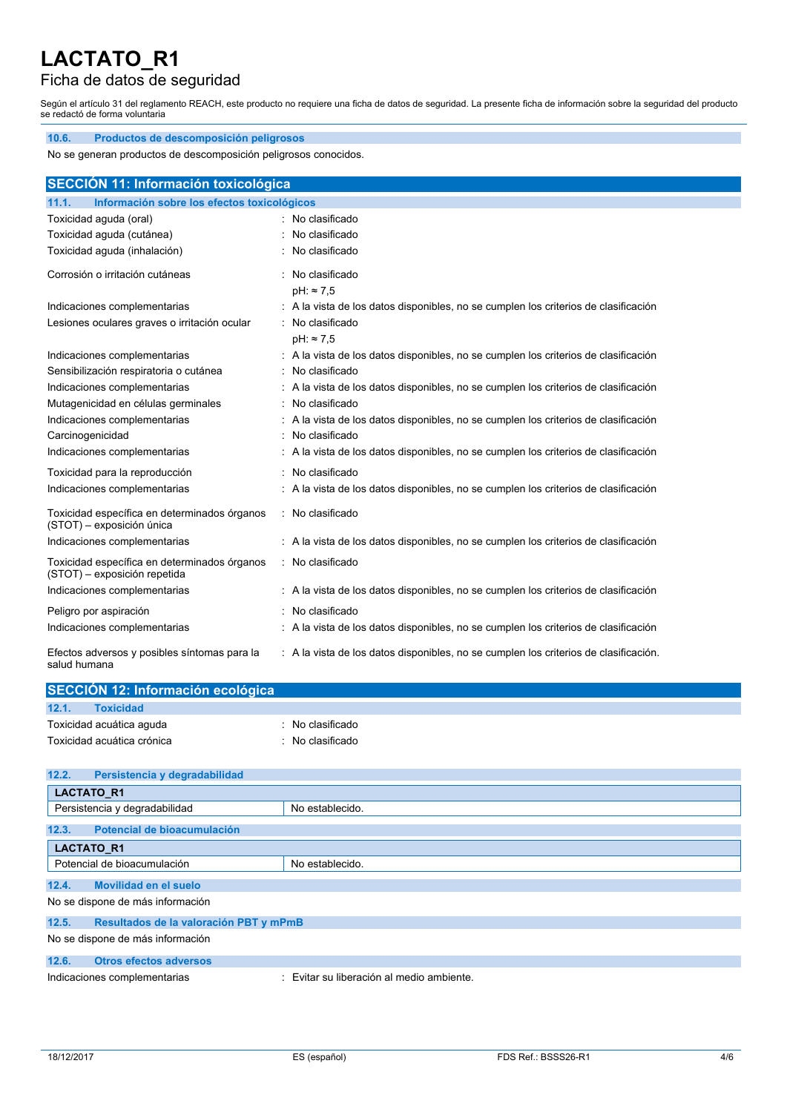## Ficha de datos de seguridad

**10.6. Productos de descomposición peligrosos**

Según el artículo 31 del reglamento REACH, este producto no requiere una ficha de datos de seguridad. La presente ficha de información sobre la seguridad del producto se redactó de forma voluntaria

| No se generan productos de descomposición peligrosos conocidos.              |                                                                                      |  |
|------------------------------------------------------------------------------|--------------------------------------------------------------------------------------|--|
| <b>SECCIÓN 11: Información toxicológica</b>                                  |                                                                                      |  |
| Información sobre los efectos toxicológicos<br>11.1.                         |                                                                                      |  |
| Toxicidad aguda (oral)                                                       | : No clasificado                                                                     |  |
| Toxicidad aguda (cutánea)                                                    | : No clasificado                                                                     |  |
| Toxicidad aguda (inhalación)                                                 | : No clasificado                                                                     |  |
| Corrosión o irritación cutáneas                                              | : No clasificado                                                                     |  |
|                                                                              | $pH: \approx 7.5$                                                                    |  |
| Indicaciones complementarias                                                 | : A la vista de los datos disponibles, no se cumplen los criterios de clasificación  |  |
| Lesiones oculares graves o irritación ocular                                 | : No clasificado                                                                     |  |
|                                                                              | $pH: \approx 7.5$                                                                    |  |
| Indicaciones complementarias                                                 | : A la vista de los datos disponibles, no se cumplen los criterios de clasificación  |  |
| Sensibilización respiratoria o cutánea                                       | : No clasificado                                                                     |  |
| Indicaciones complementarias                                                 | : A la vista de los datos disponibles, no se cumplen los criterios de clasificación  |  |
| Mutagenicidad en células germinales                                          | No clasificado                                                                       |  |
| Indicaciones complementarias                                                 | : A la vista de los datos disponibles, no se cumplen los criterios de clasificación  |  |
| Carcinogenicidad                                                             | No clasificado                                                                       |  |
| Indicaciones complementarias                                                 | : A la vista de los datos disponibles, no se cumplen los criterios de clasificación  |  |
| Toxicidad para la reproducción                                               | $:$ No clasificado                                                                   |  |
| Indicaciones complementarias                                                 | : A la vista de los datos disponibles, no se cumplen los criterios de clasificación  |  |
| Toxicidad específica en determinados órganos<br>(STOT) - exposición única    | : No clasificado                                                                     |  |
| Indicaciones complementarias                                                 | : A la vista de los datos disponibles, no se cumplen los criterios de clasificación  |  |
| Toxicidad específica en determinados órganos<br>(STOT) - exposición repetida | : No clasificado                                                                     |  |
| Indicaciones complementarias                                                 | : A la vista de los datos disponibles, no se cumplen los criterios de clasificación  |  |
| Peligro por aspiración                                                       | No clasificado                                                                       |  |
| Indicaciones complementarias                                                 | : A la vista de los datos disponibles, no se cumplen los criterios de clasificación  |  |
| Efectos adversos y posibles síntomas para la<br>salud humana                 | : A la vista de los datos disponibles, no se cumplen los criterios de clasificación. |  |

| SECCIÓN 12: Información ecológica |                |  |
|-----------------------------------|----------------|--|
| 12.1.<br><b>Toxicidad</b>         |                |  |
| Toxicidad acuática aguda          | No clasificado |  |
| Toxicidad acuática crónica        | No clasificado |  |

| 12.2.                            | Persistencia y degradabilidad          |                                         |  |  |
|----------------------------------|----------------------------------------|-----------------------------------------|--|--|
|                                  | <b>LACTATO R1</b>                      |                                         |  |  |
| Persistencia y degradabilidad    |                                        | No establecido.                         |  |  |
| 12.3.                            | Potencial de bioacumulación            |                                         |  |  |
| <b>LACTATO R1</b>                |                                        |                                         |  |  |
| Potencial de bioacumulación      |                                        | No establecido.                         |  |  |
|                                  |                                        |                                         |  |  |
| 12.4.                            | <b>Movilidad en el suelo</b>           |                                         |  |  |
| No se dispone de más información |                                        |                                         |  |  |
| 12.5.                            | Resultados de la valoración PBT y mPmB |                                         |  |  |
| No se dispone de más información |                                        |                                         |  |  |
| 12.6.                            | <b>Otros efectos adversos</b>          |                                         |  |  |
| Indicaciones complementarias     |                                        | Evitar su liberación al medio ambiente. |  |  |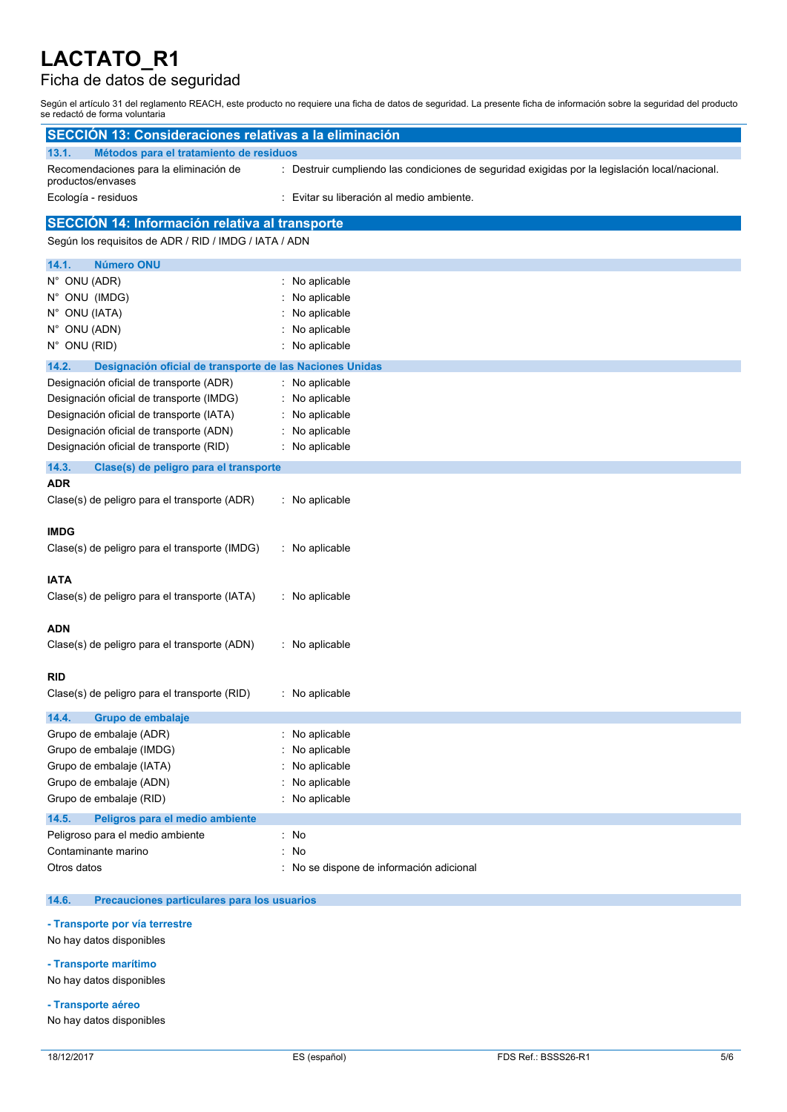## Ficha de datos de seguridad

Según el artículo 31 del reglamento REACH, este producto no requiere una ficha de datos de seguridad. La presente ficha de información sobre la seguridad del producto se redactó de forma voluntaria

| <b>SECCIÓN 13: Consideraciones relativas a la eliminación</b>     |                                                                                                |  |  |
|-------------------------------------------------------------------|------------------------------------------------------------------------------------------------|--|--|
| Métodos para el tratamiento de residuos<br>13.1.                  |                                                                                                |  |  |
| Recomendaciones para la eliminación de<br>productos/envases       | : Destruir cumpliendo las condiciones de seguridad exigidas por la legislación local/nacional. |  |  |
| Ecología - residuos                                               | Evitar su liberación al medio ambiente.                                                        |  |  |
| SECCIÓN 14: Información relativa al transporte                    |                                                                                                |  |  |
| Según los requisitos de ADR / RID / IMDG / IATA / ADN             |                                                                                                |  |  |
| 14.1.<br><b>Número ONU</b>                                        |                                                                                                |  |  |
| N° ONU (ADR)                                                      | : No aplicable                                                                                 |  |  |
| N° ONU (IMDG)                                                     | No aplicable                                                                                   |  |  |
| N° ONU (IATA)                                                     | No aplicable                                                                                   |  |  |
| N° ONU (ADN)                                                      | No aplicable                                                                                   |  |  |
| N° ONU (RID)                                                      | No aplicable                                                                                   |  |  |
| 14.2.<br>Designación oficial de transporte de las Naciones Unidas |                                                                                                |  |  |
| Designación oficial de transporte (ADR)                           | : No aplicable                                                                                 |  |  |
| Designación oficial de transporte (IMDG)                          | No aplicable                                                                                   |  |  |
| Designación oficial de transporte (IATA)                          | No aplicable                                                                                   |  |  |
| Designación oficial de transporte (ADN)                           | No aplicable                                                                                   |  |  |
| Designación oficial de transporte (RID)                           | : No aplicable                                                                                 |  |  |
| 14.3.<br>Clase(s) de peligro para el transporte                   |                                                                                                |  |  |
| <b>ADR</b>                                                        |                                                                                                |  |  |
| Clase(s) de peligro para el transporte (ADR)                      | : No aplicable                                                                                 |  |  |
|                                                                   |                                                                                                |  |  |
| <b>IMDG</b>                                                       |                                                                                                |  |  |
| Clase(s) de peligro para el transporte (IMDG)                     | : No aplicable                                                                                 |  |  |
| <b>IATA</b>                                                       |                                                                                                |  |  |
| Clase(s) de peligro para el transporte (IATA)                     | : No aplicable                                                                                 |  |  |
|                                                                   |                                                                                                |  |  |
| ADN                                                               |                                                                                                |  |  |
| Clase(s) de peligro para el transporte (ADN)                      | : No aplicable                                                                                 |  |  |
|                                                                   |                                                                                                |  |  |
| <b>RID</b>                                                        |                                                                                                |  |  |
| Clase(s) de peligro para el transporte (RID)                      | : No aplicable                                                                                 |  |  |
| 14.4.<br>Grupo de embalaje                                        |                                                                                                |  |  |
| Grupo de embalaje (ADR)                                           | No aplicable                                                                                   |  |  |
| Grupo de embalaje (IMDG)                                          | No aplicable                                                                                   |  |  |
| Grupo de embalaje (IATA)                                          | No aplicable                                                                                   |  |  |
| Grupo de embalaje (ADN)                                           | No aplicable                                                                                   |  |  |
| Grupo de embalaje (RID)                                           | No aplicable                                                                                   |  |  |
| 14.5.<br>Peligros para el medio ambiente                          |                                                                                                |  |  |
| Peligroso para el medio ambiente                                  | : No                                                                                           |  |  |
| Contaminante marino                                               | No<br>÷.                                                                                       |  |  |
| Otros datos                                                       | : No se dispone de información adicional                                                       |  |  |
|                                                                   |                                                                                                |  |  |

### **14.6. Precauciones particulares para los usuarios**

**- Transporte por vía terrestre**

No hay datos disponibles

### **- Transporte marítimo**

No hay datos disponibles

**- Transporte aéreo**

No hay datos disponibles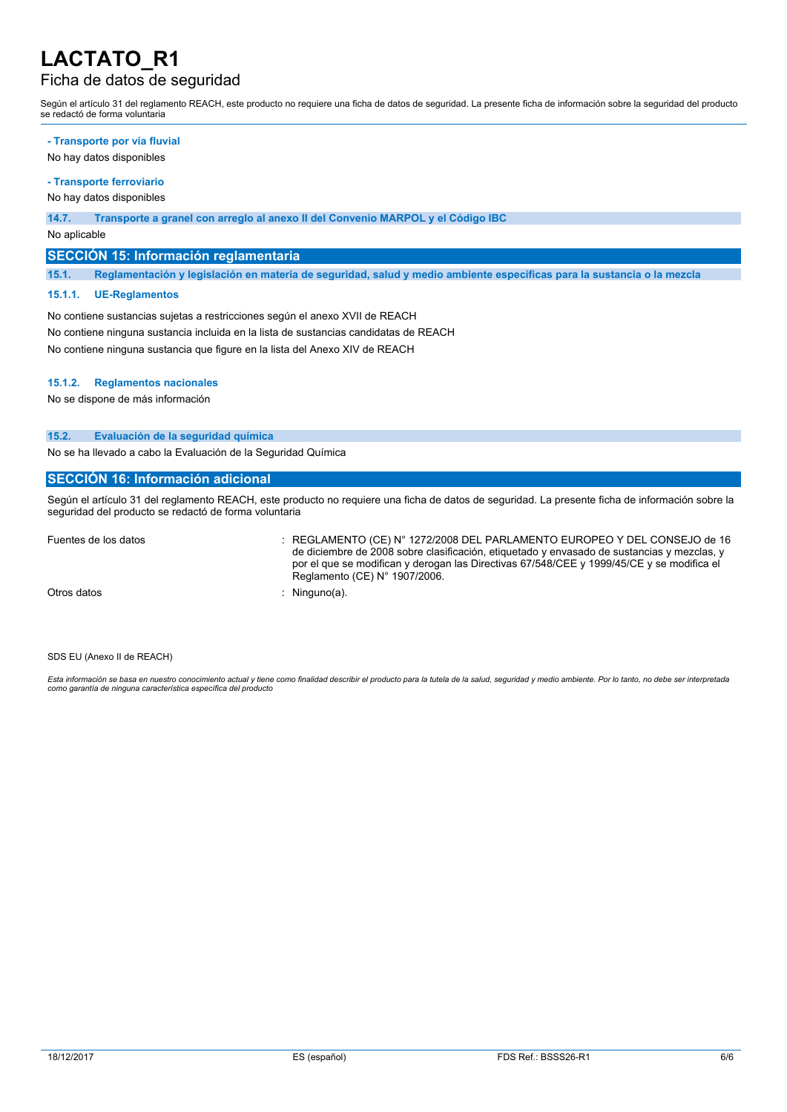## Ficha de datos de seguridad

Según el artículo 31 del reglamento REACH, este producto no requiere una ficha de datos de seguridad. La presente ficha de información sobre la seguridad del producto se redactó de forma voluntaria

#### **- Transporte por vía fluvial**

No hay datos disponibles

## **- Transporte ferroviario**

No hay datos disponibles

#### **14.7. Transporte a granel con arreglo al anexo II del Convenio MARPOL y el Código IBC**

No aplicable

### **SECCIÓN 15: Información reglamentaria**

15.1. Reglamentación y legislación en materia de seguridad, salud y medio ambiente específicas para la sustancia o la mezcla

#### **15.1.1. UE-Reglamentos**

No contiene sustancias sujetas a restricciones según el anexo XVII de REACH No contiene ninguna sustancia incluida en la lista de sustancias candidatas de REACH No contiene ninguna sustancia que figure en la lista del Anexo XIV de REACH

#### **15.1.2. Reglamentos nacionales**

No se dispone de más información

#### **15.2. Evaluación de la seguridad química**

No se ha llevado a cabo la Evaluación de la Seguridad Química

### **SECCIÓN 16: Información adicional**

Según el artículo 31 del reglamento REACH, este producto no requiere una ficha de datos de seguridad. La presente ficha de información sobre la seguridad del producto se redactó de forma voluntaria

Fuentes de los datos : REGLAMENTO (CE) N° 1272/2008 DEL PARLAMENTO EUROPEO Y DEL CONSEJO de 16 de diciembre de 2008 sobre clasificación, etiquetado y envasado de sustancias y mezclas, y por el que se modifican y derogan las Directivas 67/548/CEE y 1999/45/CE y se modifica el Reglamento (CE) N° 1907/2006.

Otros datos : Ninguno(a).

SDS EU (Anexo II de REACH)

Esta información se basa en nuestro conocimiento actual y tiene como finalidad describir el producto para la tutela de la salud, seguridad y medio ambiente. Por lo tanto, no debe ser interpretada *como garantía de ninguna característica específica del producto*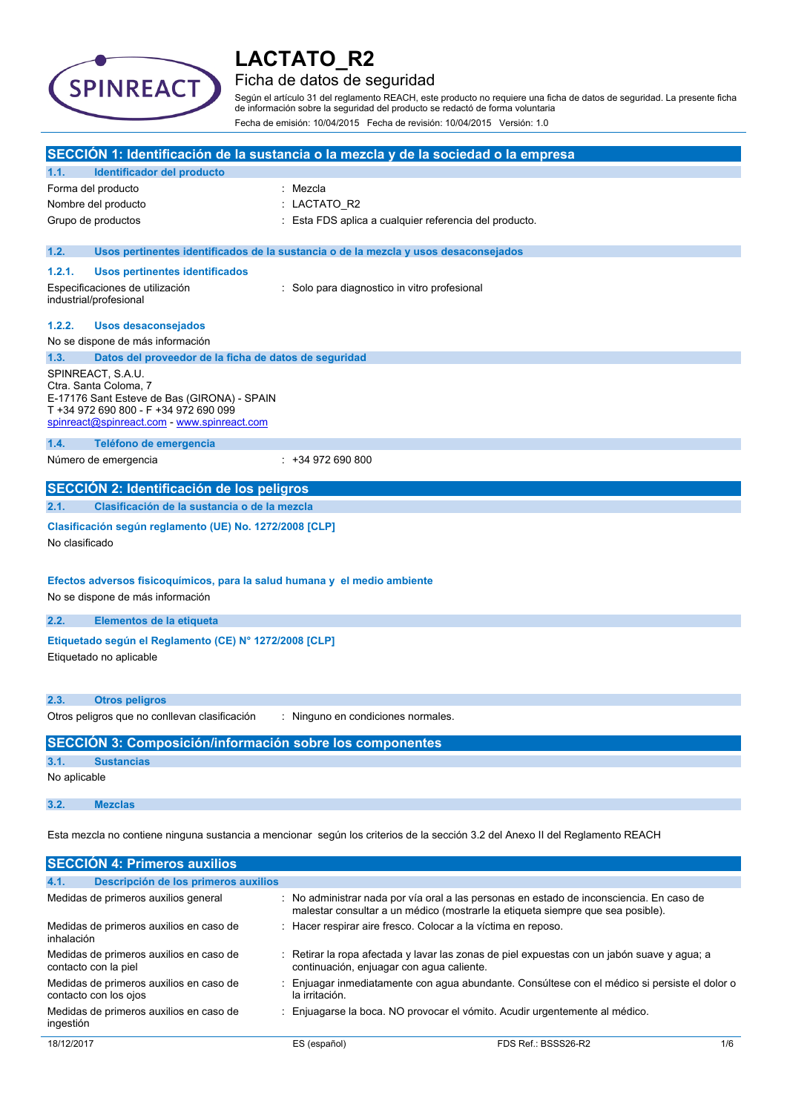

## Ficha de datos de seguridad

Según el artículo 31 del reglamento REACH, este producto no requiere una ficha de datos de seguridad. La presente ficha de información sobre la seguridad del producto se redactó de forma voluntaria Fecha de emisión: 10/04/2015 Fecha de revisión: 10/04/2015 Versión: 1.0

| SECCIÓN 1: Identificación de la sustancia o la mezcla y de la sociedad o la empresa                                                                                                                                                        |                                                                                                                        |                                                                                                                                                                             |  |
|--------------------------------------------------------------------------------------------------------------------------------------------------------------------------------------------------------------------------------------------|------------------------------------------------------------------------------------------------------------------------|-----------------------------------------------------------------------------------------------------------------------------------------------------------------------------|--|
| 1.1.                                                                                                                                                                                                                                       | <b>Identificador del producto</b>                                                                                      |                                                                                                                                                                             |  |
|                                                                                                                                                                                                                                            | Forma del producto                                                                                                     | : Mezcla                                                                                                                                                                    |  |
| Nombre del producto                                                                                                                                                                                                                        |                                                                                                                        | : LACTATO R2                                                                                                                                                                |  |
|                                                                                                                                                                                                                                            | Grupo de productos                                                                                                     | : Esta FDS aplica a cualquier referencia del producto.                                                                                                                      |  |
| 1.2.                                                                                                                                                                                                                                       |                                                                                                                        | Usos pertinentes identificados de la sustancia o de la mezcla y usos desaconsejados                                                                                         |  |
| 1.2.1.                                                                                                                                                                                                                                     | <b>Usos pertinentes identificados</b>                                                                                  |                                                                                                                                                                             |  |
|                                                                                                                                                                                                                                            | Especificaciones de utilización<br>industrial/profesional                                                              | : Solo para diagnostico in vitro profesional                                                                                                                                |  |
| 1.2.2.                                                                                                                                                                                                                                     | <b>Usos desaconsejados</b><br>No se dispone de más información                                                         |                                                                                                                                                                             |  |
| 1.3.                                                                                                                                                                                                                                       |                                                                                                                        |                                                                                                                                                                             |  |
| Datos del proveedor de la ficha de datos de seguridad<br>SPINREACT, S.A.U.<br>Ctra. Santa Coloma, 7<br>E-17176 Sant Esteve de Bas (GIRONA) - SPAIN<br>T +34 972 690 800 - F +34 972 690 099<br>spinreact@spinreact.com - www.spinreact.com |                                                                                                                        |                                                                                                                                                                             |  |
| 1.4.                                                                                                                                                                                                                                       | Teléfono de emergencia                                                                                                 |                                                                                                                                                                             |  |
|                                                                                                                                                                                                                                            | Número de emergencia                                                                                                   | $: +34972690800$                                                                                                                                                            |  |
|                                                                                                                                                                                                                                            | SECCIÓN 2: Identificación de los peligros                                                                              |                                                                                                                                                                             |  |
| 2.1.                                                                                                                                                                                                                                       | Clasificación de la sustancia o de la mezcla                                                                           |                                                                                                                                                                             |  |
| No clasificado                                                                                                                                                                                                                             | Clasificación según reglamento (UE) No. 1272/2008 [CLP]                                                                |                                                                                                                                                                             |  |
|                                                                                                                                                                                                                                            | Efectos adversos fisicoquímicos, para la salud humana y el medio ambiente<br>No se dispone de más información          |                                                                                                                                                                             |  |
| 2.2.                                                                                                                                                                                                                                       | Elementos de la etiqueta                                                                                               |                                                                                                                                                                             |  |
| Etiquetado según el Reglamento (CE) Nº 1272/2008 [CLP]<br>Etiquetado no aplicable                                                                                                                                                          |                                                                                                                        |                                                                                                                                                                             |  |
| 2.3.                                                                                                                                                                                                                                       | <b>Otros peligros</b>                                                                                                  |                                                                                                                                                                             |  |
|                                                                                                                                                                                                                                            | Otros peligros que no conllevan clasificación                                                                          | : Ninguno en condiciones normales.                                                                                                                                          |  |
|                                                                                                                                                                                                                                            | SECCIÓN 3: Composición/información sobre los componentes                                                               |                                                                                                                                                                             |  |
| 3.1.                                                                                                                                                                                                                                       | <b>Sustancias</b>                                                                                                      |                                                                                                                                                                             |  |
| No aplicable                                                                                                                                                                                                                               |                                                                                                                        |                                                                                                                                                                             |  |
| 3.2.                                                                                                                                                                                                                                       | <b>Mezclas</b>                                                                                                         |                                                                                                                                                                             |  |
| Esta mezcla no contiene ninguna sustancia a mencionar según los criterios de la sección 3.2 del Anexo II del Reglamento REACH                                                                                                              |                                                                                                                        |                                                                                                                                                                             |  |
| <b>SECCIÓN 4: Primeros auxilios</b>                                                                                                                                                                                                        |                                                                                                                        |                                                                                                                                                                             |  |
| 4.1.                                                                                                                                                                                                                                       | Descripción de los primeros auxilios                                                                                   |                                                                                                                                                                             |  |
|                                                                                                                                                                                                                                            | Medidas de primeros auxilios general                                                                                   | : No administrar nada por vía oral a las personas en estado de inconsciencia. En caso de<br>malestar consultar a un médico (mostrarle la etiqueta siempre que sea posible). |  |
|                                                                                                                                                                                                                                            | Medidas de primeros auxilios en caso de<br>: Hacer respirar aire fresco. Colocar a la víctima en reposo.<br>inhalación |                                                                                                                                                                             |  |
|                                                                                                                                                                                                                                            | Medidas de primeros auxilios en caso de<br>contacto con la piel                                                        | Retirar la ropa afectada y lavar las zonas de piel expuestas con un jabón suave y agua; a<br>continuación, enjuagar con agua caliente.                                      |  |

Medidas de primeros auxilios en caso de : Enjuagar inmediatamente con agua abundante. Consúltese con el médico si persiste el dolor o la irritación.

contacto con los ojos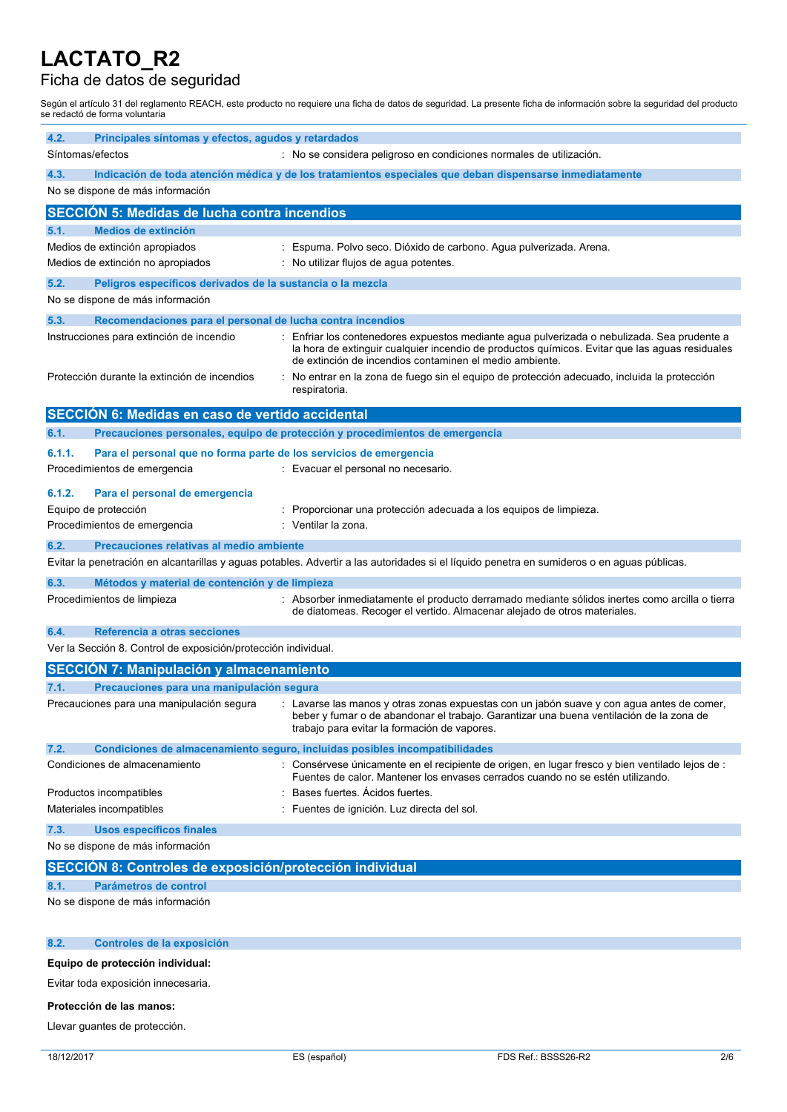## Ficha de datos de seguridad

Según el artículo 31 del reglamento REACH, este producto no requiere una ficha de datos de seguridad. La presente ficha de información sobre la seguridad del producto se redactó de forma voluntaria

| 4.2.   | Principales síntomas y efectos, agudos y retardados                          |                                                                                                                                                                                                                                                        |
|--------|------------------------------------------------------------------------------|--------------------------------------------------------------------------------------------------------------------------------------------------------------------------------------------------------------------------------------------------------|
|        | Síntomas/efectos                                                             | : No se considera peligroso en condiciones normales de utilización.                                                                                                                                                                                    |
| 4.3.   | No se dispone de más información                                             | Indicación de toda atención médica y de los tratamientos especiales que deban dispensarse inmediatamente                                                                                                                                               |
|        |                                                                              |                                                                                                                                                                                                                                                        |
|        | <b>SECCION 5: Medidas de lucha contra incendios</b>                          |                                                                                                                                                                                                                                                        |
| 5.1.   | <b>Medios de extinción</b><br>Medios de extinción apropiados                 | : Espuma. Polvo seco. Dióxido de carbono. Agua pulverizada. Arena.                                                                                                                                                                                     |
|        | Medios de extinción no apropiados                                            | : No utilizar flujos de agua potentes.                                                                                                                                                                                                                 |
| 5.2.   | Peligros específicos derivados de la sustancia o la mezcla                   |                                                                                                                                                                                                                                                        |
|        | No se dispone de más información                                             |                                                                                                                                                                                                                                                        |
| 5.3.   | Recomendaciones para el personal de lucha contra incendios                   |                                                                                                                                                                                                                                                        |
|        | Instrucciones para extinción de incendio                                     | Enfriar los contenedores expuestos mediante agua pulverizada o nebulizada. Sea prudente a<br>la hora de extinguir cualquier incendio de productos químicos. Evitar que las aguas residuales<br>de extinción de incendios contaminen el medio ambiente. |
|        | Protección durante la extinción de incendios                                 | No entrar en la zona de fuego sin el equipo de protección adecuado, incluida la protección<br>respiratoria.                                                                                                                                            |
|        | SECCIÓN 6: Medidas en caso de vertido accidental                             |                                                                                                                                                                                                                                                        |
| 6.1.   |                                                                              | Precauciones personales, equipo de protección y procedimientos de emergencia                                                                                                                                                                           |
| 6.1.1. | Para el personal que no forma parte de los servicios de emergencia           |                                                                                                                                                                                                                                                        |
|        | Procedimientos de emergencia                                                 | : Evacuar el personal no necesario.                                                                                                                                                                                                                    |
| 6.1.2. | Para el personal de emergencia                                               |                                                                                                                                                                                                                                                        |
|        | Equipo de protección                                                         | : Proporcionar una protección adecuada a los equipos de limpieza.                                                                                                                                                                                      |
|        | Procedimientos de emergencia                                                 | : Ventilar la zona.                                                                                                                                                                                                                                    |
| 6.2.   | Precauciones relativas al medio ambiente                                     |                                                                                                                                                                                                                                                        |
|        |                                                                              | Evitar la penetración en alcantarillas y aguas potables. Advertir a las autoridades si el líquido penetra en sumideros o en aguas públicas.                                                                                                            |
| 6.3.   | Métodos y material de contención y de limpieza<br>Procedimientos de limpieza | : Absorber inmediatamente el producto derramado mediante sólidos inertes como arcilla o tierra                                                                                                                                                         |
|        |                                                                              | de diatomeas. Recoger el vertido. Almacenar alejado de otros materiales.                                                                                                                                                                               |
| 6.4.   | Referencia a otras secciones                                                 |                                                                                                                                                                                                                                                        |
|        | Ver la Sección 8. Control de exposición/protección individual.               |                                                                                                                                                                                                                                                        |
|        | <b>SECCIÓN 7: Manipulación y almacenamiento</b>                              |                                                                                                                                                                                                                                                        |
| 7.1.   | Precauciones para una manipulación segura                                    |                                                                                                                                                                                                                                                        |
|        | Precauciones para una manipulación segura                                    | : Lavarse las manos y otras zonas expuestas con un jabón suave y con agua antes de comer,<br>beber y fumar o de abandonar el trabajo. Garantizar una buena ventilación de la zona de<br>trabajo para evitar la formación de vapores.                   |
| 7.2.   |                                                                              | Condiciones de almacenamiento seguro, incluidas posibles incompatibilidades                                                                                                                                                                            |
|        | Condiciones de almacenamiento                                                | Consérvese únicamente en el recipiente de origen, en lugar fresco y bien ventilado lejos de :<br>Fuentes de calor. Mantener los envases cerrados cuando no se estén utilizando.                                                                        |
|        | Productos incompatibles                                                      | Bases fuertes. Acidos fuertes.                                                                                                                                                                                                                         |
|        | Materiales incompatibles                                                     | Fuentes de ignición. Luz directa del sol.                                                                                                                                                                                                              |
| 7.3.   | <b>Usos específicos finales</b>                                              |                                                                                                                                                                                                                                                        |
|        | No se dispone de más información                                             |                                                                                                                                                                                                                                                        |
|        | SECCIÓN 8: Controles de exposición/protección individual                     |                                                                                                                                                                                                                                                        |
| 8.1.   | Parámetros de control<br>No se dispone de más información                    |                                                                                                                                                                                                                                                        |
|        |                                                                              |                                                                                                                                                                                                                                                        |
| 8.2.   | Controles de la exposición                                                   |                                                                                                                                                                                                                                                        |
|        |                                                                              |                                                                                                                                                                                                                                                        |
|        | Equipo de protección individual:                                             |                                                                                                                                                                                                                                                        |

Evitar toda exposición innecesaria.

#### **Protección de las manos:**

Llevar guantes de protección.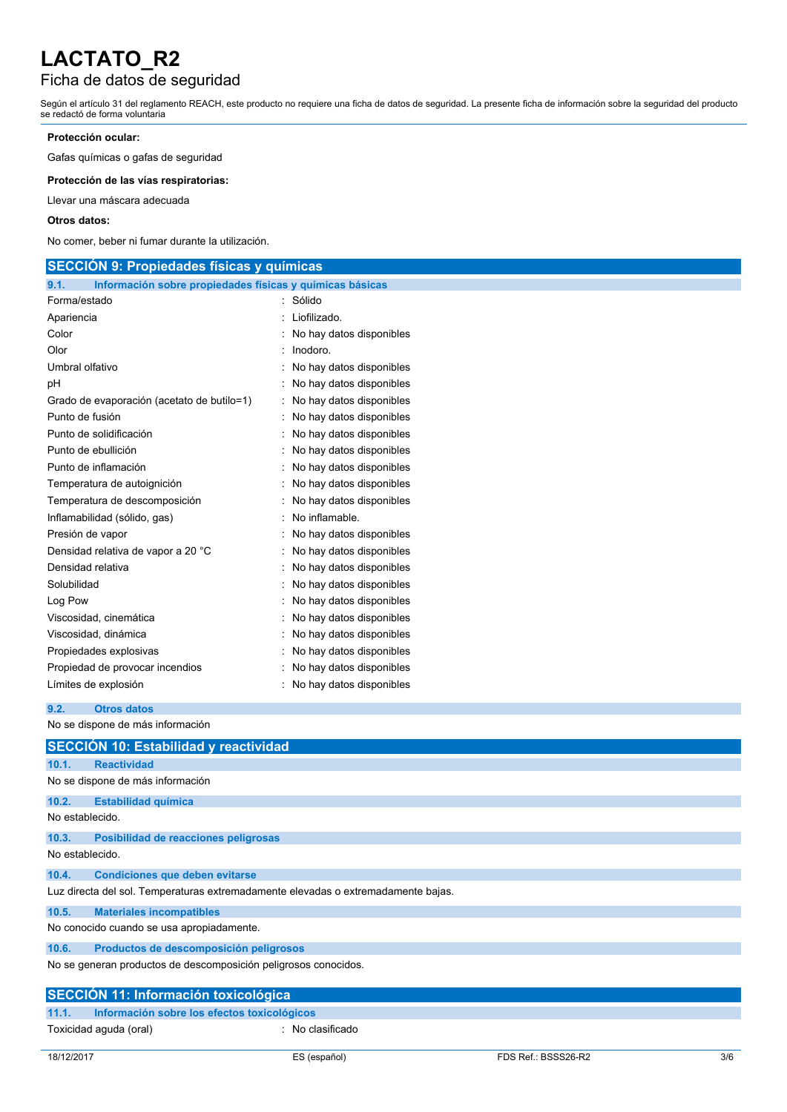# Ficha de datos de seguridad

Según el artículo 31 del reglamento REACH, este producto no requiere una ficha de datos de seguridad. La presente ficha de información sobre la seguridad del producto se redactó de forma voluntaria

### **Protección ocular:**

Gafas químicas o gafas de seguridad

**Protección de las vías respiratorias:**

Llevar una máscara adecuada

#### **Otros datos:**

No comer, beber ni fumar durante la utilización.

| <b>SECCION 9: Propiedades físicas y químicas</b>                 |                            |  |  |
|------------------------------------------------------------------|----------------------------|--|--|
| Información sobre propiedades físicas y químicas básicas<br>9.1. |                            |  |  |
| Forma/estado                                                     | : Sólido                   |  |  |
| Apariencia                                                       | Liofilizado.               |  |  |
| Color                                                            | No hay datos disponibles   |  |  |
| Olor                                                             | Inodoro.                   |  |  |
| Umbral olfativo                                                  | No hay datos disponibles   |  |  |
| pH                                                               | : No hay datos disponibles |  |  |
| Grado de evaporación (acetato de butilo=1)                       | No hay datos disponibles   |  |  |
| Punto de fusión                                                  | No hay datos disponibles   |  |  |
| Punto de solidificación                                          | : No hay datos disponibles |  |  |
| Punto de ebullición                                              | No hay datos disponibles   |  |  |
| Punto de inflamación                                             | No hay datos disponibles   |  |  |
| Temperatura de autoignición                                      | : No hay datos disponibles |  |  |
| Temperatura de descomposición                                    | : No hay datos disponibles |  |  |
| Inflamabilidad (sólido, gas)                                     | No inflamable.             |  |  |
| Presión de vapor                                                 | : No hay datos disponibles |  |  |
| Densidad relativa de vapor a 20 °C                               | : No hay datos disponibles |  |  |
| Densidad relativa                                                | No hay datos disponibles   |  |  |
| Solubilidad                                                      | : No hay datos disponibles |  |  |
| Log Pow                                                          | No hay datos disponibles   |  |  |
| Viscosidad, cinemática                                           | No hay datos disponibles   |  |  |
| Viscosidad, dinámica                                             | : No hay datos disponibles |  |  |
| Propiedades explosivas                                           | : No hay datos disponibles |  |  |
| Propiedad de provocar incendios                                  | No hay datos disponibles   |  |  |
| Límites de explosión                                             | : No hay datos disponibles |  |  |
|                                                                  |                            |  |  |

**9.2. Otros datos**

| No se dispone de más información |  |
|----------------------------------|--|
|                                  |  |

|                                           | <b>SECCION 10: Estabilidad y reactividad</b>                                      |  |  |  |  |
|-------------------------------------------|-----------------------------------------------------------------------------------|--|--|--|--|
| 10.1.                                     | <b>Reactividad</b>                                                                |  |  |  |  |
|                                           | No se dispone de más información                                                  |  |  |  |  |
| 10.2.                                     | <b>Estabilidad química</b>                                                        |  |  |  |  |
|                                           | No establecido.                                                                   |  |  |  |  |
| 10.3.                                     | Posibilidad de reacciones peligrosas                                              |  |  |  |  |
| No establecido.                           |                                                                                   |  |  |  |  |
| 10.4.                                     | <b>Condiciones que deben evitarse</b>                                             |  |  |  |  |
|                                           | Luz directa del sol. Temperaturas extremadamente elevadas o extremadamente bajas. |  |  |  |  |
| 10.5.                                     | <b>Materiales incompatibles</b>                                                   |  |  |  |  |
| No conocido cuando se usa apropiadamente. |                                                                                   |  |  |  |  |
| 10.6.                                     | Productos de descomposición peligrosos                                            |  |  |  |  |
|                                           | No se generan productos de descomposición peligrosos conocidos.                   |  |  |  |  |
|                                           | <b>SECCIÓN 11: Información toxicológica</b>                                       |  |  |  |  |
| 11.1.                                     | Información sobre los efectos toxicológicos                                       |  |  |  |  |
|                                           | Toxicidad aguda (oral)<br>$:$ No clasificado                                      |  |  |  |  |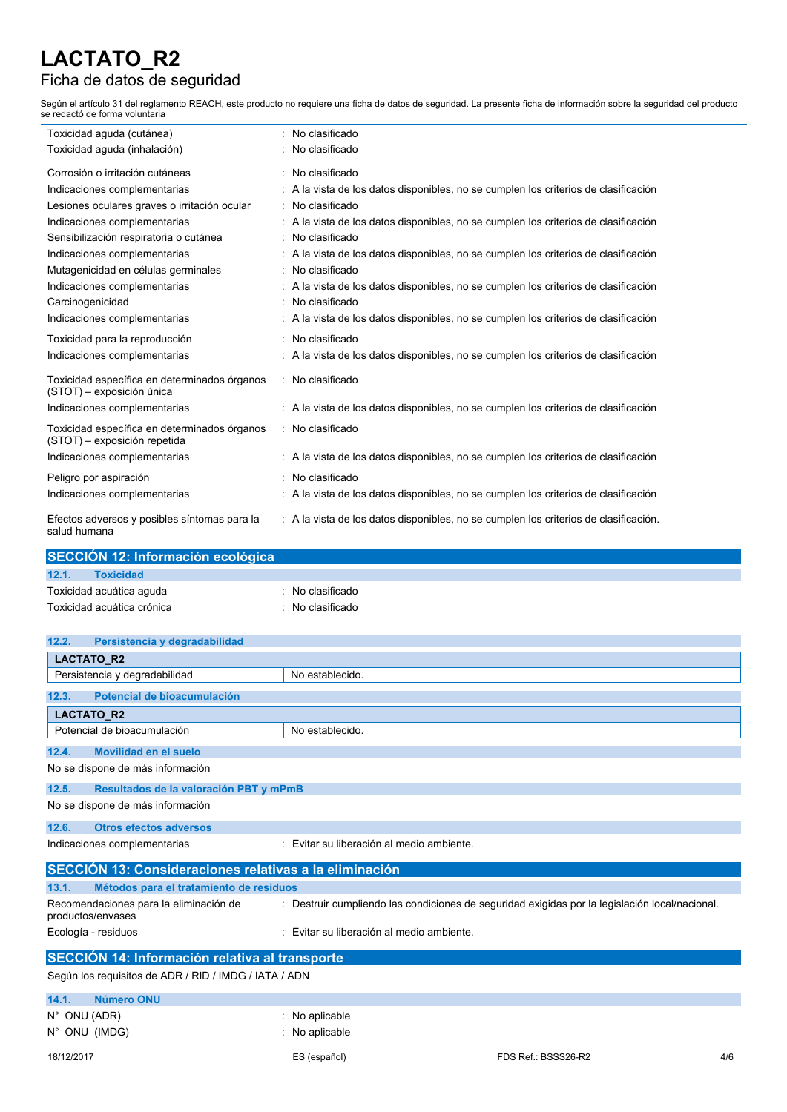## Ficha de datos de seguridad

Según el artículo 31 del reglamento REACH, este producto no requiere una ficha de datos de seguridad. La presente ficha de información sobre la seguridad del producto se redactó de forma voluntaria

| Toxicidad aguda (cutánea)                                                    | No clasificado                                                                       |
|------------------------------------------------------------------------------|--------------------------------------------------------------------------------------|
| Toxicidad aguda (inhalación)                                                 | No clasificado                                                                       |
| Corrosión o irritación cutáneas                                              | : No clasificado                                                                     |
| Indicaciones complementarias                                                 | : A la vista de los datos disponibles, no se cumplen los criterios de clasificación  |
| Lesiones oculares graves o irritación ocular                                 | : No clasificado                                                                     |
| Indicaciones complementarias                                                 | : A la vista de los datos disponibles, no se cumplen los criterios de clasificación  |
| Sensibilización respiratoria o cutánea                                       | : No clasificado                                                                     |
| Indicaciones complementarias                                                 | : A la vista de los datos disponibles, no se cumplen los criterios de clasificación  |
| Mutagenicidad en células germinales                                          | : No clasificado                                                                     |
| Indicaciones complementarias                                                 | : A la vista de los datos disponibles, no se cumplen los criterios de clasificación  |
| Carcinogenicidad                                                             | : No clasificado                                                                     |
| Indicaciones complementarias                                                 | : A la vista de los datos disponibles, no se cumplen los criterios de clasificación  |
| Toxicidad para la reproducción                                               | : No clasificado                                                                     |
| Indicaciones complementarias                                                 | : A la vista de los datos disponibles, no se cumplen los criterios de clasificación  |
| Toxicidad específica en determinados órganos<br>(STOT) - exposición única    | : No clasificado                                                                     |
| Indicaciones complementarias                                                 | : A la vista de los datos disponibles, no se cumplen los criterios de clasificación  |
| Toxicidad específica en determinados órganos<br>(STOT) - exposición repetida | : No clasificado                                                                     |
| Indicaciones complementarias                                                 | : A la vista de los datos disponibles, no se cumplen los criterios de clasificación  |
| Peligro por aspiración                                                       | : No clasificado                                                                     |
| Indicaciones complementarias                                                 | : A la vista de los datos disponibles, no se cumplen los criterios de clasificación  |
| Efectos adversos y posibles síntomas para la<br>salud humana                 | : A la vista de los datos disponibles, no se cumplen los criterios de clasificación. |

| SECCIÓN 12: Información ecológica |                             |  |  |
|-----------------------------------|-----------------------------|--|--|
| 12.1.<br><b>Toxicidad</b>         |                             |  |  |
| Toxicidad acuática aguda          | : No clasificado            |  |  |
| Toxicidad acuática crónica        | $\therefore$ No clasificado |  |  |

| 12.2.<br>Persistencia y degradabilidad                      |                                                                                                |  |  |
|-------------------------------------------------------------|------------------------------------------------------------------------------------------------|--|--|
| LACTATO_R2                                                  |                                                                                                |  |  |
| Persistencia y degradabilidad                               | No establecido.                                                                                |  |  |
| Potencial de bioacumulación<br>12.3.                        |                                                                                                |  |  |
| <b>LACTATO R2</b>                                           |                                                                                                |  |  |
| Potencial de bioacumulación                                 | No establecido.                                                                                |  |  |
| Movilidad en el suelo<br>12.4.                              |                                                                                                |  |  |
| No se dispone de más información                            |                                                                                                |  |  |
| 12.5.                                                       | Resultados de la valoración PBT y mPmB                                                         |  |  |
| No se dispone de más información                            |                                                                                                |  |  |
| <b>Otros efectos adversos</b><br>12.6.                      |                                                                                                |  |  |
| Indicaciones complementarias                                | : Evitar su liberación al medio ambiente.                                                      |  |  |
| SECCIÓN 13: Consideraciones relativas a la eliminación      |                                                                                                |  |  |
| 13.1.<br>Métodos para el tratamiento de residuos            |                                                                                                |  |  |
| Recomendaciones para la eliminación de<br>productos/envases | : Destruir cumpliendo las condiciones de seguridad exigidas por la legislación local/nacional. |  |  |
| Ecología - residuos                                         | : Evitar su liberación al medio ambiente.                                                      |  |  |
| <b>SECCIÓN 14: Información relativa al transporte</b>       |                                                                                                |  |  |
| Según los requisitos de ADR / RID / IMDG / IATA / ADN       |                                                                                                |  |  |

| 14.1.<br>Número ONU |                           |                     |     |
|---------------------|---------------------------|---------------------|-----|
| N°ONU (ADR)         | $\therefore$ No aplicable |                     |     |
| N° ONU (IMDG)       | $:$ No aplicable          |                     |     |
| 18/12/2017          | ES (español)              | FDS Ref.: BSSS26-R2 | 4/6 |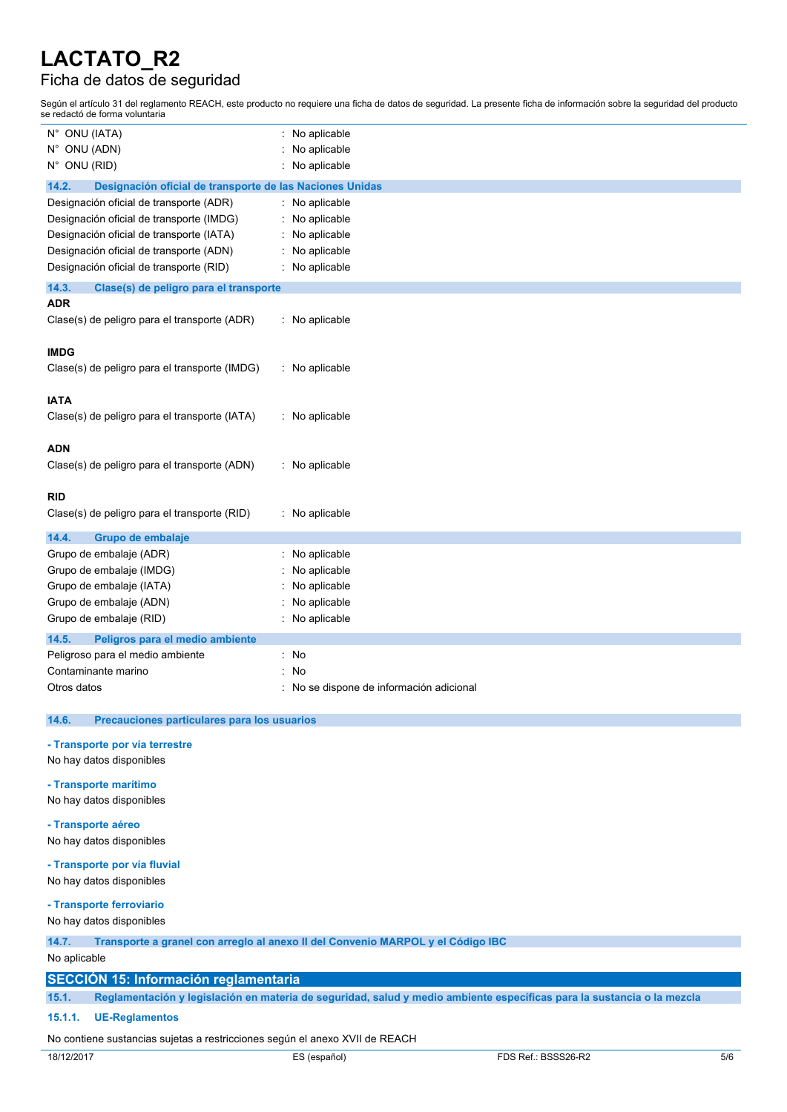## Ficha de datos de seguridad

Según el artículo 31 del reglamento REACH, este producto no requiere una ficha de datos de seguridad. La presente ficha de información sobre la seguridad del producto se redactó de forma voluntaria

| N° ONU (IATA)                                                                                   | : No aplicable                                                                                                         |  |
|-------------------------------------------------------------------------------------------------|------------------------------------------------------------------------------------------------------------------------|--|
| N° ONU (ADN)                                                                                    | No aplicable                                                                                                           |  |
| N° ONU (RID)                                                                                    | No aplicable                                                                                                           |  |
| 14.2.<br>Designación oficial de transporte de las Naciones Unidas                               |                                                                                                                        |  |
| Designación oficial de transporte (ADR)                                                         | : No aplicable                                                                                                         |  |
| Designación oficial de transporte (IMDG)                                                        | No aplicable                                                                                                           |  |
| Designación oficial de transporte (IATA)                                                        | No aplicable                                                                                                           |  |
| Designación oficial de transporte (ADN)                                                         | No aplicable                                                                                                           |  |
| Designación oficial de transporte (RID)                                                         | No aplicable                                                                                                           |  |
| 14.3.<br>Clase(s) de peligro para el transporte                                                 |                                                                                                                        |  |
| <b>ADR</b>                                                                                      |                                                                                                                        |  |
| Clase(s) de peligro para el transporte (ADR)                                                    | : No aplicable                                                                                                         |  |
|                                                                                                 |                                                                                                                        |  |
| <b>IMDG</b>                                                                                     |                                                                                                                        |  |
| Clase(s) de peligro para el transporte (IMDG)                                                   | : No aplicable                                                                                                         |  |
| <b>IATA</b>                                                                                     |                                                                                                                        |  |
| Clase(s) de peligro para el transporte (IATA)                                                   | : No aplicable                                                                                                         |  |
|                                                                                                 |                                                                                                                        |  |
| <b>ADN</b>                                                                                      |                                                                                                                        |  |
| Clase(s) de peligro para el transporte (ADN)                                                    | : No aplicable                                                                                                         |  |
|                                                                                                 |                                                                                                                        |  |
| <b>RID</b>                                                                                      |                                                                                                                        |  |
| Clase(s) de peligro para el transporte (RID)                                                    | : No aplicable                                                                                                         |  |
| 14.4.<br>Grupo de embalaje                                                                      |                                                                                                                        |  |
| Grupo de embalaje (ADR)                                                                         | : No aplicable                                                                                                         |  |
| Grupo de embalaje (IMDG)                                                                        | No aplicable                                                                                                           |  |
| Grupo de embalaje (IATA)                                                                        | No aplicable                                                                                                           |  |
| Grupo de embalaje (ADN)                                                                         | No aplicable                                                                                                           |  |
| Grupo de embalaje (RID)                                                                         | No aplicable                                                                                                           |  |
| 14.5.<br>Peligros para el medio ambiente                                                        |                                                                                                                        |  |
| Peligroso para el medio ambiente                                                                | : No                                                                                                                   |  |
| Contaminante marino                                                                             | No                                                                                                                     |  |
| Otros datos                                                                                     | No se dispone de información adicional                                                                                 |  |
|                                                                                                 |                                                                                                                        |  |
| 14.6.<br>Precauciones particulares para los usuarios                                            |                                                                                                                        |  |
| - Transporte por vía terrestre                                                                  |                                                                                                                        |  |
| No hay datos disponibles                                                                        |                                                                                                                        |  |
|                                                                                                 |                                                                                                                        |  |
| - Transporte marítimo<br>No hay datos disponibles                                               |                                                                                                                        |  |
|                                                                                                 |                                                                                                                        |  |
| - Transporte aéreo                                                                              |                                                                                                                        |  |
| No hay datos disponibles                                                                        |                                                                                                                        |  |
| - Transporte por vía fluvial                                                                    |                                                                                                                        |  |
| No hay datos disponibles                                                                        |                                                                                                                        |  |
| - Transporte ferroviario                                                                        |                                                                                                                        |  |
| No hay datos disponibles                                                                        |                                                                                                                        |  |
| 14.7.                                                                                           |                                                                                                                        |  |
| Transporte a granel con arregio al anexo II del Convenio MARPOL y el Código IBC<br>No aplicable |                                                                                                                        |  |
|                                                                                                 |                                                                                                                        |  |
| <b>SECCIÓN 15: Información reglamentaria</b>                                                    |                                                                                                                        |  |
| 15.1.                                                                                           | Reglamentación y legislación en materia de seguridad, salud y medio ambiente específicas para la sustancia o la mezcla |  |
| 15.1.1.<br><b>UE-Reglamentos</b>                                                                |                                                                                                                        |  |
| No contiene sustancias sujetas a restricciones según el anexo XVII de REACH                     |                                                                                                                        |  |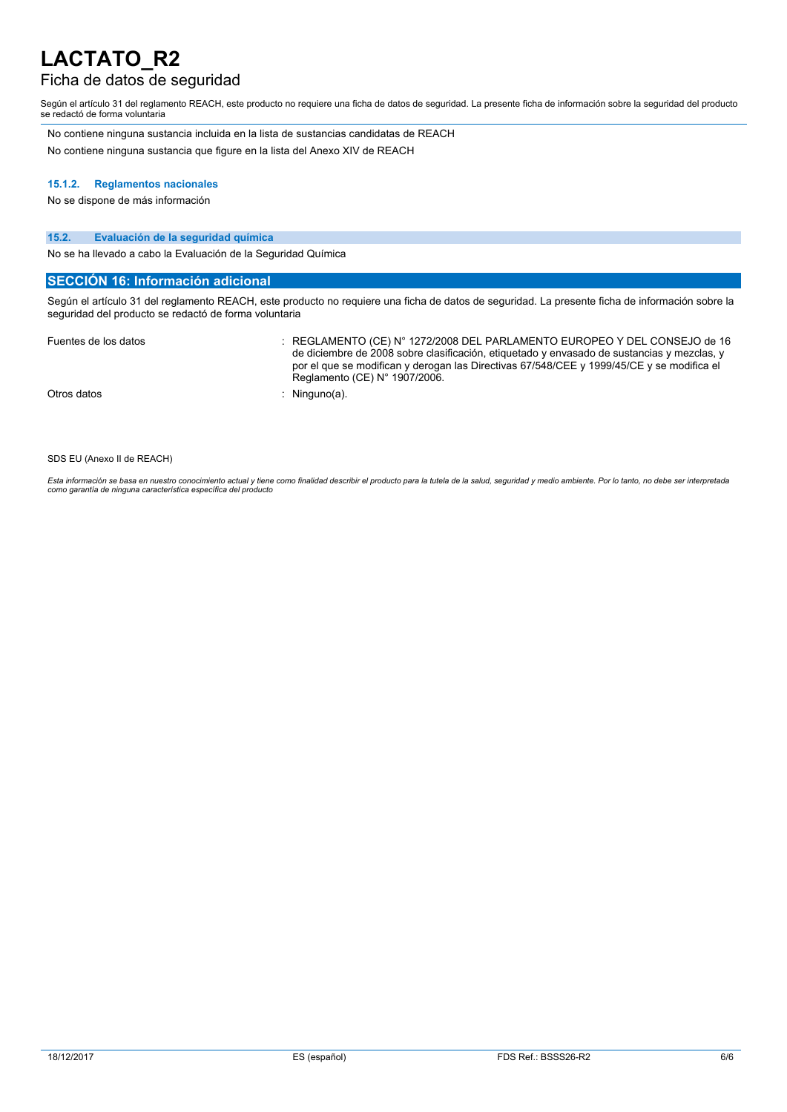## Ficha de datos de seguridad

Según el artículo 31 del reglamento REACH, este producto no requiere una ficha de datos de seguridad. La presente ficha de información sobre la seguridad del producto se redactó de forma voluntaria

No contiene ninguna sustancia incluida en la lista de sustancias candidatas de REACH No contiene ninguna sustancia que figure en la lista del Anexo XIV de REACH

#### **15.1.2. Reglamentos nacionales**

No se dispone de más información

#### **15.2. Evaluación de la seguridad química**

No se ha llevado a cabo la Evaluación de la Seguridad Química

### **SECCIÓN 16: Información adicional**

Según el artículo 31 del reglamento REACH, este producto no requiere una ficha de datos de seguridad. La presente ficha de información sobre la seguridad del producto se redactó de forma voluntaria

| Fuentes de los datos | REGLAMENTO (CE) N° 1272/2008 DEL PARLAMENTO EUROPEO Y DEL CONSEJO de 16<br>de diciembre de 2008 sobre clasificación, etiquetado y envasado de sustancias y mezclas, y<br>por el que se modifican y derogan las Directivas 67/548/CEE y 1999/45/CE y se modifica el<br>Reglamento (CE) $N^{\circ}$ 1907/2006. |
|----------------------|--------------------------------------------------------------------------------------------------------------------------------------------------------------------------------------------------------------------------------------------------------------------------------------------------------------|
| Otros datos          | Ninguno(a).                                                                                                                                                                                                                                                                                                  |

SDS EU (Anexo II de REACH)

Esta información se basa en nuestro conocimiento actual y tiene como finalidad describir el producto para la tutela de la salud, seguridad y medio ambiente. Por lo tanto, no debe ser interpretada<br>como garantía de ninguna c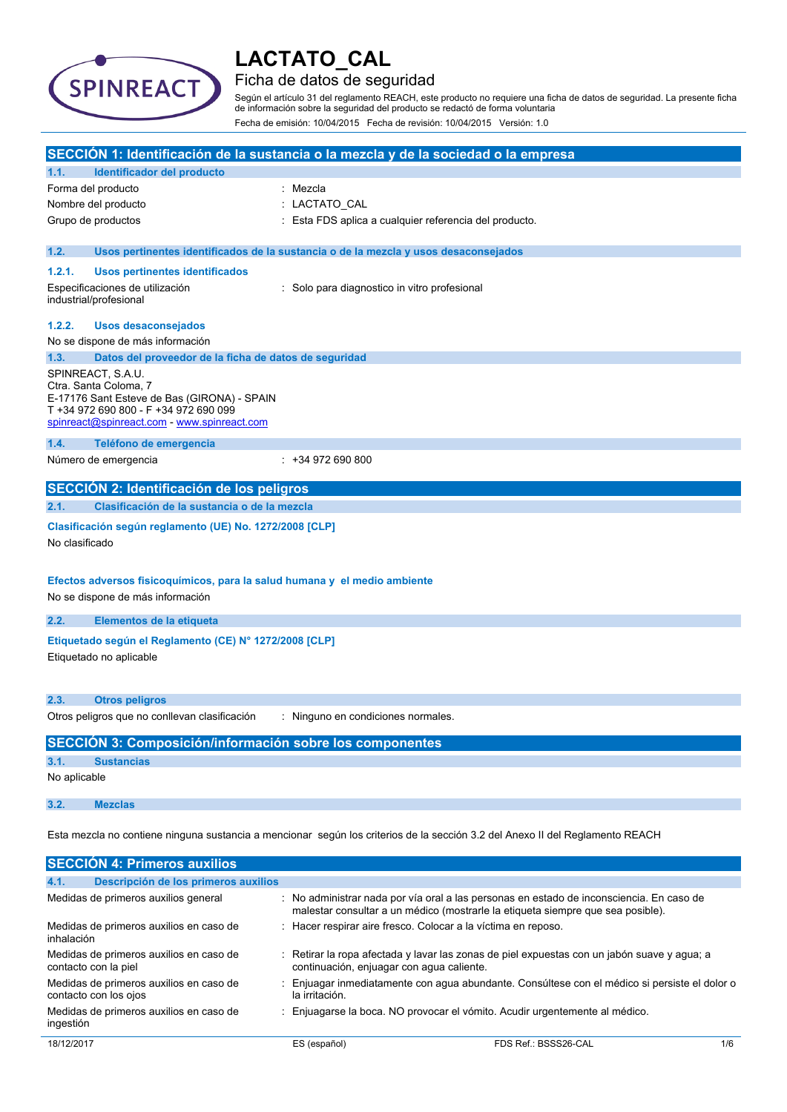

## Ficha de datos de seguridad

Según el artículo 31 del reglamento REACH, este producto no requiere una ficha de datos de seguridad. La presente ficha de información sobre la seguridad del producto se redactó de forma voluntaria Fecha de emisión: 10/04/2015 Fecha de revisión: 10/04/2015 Versión: 1.0

| SECCIÓN 1: Identificación de la sustancia o la mezcla y de la sociedad o la empresa                                           |                                                                                                                                                                                   |                                                                                                                                                                             |  |
|-------------------------------------------------------------------------------------------------------------------------------|-----------------------------------------------------------------------------------------------------------------------------------------------------------------------------------|-----------------------------------------------------------------------------------------------------------------------------------------------------------------------------|--|
| 1.1.                                                                                                                          | Identificador del producto                                                                                                                                                        |                                                                                                                                                                             |  |
|                                                                                                                               | Forma del producto                                                                                                                                                                | : Mezcla                                                                                                                                                                    |  |
|                                                                                                                               | Nombre del producto                                                                                                                                                               | : LACTATO_CAL                                                                                                                                                               |  |
|                                                                                                                               | Grupo de productos                                                                                                                                                                | : Esta FDS aplica a cualquier referencia del producto.                                                                                                                      |  |
| 1.2.                                                                                                                          |                                                                                                                                                                                   | Usos pertinentes identificados de la sustancia o de la mezcla y usos desaconsejados                                                                                         |  |
| 1.2.1.                                                                                                                        | <b>Usos pertinentes identificados</b>                                                                                                                                             |                                                                                                                                                                             |  |
|                                                                                                                               | Especificaciones de utilización<br>industrial/profesional                                                                                                                         | : Solo para diagnostico in vitro profesional                                                                                                                                |  |
| 1.2.2.                                                                                                                        | Usos desaconsejados                                                                                                                                                               |                                                                                                                                                                             |  |
|                                                                                                                               | No se dispone de más información                                                                                                                                                  |                                                                                                                                                                             |  |
| 1.3.                                                                                                                          | Datos del proveedor de la ficha de datos de seguridad                                                                                                                             |                                                                                                                                                                             |  |
|                                                                                                                               | SPINREACT, S.A.U.<br>Ctra. Santa Coloma, 7<br>E-17176 Sant Esteve de Bas (GIRONA) - SPAIN<br>T +34 972 690 800 - F +34 972 690 099<br>spinreact@spinreact.com - www.spinreact.com |                                                                                                                                                                             |  |
| 1.4.                                                                                                                          | Teléfono de emergencia                                                                                                                                                            |                                                                                                                                                                             |  |
|                                                                                                                               | Número de emergencia                                                                                                                                                              | $: +34972690800$                                                                                                                                                            |  |
|                                                                                                                               | SECCIÓN 2: Identificación de los peligros                                                                                                                                         |                                                                                                                                                                             |  |
| 2.1.                                                                                                                          | Clasificación de la sustancia o de la mezcla                                                                                                                                      |                                                                                                                                                                             |  |
| No clasificado                                                                                                                | Clasificación según reglamento (UE) No. 1272/2008 [CLP]                                                                                                                           |                                                                                                                                                                             |  |
| Efectos adversos fisicoquímicos, para la salud humana y el medio ambiente<br>No se dispone de más información                 |                                                                                                                                                                                   |                                                                                                                                                                             |  |
| 2.2.                                                                                                                          | Elementos de la etiqueta                                                                                                                                                          |                                                                                                                                                                             |  |
| Etiquetado según el Reglamento (CE) Nº 1272/2008 [CLP]<br>Etiquetado no aplicable                                             |                                                                                                                                                                                   |                                                                                                                                                                             |  |
| 2.3.                                                                                                                          | <b>Otros peligros</b>                                                                                                                                                             |                                                                                                                                                                             |  |
|                                                                                                                               | Otros peligros que no conllevan clasificación                                                                                                                                     | : Ninguno en condiciones normales.                                                                                                                                          |  |
|                                                                                                                               | <b>SECCIÓN 3: Composición/información sobre los componentes</b>                                                                                                                   |                                                                                                                                                                             |  |
| 3.1.                                                                                                                          | <b>Sustancias</b>                                                                                                                                                                 |                                                                                                                                                                             |  |
| No aplicable                                                                                                                  |                                                                                                                                                                                   |                                                                                                                                                                             |  |
| 3.2.                                                                                                                          | <b>Mezclas</b>                                                                                                                                                                    |                                                                                                                                                                             |  |
| Esta mezcla no contiene ninguna sustancia a mencionar según los criterios de la sección 3.2 del Anexo II del Reglamento REACH |                                                                                                                                                                                   |                                                                                                                                                                             |  |
|                                                                                                                               | <b>SECCIÓN 4: Primeros auxilios</b>                                                                                                                                               |                                                                                                                                                                             |  |
| 4.1.                                                                                                                          | Descripción de los primeros auxilios                                                                                                                                              |                                                                                                                                                                             |  |
|                                                                                                                               | Medidas de primeros auxilios general                                                                                                                                              | : No administrar nada por vía oral a las personas en estado de inconsciencia. En caso de<br>malestar consultar a un médico (mostrarle la etiqueta siempre que sea posible). |  |
| inhalación                                                                                                                    | Medidas de primeros auxilios en caso de                                                                                                                                           | Hacer respirar aire fresco. Colocar a la víctima en reposo.                                                                                                                 |  |
|                                                                                                                               | Medidas de primeros auxilios en caso de<br>contacto con la piel                                                                                                                   | : Retirar la ropa afectada y lavar las zonas de piel expuestas con un jabón suave y agua; a<br>continuación, enjuagar con agua caliente.                                    |  |

Medidas de primeros auxilios en caso de : Enjuagar inmediatamente con agua abundante. Consúltese con el médico si persiste el dolor o la irritación.

Medidas de primeros auxilios en caso de : Enjuagarse la boca. NO provocar el vómito. Acudir urgentemente al médico.

ingestión

contacto con los ojos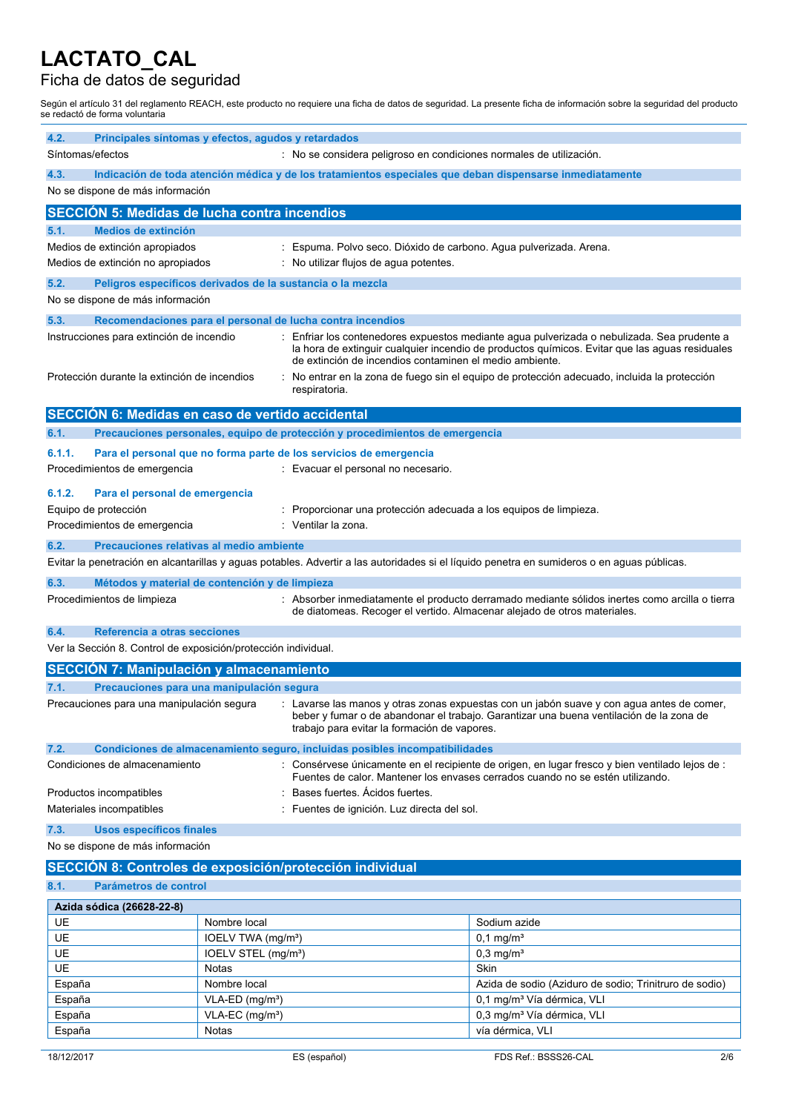## Ficha de datos de seguridad

Según el artículo 31 del reglamento REACH, este producto no requiere una ficha de datos de seguridad. La presente ficha de información sobre la seguridad del producto se redactó de forma voluntaria

| 4.2.                                                                                                   | Principales síntomas y efectos, agudos y retardados                                                                                                                                                                                                                               |                                               |                                                                                                          |                                                                                                                                                                                                                                                                                           |
|--------------------------------------------------------------------------------------------------------|-----------------------------------------------------------------------------------------------------------------------------------------------------------------------------------------------------------------------------------------------------------------------------------|-----------------------------------------------|----------------------------------------------------------------------------------------------------------|-------------------------------------------------------------------------------------------------------------------------------------------------------------------------------------------------------------------------------------------------------------------------------------------|
|                                                                                                        | Síntomas/efectos<br>: No se considera peligroso en condiciones normales de utilización.                                                                                                                                                                                           |                                               |                                                                                                          |                                                                                                                                                                                                                                                                                           |
| 4.3.                                                                                                   | No se dispone de más información                                                                                                                                                                                                                                                  |                                               | Indicación de toda atención médica y de los tratamientos especiales que deban dispensarse inmediatamente |                                                                                                                                                                                                                                                                                           |
|                                                                                                        | <b>SECCION 5: Medidas de lucha contra incendios</b>                                                                                                                                                                                                                               |                                               |                                                                                                          |                                                                                                                                                                                                                                                                                           |
| 5.1.                                                                                                   | <b>Medios de extinción</b>                                                                                                                                                                                                                                                        |                                               |                                                                                                          |                                                                                                                                                                                                                                                                                           |
|                                                                                                        | Medios de extinción apropiados                                                                                                                                                                                                                                                    | t.                                            | Espuma. Polvo seco. Dióxido de carbono. Agua pulverizada. Arena.                                         |                                                                                                                                                                                                                                                                                           |
|                                                                                                        | Medios de extinción no apropiados                                                                                                                                                                                                                                                 |                                               | : No utilizar flujos de aqua potentes.                                                                   |                                                                                                                                                                                                                                                                                           |
| 5.2.                                                                                                   | Peligros específicos derivados de la sustancia o la mezcla                                                                                                                                                                                                                        |                                               |                                                                                                          |                                                                                                                                                                                                                                                                                           |
|                                                                                                        | No se dispone de más información                                                                                                                                                                                                                                                  |                                               |                                                                                                          |                                                                                                                                                                                                                                                                                           |
| 5.3.                                                                                                   |                                                                                                                                                                                                                                                                                   |                                               | Recomendaciones para el personal de lucha contra incendios                                               |                                                                                                                                                                                                                                                                                           |
|                                                                                                        | Instrucciones para extinción de incendio<br>Protección durante la extinción de incendios                                                                                                                                                                                          |                                               | de extinción de incendios contaminen el medio ambiente.<br>respiratoria.                                 | Enfriar los contenedores expuestos mediante agua pulverizada o nebulizada. Sea prudente a<br>la hora de extinguir cualquier incendio de productos químicos. Evitar que las aguas residuales<br>No entrar en la zona de fuego sin el equipo de protección adecuado, incluida la protección |
|                                                                                                        | SECCIÓN 6: Medidas en caso de vertido accidental                                                                                                                                                                                                                                  |                                               |                                                                                                          |                                                                                                                                                                                                                                                                                           |
| 6.1.                                                                                                   |                                                                                                                                                                                                                                                                                   |                                               | Precauciones personales, equipo de protección y procedimientos de emergencia                             |                                                                                                                                                                                                                                                                                           |
| 6.1.1.                                                                                                 |                                                                                                                                                                                                                                                                                   |                                               | Para el personal que no forma parte de los servicios de emergencia                                       |                                                                                                                                                                                                                                                                                           |
|                                                                                                        | Procedimientos de emergencia                                                                                                                                                                                                                                                      |                                               | : Evacuar el personal no necesario.                                                                      |                                                                                                                                                                                                                                                                                           |
| 6.1.2.                                                                                                 | Para el personal de emergencia                                                                                                                                                                                                                                                    |                                               |                                                                                                          |                                                                                                                                                                                                                                                                                           |
|                                                                                                        | Equipo de protección                                                                                                                                                                                                                                                              |                                               | Proporcionar una protección adecuada a los equipos de limpieza.                                          |                                                                                                                                                                                                                                                                                           |
|                                                                                                        | Procedimientos de emergencia                                                                                                                                                                                                                                                      |                                               | : Ventilar la zona.                                                                                      |                                                                                                                                                                                                                                                                                           |
| 6.2.                                                                                                   | Precauciones relativas al medio ambiente                                                                                                                                                                                                                                          |                                               |                                                                                                          |                                                                                                                                                                                                                                                                                           |
|                                                                                                        |                                                                                                                                                                                                                                                                                   |                                               |                                                                                                          | Evitar la penetración en alcantarillas y aguas potables. Advertir a las autoridades si el líquido penetra en sumideros o en aguas públicas.                                                                                                                                               |
| 6.3.                                                                                                   | Métodos y material de contención y de limpieza                                                                                                                                                                                                                                    |                                               |                                                                                                          |                                                                                                                                                                                                                                                                                           |
|                                                                                                        | Procedimientos de limpieza                                                                                                                                                                                                                                                        |                                               | de diatomeas. Recoger el vertido. Almacenar alejado de otros materiales.                                 | : Absorber inmediatamente el producto derramado mediante sólidos inertes como arcilla o tierra                                                                                                                                                                                            |
| Referencia a otras secciones<br>6.4.<br>Ver la Sección 8. Control de exposición/protección individual. |                                                                                                                                                                                                                                                                                   |                                               |                                                                                                          |                                                                                                                                                                                                                                                                                           |
|                                                                                                        |                                                                                                                                                                                                                                                                                   |                                               |                                                                                                          |                                                                                                                                                                                                                                                                                           |
| <b>SECCIÓN 7: Manipulación y almacenamiento</b><br>Precauciones para una manipulación segura<br>7.1.   |                                                                                                                                                                                                                                                                                   |                                               |                                                                                                          |                                                                                                                                                                                                                                                                                           |
|                                                                                                        | Precauciones para una manipulación segura<br>: Lavarse las manos y otras zonas expuestas con un jabón suave y con agua antes de comer,<br>beber y fumar o de abandonar el trabajo. Garantizar una buena ventilación de la zona de<br>trabajo para evitar la formación de vapores. |                                               |                                                                                                          |                                                                                                                                                                                                                                                                                           |
| 7.2.                                                                                                   |                                                                                                                                                                                                                                                                                   |                                               | Condiciones de almacenamiento seguro, incluidas posibles incompatibilidades                              |                                                                                                                                                                                                                                                                                           |
|                                                                                                        | Condiciones de almacenamiento                                                                                                                                                                                                                                                     |                                               |                                                                                                          | : Consérvese únicamente en el recipiente de origen, en lugar fresco y bien ventilado lejos de :<br>Fuentes de calor. Mantener los envases cerrados cuando no se estén utilizando.                                                                                                         |
|                                                                                                        | Bases fuertes. Acidos fuertes.<br>Productos incompatibles                                                                                                                                                                                                                         |                                               |                                                                                                          |                                                                                                                                                                                                                                                                                           |
|                                                                                                        | Materiales incompatibles                                                                                                                                                                                                                                                          |                                               | : Fuentes de ignición. Luz directa del sol.                                                              |                                                                                                                                                                                                                                                                                           |
| 7.3.                                                                                                   | <b>Usos específicos finales</b>                                                                                                                                                                                                                                                   |                                               |                                                                                                          |                                                                                                                                                                                                                                                                                           |
|                                                                                                        | No se dispone de más información                                                                                                                                                                                                                                                  |                                               |                                                                                                          |                                                                                                                                                                                                                                                                                           |
|                                                                                                        |                                                                                                                                                                                                                                                                                   |                                               | SECCIÓN 8: Controles de exposición/protección individual                                                 |                                                                                                                                                                                                                                                                                           |
| Parámetros de control<br>8.1.                                                                          |                                                                                                                                                                                                                                                                                   |                                               |                                                                                                          |                                                                                                                                                                                                                                                                                           |
|                                                                                                        | Azida sódica (26628-22-8)                                                                                                                                                                                                                                                         |                                               |                                                                                                          |                                                                                                                                                                                                                                                                                           |
| UE                                                                                                     |                                                                                                                                                                                                                                                                                   | Nombre local                                  |                                                                                                          | Sodium azide                                                                                                                                                                                                                                                                              |
| UE                                                                                                     |                                                                                                                                                                                                                                                                                   | IOELV TWA (mg/m <sup>3</sup> )                |                                                                                                          | $0,1 \text{ mg/m}^3$                                                                                                                                                                                                                                                                      |
| UE                                                                                                     |                                                                                                                                                                                                                                                                                   | IOELV STEL (mg/m <sup>3</sup> )               |                                                                                                          | $0,3$ mg/m <sup>3</sup>                                                                                                                                                                                                                                                                   |
| <b>UE</b>                                                                                              |                                                                                                                                                                                                                                                                                   | <b>Notas</b>                                  |                                                                                                          | Skin                                                                                                                                                                                                                                                                                      |
| España<br>España                                                                                       |                                                                                                                                                                                                                                                                                   | Nombre local<br>$VLA-ED$ (mg/m <sup>3</sup> ) |                                                                                                          | Azida de sodio (Aziduro de sodio; Trinitruro de sodio)<br>0,1 mg/m <sup>3</sup> Vía dérmica, VLI                                                                                                                                                                                          |
| España                                                                                                 |                                                                                                                                                                                                                                                                                   | $VLA-EC$ (mg/m <sup>3</sup> )                 |                                                                                                          | 0,3 mg/m <sup>3</sup> Vía dérmica, VLI                                                                                                                                                                                                                                                    |
| España                                                                                                 |                                                                                                                                                                                                                                                                                   | Notas                                         |                                                                                                          | vía dérmica, VLI                                                                                                                                                                                                                                                                          |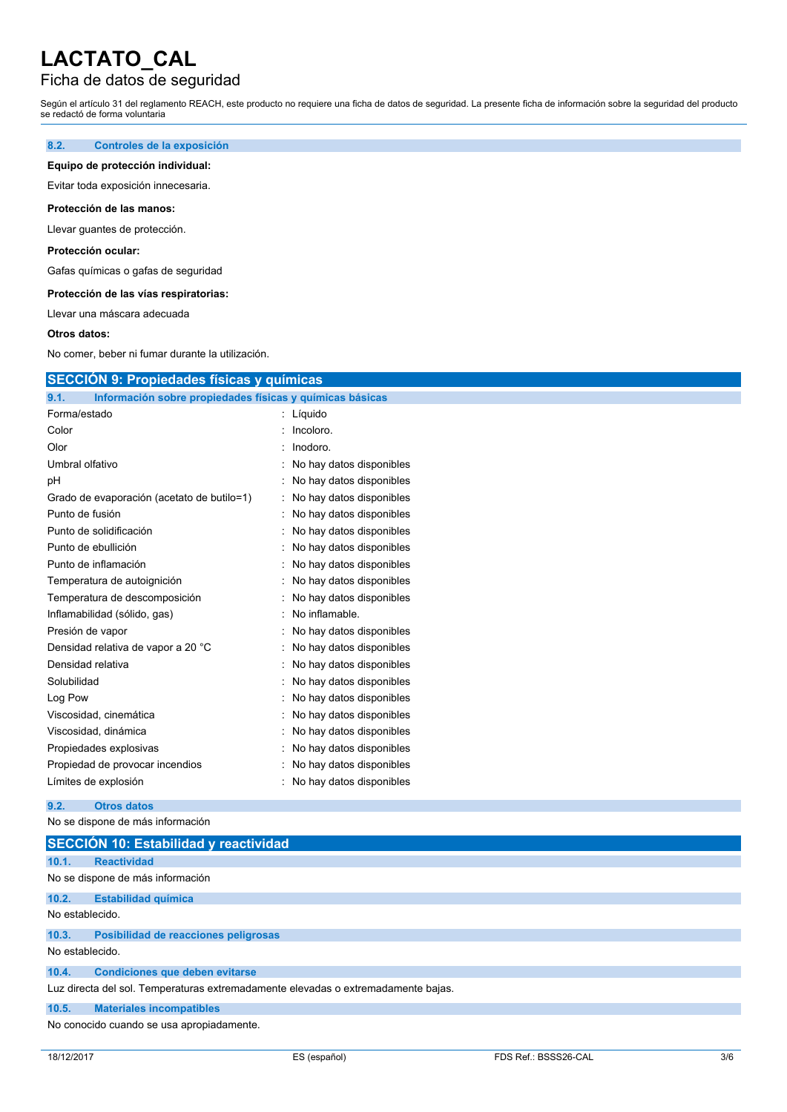## Ficha de datos de seguridad

Según el artículo 31 del reglamento REACH, este producto no requiere una ficha de datos de seguridad. La presente ficha de información sobre la seguridad del producto se redactó de forma voluntaria

### **8.2. Controles de la exposición**

### **Equipo de protección individual:**

Evitar toda exposición innecesaria.

### **Protección de las manos:**

Llevar guantes de protección.

### **Protección ocular:**

Gafas químicas o gafas de seguridad

#### **Protección de las vías respiratorias:**

Llevar una máscara adecuada

#### **Otros datos:**

No comer, beber ni fumar durante la utilización.

## **SECCIÓN 9: Propiedades físicas y químicas**

| 9.1.<br>Información sobre propiedades físicas y químicas básicas |                          |
|------------------------------------------------------------------|--------------------------|
| Forma/estado                                                     | Líquido                  |
| Color                                                            | Incoloro.                |
| Olor                                                             | Inodoro.                 |
| Umbral olfativo                                                  | No hay datos disponibles |
| рH                                                               | No hay datos disponibles |
| Grado de evaporación (acetato de butilo=1)                       | No hay datos disponibles |
| Punto de fusión                                                  | No hay datos disponibles |
| Punto de solidificación                                          | No hay datos disponibles |
| Punto de ebullición                                              | No hay datos disponibles |
| Punto de inflamación                                             | No hay datos disponibles |
| Temperatura de autoignición                                      | No hay datos disponibles |
| Temperatura de descomposición                                    | No hay datos disponibles |
| Inflamabilidad (sólido, gas)                                     | No inflamable.           |
| Presión de vapor                                                 | No hay datos disponibles |
| Densidad relativa de vapor a 20 °C                               | No hay datos disponibles |
| Densidad relativa                                                | No hay datos disponibles |
| Solubilidad                                                      | No hay datos disponibles |
| Log Pow                                                          | No hay datos disponibles |
| Viscosidad, cinemática                                           | No hay datos disponibles |
| Viscosidad, dinámica                                             | No hay datos disponibles |
| Propiedades explosivas                                           | No hay datos disponibles |
| Propiedad de provocar incendios                                  | No hay datos disponibles |
| Límites de explosión                                             | No hay datos disponibles |

#### **9.2. Otros datos**

No se dispone de más información

|                                                                                   | SECCIÓN 10: Estabilidad y reactividad     |  |  |  |
|-----------------------------------------------------------------------------------|-------------------------------------------|--|--|--|
| 10.1.                                                                             | <b>Reactividad</b>                        |  |  |  |
|                                                                                   | No se dispone de más información          |  |  |  |
| 10.2.                                                                             | <b>Estabilidad química</b>                |  |  |  |
| No establecido.                                                                   |                                           |  |  |  |
| 10.3.                                                                             | Posibilidad de reacciones peligrosas      |  |  |  |
| No establecido.                                                                   |                                           |  |  |  |
| 10.4.                                                                             | <b>Condiciones que deben evitarse</b>     |  |  |  |
| Luz directa del sol. Temperaturas extremadamente elevadas o extremadamente bajas. |                                           |  |  |  |
| 10.5.                                                                             | <b>Materiales incompatibles</b>           |  |  |  |
|                                                                                   | No conocido cuando se usa apropiadamente. |  |  |  |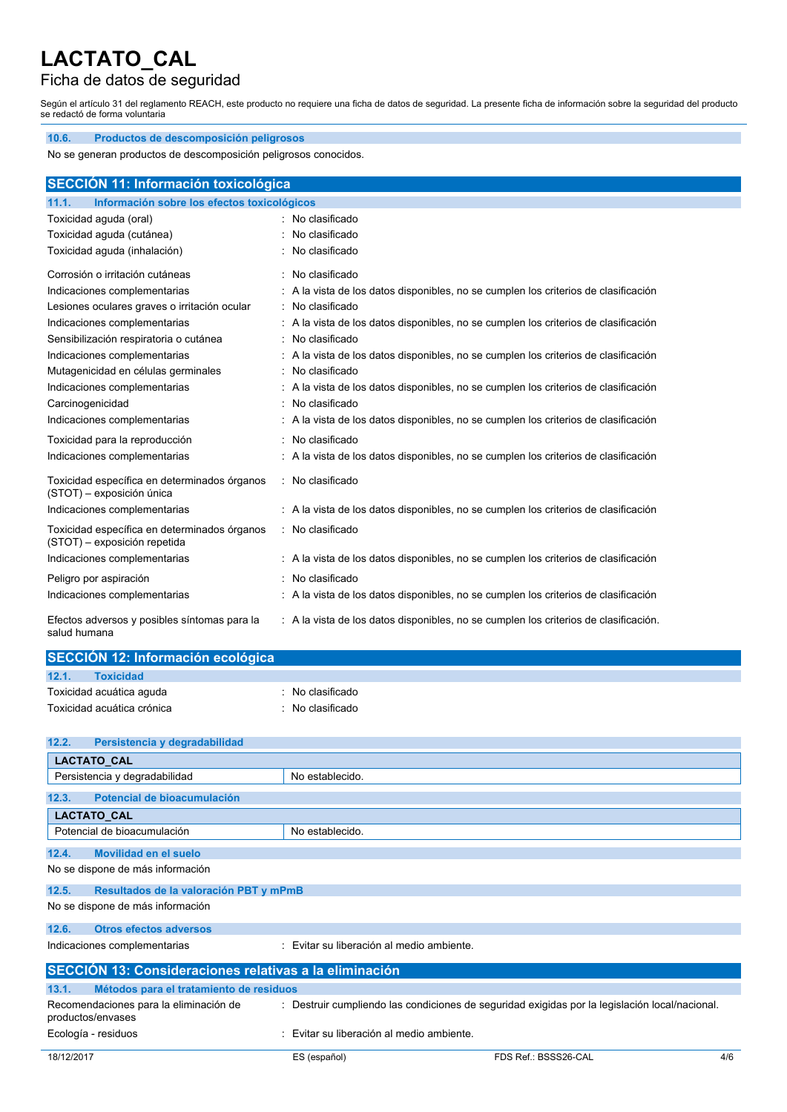## Ficha de datos de seguridad

Según el artículo 31 del reglamento REACH, este producto no requiere una ficha de datos de seguridad. La presente ficha de información sobre la seguridad del producto se redactó de forma voluntaria

| 10.6.<br>Productos de descomposición peligrosos                              |                                                                                      |  |  |
|------------------------------------------------------------------------------|--------------------------------------------------------------------------------------|--|--|
| No se generan productos de descomposición peligrosos conocidos.              |                                                                                      |  |  |
|                                                                              |                                                                                      |  |  |
| SECCIÓN 11: Información toxicológica                                         |                                                                                      |  |  |
| Información sobre los efectos toxicológicos<br>11.1.                         |                                                                                      |  |  |
| Toxicidad aguda (oral)                                                       | : No clasificado                                                                     |  |  |
| Toxicidad aguda (cutánea)                                                    | : No clasificado                                                                     |  |  |
| Toxicidad aguda (inhalación)                                                 | : No clasificado                                                                     |  |  |
| Corrosión o irritación cutáneas                                              | : No clasificado                                                                     |  |  |
| Indicaciones complementarias                                                 | A la vista de los datos disponibles, no se cumplen los criterios de clasificación    |  |  |
| Lesiones oculares graves o irritación ocular                                 | : No clasificado                                                                     |  |  |
| Indicaciones complementarias                                                 | : A la vista de los datos disponibles, no se cumplen los criterios de clasificación  |  |  |
| Sensibilización respiratoria o cutánea                                       | : No clasificado                                                                     |  |  |
| Indicaciones complementarias                                                 | : A la vista de los datos disponibles, no se cumplen los criterios de clasificación  |  |  |
| Mutagenicidad en células germinales                                          | : No clasificado                                                                     |  |  |
| Indicaciones complementarias                                                 | A la vista de los datos disponibles, no se cumplen los criterios de clasificación    |  |  |
| Carcinogenicidad                                                             | : No clasificado                                                                     |  |  |
| Indicaciones complementarias                                                 | : A la vista de los datos disponibles, no se cumplen los criterios de clasificación  |  |  |
| Toxicidad para la reproducción                                               | : No clasificado                                                                     |  |  |
| Indicaciones complementarias                                                 | : A la vista de los datos disponibles, no se cumplen los criterios de clasificación  |  |  |
| Toxicidad específica en determinados órganos<br>(STOT) - exposición única    | : No clasificado                                                                     |  |  |
| Indicaciones complementarias                                                 | : A la vista de los datos disponibles, no se cumplen los criterios de clasificación  |  |  |
| Toxicidad específica en determinados órganos<br>(STOT) - exposición repetida | : No clasificado                                                                     |  |  |
| Indicaciones complementarias                                                 | : A la vista de los datos disponibles, no se cumplen los criterios de clasificación  |  |  |
| Peligro por aspiración                                                       | : No clasificado                                                                     |  |  |
| Indicaciones complementarias                                                 | : A la vista de los datos disponibles, no se cumplen los criterios de clasificación  |  |  |
| Efectos adversos y posibles síntomas para la<br>salud humana                 | : A la vista de los datos disponibles, no se cumplen los criterios de clasificación. |  |  |

| SECCIÓN 12: Información ecológica |                             |  |
|-----------------------------------|-----------------------------|--|
| 12.1.<br>Toxicidad                |                             |  |
| Toxicidad acuática aguda          | $\therefore$ No clasificado |  |
| Toxicidad acuática crónica        | $\therefore$ No clasificado |  |

| 12.2.      |                                                               |                                           |                                                                                                |     |
|------------|---------------------------------------------------------------|-------------------------------------------|------------------------------------------------------------------------------------------------|-----|
|            | Persistencia y degradabilidad                                 |                                           |                                                                                                |     |
|            | <b>LACTATO CAL</b>                                            |                                           |                                                                                                |     |
|            | Persistencia y degradabilidad                                 | No establecido.                           |                                                                                                |     |
|            |                                                               |                                           |                                                                                                |     |
| 12.3.      | Potencial de bioacumulación                                   |                                           |                                                                                                |     |
|            | LACTATO_CAL                                                   |                                           |                                                                                                |     |
|            | Potencial de bioacumulación                                   | No establecido.                           |                                                                                                |     |
|            |                                                               |                                           |                                                                                                |     |
| 12.4.      | Movilidad en el suelo                                         |                                           |                                                                                                |     |
|            | No se dispone de más información                              |                                           |                                                                                                |     |
| 12.5.      | Resultados de la valoración PBT y mPmB                        |                                           |                                                                                                |     |
|            | No se dispone de más información                              |                                           |                                                                                                |     |
| 12.6.      | <b>Otros efectos adversos</b>                                 |                                           |                                                                                                |     |
|            | Indicaciones complementarias                                  | : Evitar su liberación al medio ambiente. |                                                                                                |     |
|            | <b>SECCIÓN 13: Consideraciones relativas a la eliminación</b> |                                           |                                                                                                |     |
| 13.1.      | Métodos para el tratamiento de residuos                       |                                           |                                                                                                |     |
|            | Recomendaciones para la eliminación de<br>productos/envases   |                                           | : Destruir cumpliendo las condiciones de seguridad exigidas por la legislación local/nacional. |     |
|            | Ecología - residuos                                           | : Evitar su liberación al medio ambiente. |                                                                                                |     |
| 18/12/2017 |                                                               | ES (español)                              | FDS Ref.: BSSS26-CAL                                                                           | 4/6 |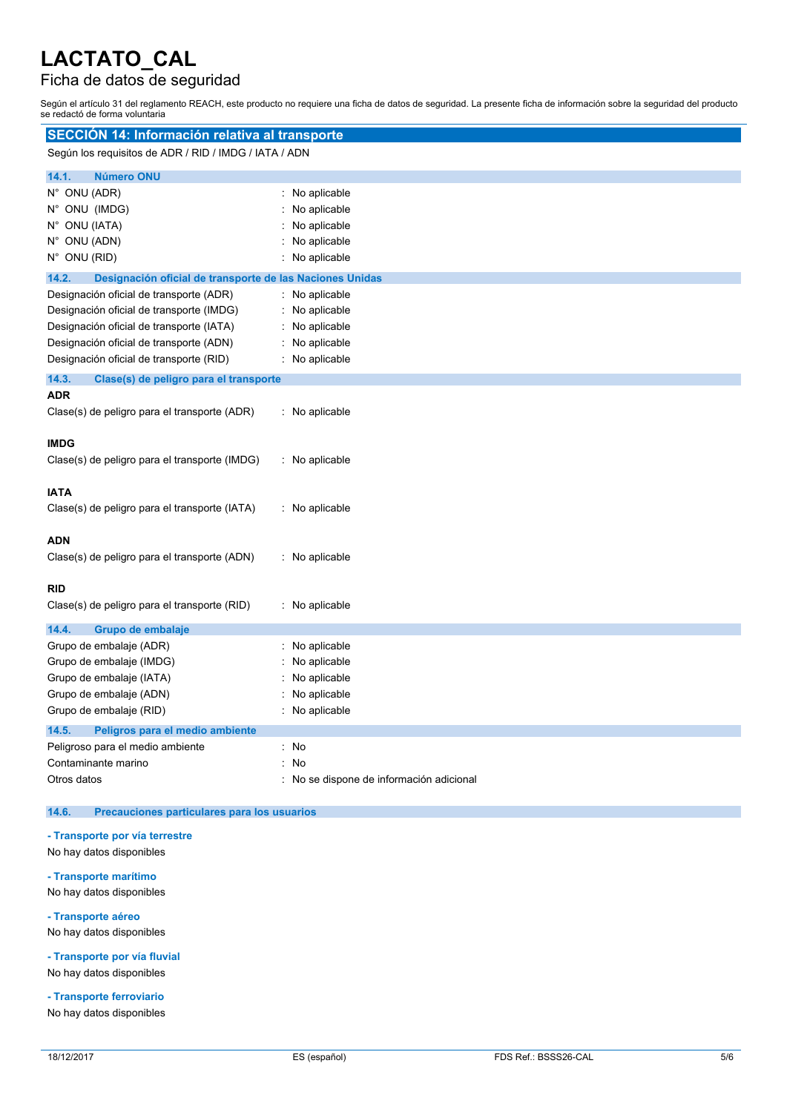## Ficha de datos de seguridad

Según el artículo 31 del reglamento REACH, este producto no requiere una ficha de datos de seguridad. La presente ficha de información sobre la seguridad del producto se redactó de forma voluntaria

| SECCIÓN 14: Información relativa al transporte                                                                                                                                                                        |                                                                                |  |  |
|-----------------------------------------------------------------------------------------------------------------------------------------------------------------------------------------------------------------------|--------------------------------------------------------------------------------|--|--|
| Según los requisitos de ADR / RID / IMDG / IATA / ADN                                                                                                                                                                 |                                                                                |  |  |
| 14.1.<br><b>Número ONU</b>                                                                                                                                                                                            |                                                                                |  |  |
| N° ONU (ADR)<br>N° ONU (IMDG)<br>N° ONU (IATA)<br>N° ONU (ADN)<br>$N^{\circ}$ ONU (RID)                                                                                                                               | : No aplicable<br>No aplicable<br>No aplicable<br>No aplicable<br>No aplicable |  |  |
| 14.2.<br>Designación oficial de transporte de las Naciones Unidas                                                                                                                                                     |                                                                                |  |  |
| Designación oficial de transporte (ADR)<br>Designación oficial de transporte (IMDG)<br>Designación oficial de transporte (IATA)<br>Designación oficial de transporte (ADN)<br>Designación oficial de transporte (RID) | No aplicable<br>: No aplicable<br>No aplicable<br>No aplicable<br>No aplicable |  |  |
| 14.3.<br>Clase(s) de peligro para el transporte                                                                                                                                                                       |                                                                                |  |  |
| <b>ADR</b><br>Clase(s) de peligro para el transporte (ADR)                                                                                                                                                            | : No aplicable                                                                 |  |  |
| <b>IMDG</b><br>Clase(s) de peligro para el transporte (IMDG)                                                                                                                                                          | : No aplicable                                                                 |  |  |
| <b>IATA</b><br>Clase(s) de peligro para el transporte (IATA)                                                                                                                                                          | : No aplicable                                                                 |  |  |
| <b>ADN</b><br>Clase(s) de peligro para el transporte (ADN)                                                                                                                                                            | : No aplicable                                                                 |  |  |
| <b>RID</b><br>Clase(s) de peligro para el transporte (RID)                                                                                                                                                            | : No aplicable                                                                 |  |  |
| 14.4.<br>Grupo de embalaje<br>Grupo de embalaje (ADR)<br>Grupo de embalaje (IMDG)<br>Grupo de embalaje (IATA)<br>Grupo de embalaje (ADN)<br>Grupo de embalaje (RID)                                                   | : No aplicable<br>No aplicable<br>No aplicable<br>No aplicable<br>No aplicable |  |  |
| 14.5.<br>Peligros para el medio ambiente<br>Peligroso para el medio ambiente<br>Contaminante marino<br>Otros datos                                                                                                    | : No<br>No<br>: No se dispone de información adicional                         |  |  |

## **14.6. Precauciones particulares para los usuarios**

### **- Transporte por vía terrestre**

- No hay datos disponibles
- **- Transporte marítimo**

No hay datos disponibles

**- Transporte aéreo**

No hay datos disponibles

**- Transporte por vía fluvial** No hay datos disponibles

**- Transporte ferroviario**

No hay datos disponibles